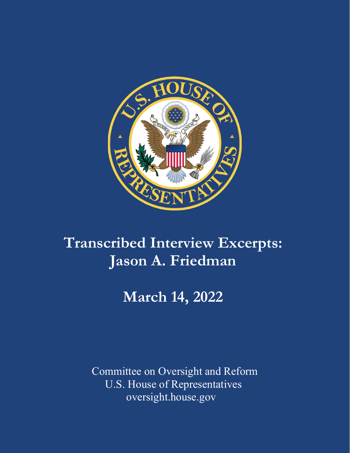

# **Transcribed Interview Excerpts: Jason A. Friedman**

## **March 14, 2022**

Committee on Oversight and Reform U.S. House of Representatives oversight.house.gov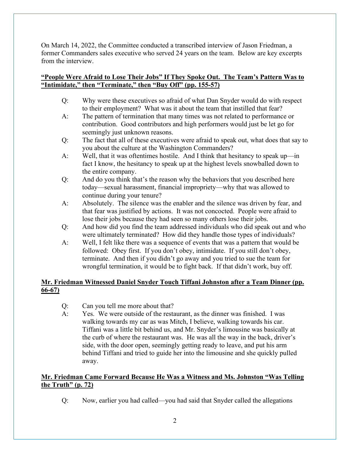On March 14, 2022, the Committee conducted a transcribed interview of Jason Friedman, a former Commanders sales executive who served 24 years on the team. Below are key excerpts from the interview.

## **"People Were Afraid to Lose Their Jobs" If They Spoke Out. The Team's Pattern Was to "Intimidate," then "Terminate," then "Buy Off" (pp. 155-57)**

- Q: Why were these executives so afraid of what Dan Snyder would do with respect to their employment? What was it about the team that instilled that fear?
- A: The pattern of termination that many times was not related to performance or contribution. Good contributors and high performers would just be let go for seemingly just unknown reasons.
- Q: The fact that all of these executives were afraid to speak out, what does that say to you about the culture at the Washington Commanders?
- A: Well, that it was oftentimes hostile. And I think that hesitancy to speak up—in fact I know, the hesitancy to speak up at the highest levels snowballed down to the entire company.
- Q: And do you think that's the reason why the behaviors that you described here today—sexual harassment, financial impropriety—why that was allowed to continue during your tenure?
- A: Absolutely. The silence was the enabler and the silence was driven by fear, and that fear was justified by actions. It was not concocted. People were afraid to lose their jobs because they had seen so many others lose their jobs.
- Q: And how did you find the team addressed individuals who did speak out and who were ultimately terminated? How did they handle those types of individuals?
- A: Well, I felt like there was a sequence of events that was a pattern that would be followed: Obey first. If you don't obey, intimidate. If you still don't obey, terminate. And then if you didn't go away and you tried to sue the team for wrongful termination, it would be to fight back. If that didn't work, buy off.

## **Mr. Friedman Witnessed Daniel Snyder Touch Tiffani Johnston after a Team Dinner (pp. 66-67)**

- Q: Can you tell me more about that?
- A: Yes. We were outside of the restaurant, as the dinner was finished. I was walking towards my car as was Mitch, I believe, walking towards his car. Tiffani was a little bit behind us, and Mr. Snyder's limousine was basically at the curb of where the restaurant was. He was all the way in the back, driver's side, with the door open, seemingly getting ready to leave, and put his arm behind Tiffani and tried to guide her into the limousine and she quickly pulled away.

## **Mr. Friedman Came Forward Because He Was a Witness and Ms. Johnston "Was Telling the Truth" (p. 72)**

Q: Now, earlier you had called—you had said that Snyder called the allegations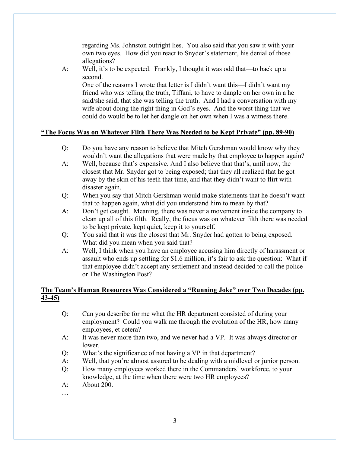regarding Ms. Johnston outright lies. You also said that you saw it with your own two eyes. How did you react to Snyder's statement, his denial of those allegations?

A: Well, it's to be expected. Frankly, I thought it was odd that—to back up a second.

One of the reasons I wrote that letter is I didn't want this—I didn't want my friend who was telling the truth, Tiffani, to have to dangle on her own in a he said/she said; that she was telling the truth. And I had a conversation with my wife about doing the right thing in God's eyes. And the worst thing that we could do would be to let her dangle on her own when I was a witness there.

#### **"The Focus Was on Whatever Filth There Was Needed to be Kept Private" (pp. 89-90)**

- Q: Do you have any reason to believe that Mitch Gershman would know why they wouldn't want the allegations that were made by that employee to happen again?
- A: Well, because that's expensive. And I also believe that that's, until now, the closest that Mr. Snyder got to being exposed; that they all realized that he got away by the skin of his teeth that time, and that they didn't want to flirt with disaster again.
- Q: When you say that Mitch Gershman would make statements that he doesn't want that to happen again, what did you understand him to mean by that?
- A: Don't get caught. Meaning, there was never a movement inside the company to clean up all of this filth. Really, the focus was on whatever filth there was needed to be kept private, kept quiet, keep it to yourself.
- Q: You said that it was the closest that Mr. Snyder had gotten to being exposed. What did you mean when you said that?
- A: Well, I think when you have an employee accusing him directly of harassment or assault who ends up settling for \$1.6 million, it's fair to ask the question: What if that employee didn't accept any settlement and instead decided to call the police or The Washington Post?

## **The Team's Human Resources Was Considered a "Running Joke" over Two Decades (pp. 43-45)**

- Q: Can you describe for me what the HR department consisted of during your employment? Could you walk me through the evolution of the HR, how many employees, et cetera?
- A: It was never more than two, and we never had a VP. It was always director or lower.
- Q: What's the significance of not having a VP in that department?
- A: Well, that you're almost assured to be dealing with a midlevel or junior person.
- Q: How many employees worked there in the Commanders' workforce, to your knowledge, at the time when there were two HR employees?
- A: About 200.
- …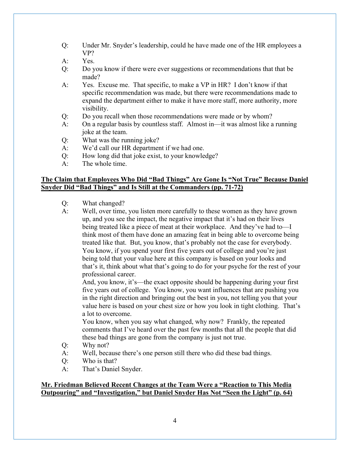- Q: Under Mr. Snyder's leadership, could he have made one of the HR employees a VP?
- A: Yes.
- Q: Do you know if there were ever suggestions or recommendations that that be made?
- A: Yes. Excuse me. That specific, to make a VP in HR? I don't know if that specific recommendation was made, but there were recommendations made to expand the department either to make it have more staff, more authority, more visibility.
- Q: Do you recall when those recommendations were made or by whom?
- A: On a regular basis by countless staff. Almost in—it was almost like a running joke at the team.
- Q: What was the running joke?
- A: We'd call our HR department if we had one.
- Q: How long did that joke exist, to your knowledge?
- A: The whole time.

#### **The Claim that Employees Who Did "Bad Things" Are Gone Is "Not True" Because Daniel Snyder Did "Bad Things" and Is Still at the Commanders (pp. 71-72)**

- Q: What changed?
- A: Well, over time, you listen more carefully to these women as they have grown up, and you see the impact, the negative impact that it's had on their lives being treated like a piece of meat at their workplace. And they've had to—I think most of them have done an amazing feat in being able to overcome being treated like that. But, you know, that's probably not the case for everybody. You know, if you spend your first five years out of college and you're just being told that your value here at this company is based on your looks and that's it, think about what that's going to do for your psyche for the rest of your professional career.

And, you know, it's—the exact opposite should be happening during your first five years out of college. You know, you want influences that are pushing you in the right direction and bringing out the best in you, not telling you that your value here is based on your chest size or how you look in tight clothing. That's a lot to overcome.

You know, when you say what changed, why now? Frankly, the repeated comments that I've heard over the past few months that all the people that did these bad things are gone from the company is just not true.

- Q: Why not?
- A: Well, because there's one person still there who did these bad things.
- Q: Who is that?
- A: That's Daniel Snyder.

#### **Mr. Friedman Believed Recent Changes at the Team Were a "Reaction to This Media Outpouring" and "Investigation," but Daniel Snyder Has Not "Seen the Light" (p. 64)**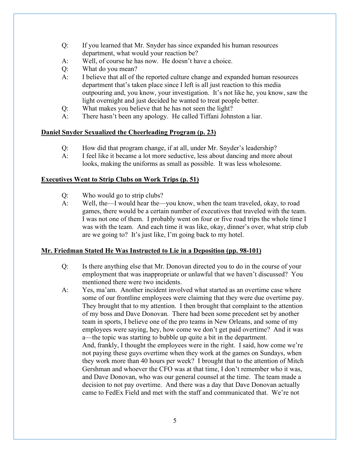- Q: If you learned that Mr. Snyder has since expanded his human resources department, what would your reaction be?
- A: Well, of course he has now. He doesn't have a choice.
- Q: What do you mean?
- A: I believe that all of the reported culture change and expanded human resources department that's taken place since I left is all just reaction to this media outpouring and, you know, your investigation. It's not like he, you know, saw the light overnight and just decided he wanted to treat people better.
- Q: What makes you believe that he has not seen the light?
- A: There hasn't been any apology. He called Tiffani Johnston a liar.

#### **Daniel Snyder Sexualized the Cheerleading Program (p. 23)**

- Q: How did that program change, if at all, under Mr. Snyder's leadership?
- A: I feel like it became a lot more seductive, less about dancing and more about looks, making the uniforms as small as possible. It was less wholesome.

#### **Executives Went to Strip Clubs on Work Trips (p. 51)**

- Q: Who would go to strip clubs?
- A: Well, the—I would hear the—you know, when the team traveled, okay, to road games, there would be a certain number of executives that traveled with the team. I was not one of them. I probably went on four or five road trips the whole time I was with the team. And each time it was like, okay, dinner's over, what strip club are we going to? It's just like, I'm going back to my hotel.

#### **Mr. Friedman Stated He Was Instructed to Lie in a Deposition (pp. 98-101)**

- Q: Is there anything else that Mr. Donovan directed you to do in the course of your employment that was inappropriate or unlawful that we haven't discussed? You mentioned there were two incidents.
- A: Yes, ma'am. Another incident involved what started as an overtime case where some of our frontline employees were claiming that they were due overtime pay. They brought that to my attention. I then brought that complaint to the attention of my boss and Dave Donovan. There had been some precedent set by another team in sports, I believe one of the pro teams in New Orleans, and some of my employees were saying, hey, how come we don't get paid overtime? And it was a—the topic was starting to bubble up quite a bit in the department. And, frankly, I thought the employees were in the right. I said, how come we're

not paying these guys overtime when they work at the games on Sundays, when they work more than 40 hours per week? I brought that to the attention of Mitch Gershman and whoever the CFO was at that time, I don't remember who it was, and Dave Donovan, who was our general counsel at the time. The team made a decision to not pay overtime. And there was a day that Dave Donovan actually came to FedEx Field and met with the staff and communicated that. We're not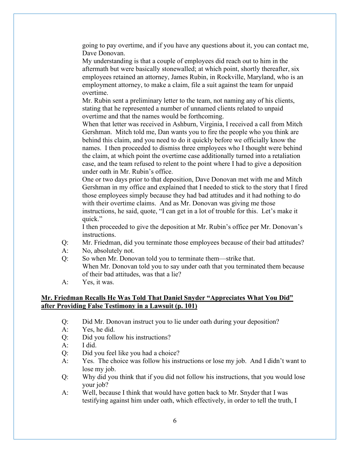going to pay overtime, and if you have any questions about it, you can contact me, Dave Donovan.

My understanding is that a couple of employees did reach out to him in the aftermath but were basically stonewalled; at which point, shortly thereafter, six employees retained an attorney, James Rubin, in Rockville, Maryland, who is an employment attorney, to make a claim, file a suit against the team for unpaid overtime.

Mr. Rubin sent a preliminary letter to the team, not naming any of his clients, stating that he represented a number of unnamed clients related to unpaid overtime and that the names would be forthcoming.

When that letter was received in Ashburn, Virginia, I received a call from Mitch Gershman. Mitch told me, Dan wants you to fire the people who you think are behind this claim, and you need to do it quickly before we officially know the names. I then proceeded to dismiss three employees who I thought were behind the claim, at which point the overtime case additionally turned into a retaliation case, and the team refused to relent to the point where I had to give a deposition under oath in Mr. Rubin's office.

One or two days prior to that deposition, Dave Donovan met with me and Mitch Gershman in my office and explained that I needed to stick to the story that I fired those employees simply because they had bad attitudes and it had nothing to do with their overtime claims. And as Mr. Donovan was giving me those instructions, he said, quote, "I can get in a lot of trouble for this. Let's make it quick."

I then proceeded to give the deposition at Mr. Rubin's office per Mr. Donovan's instructions.

- Q: Mr. Friedman, did you terminate those employees because of their bad attitudes?
- A: No, absolutely not.
- Q: So when Mr. Donovan told you to terminate them—strike that. When Mr. Donovan told you to say under oath that you terminated them because of their bad attitudes, was that a lie?
- A: Yes, it was.

#### **Mr. Friedman Recalls He Was Told That Daniel Snyder "Appreciates What You Did" after Providing False Testimony in a Lawsuit (p. 101)**

- Q: Did Mr. Donovan instruct you to lie under oath during your deposition?
- A: Yes, he did.
- Q: Did you follow his instructions?
- A: I did.
- Q: Did you feel like you had a choice?
- A: Yes. The choice was follow his instructions or lose my job. And I didn't want to lose my job.
- Q: Why did you think that if you did not follow his instructions, that you would lose your job?
- A: Well, because I think that would have gotten back to Mr. Snyder that I was testifying against him under oath, which effectively, in order to tell the truth, I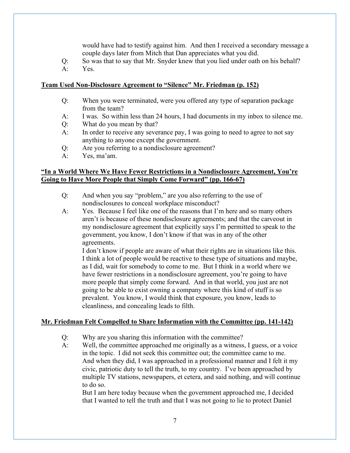would have had to testify against him. And then I received a secondary message a couple days later from Mitch that Dan appreciates what you did.

- Q: So was that to say that Mr. Snyder knew that you lied under oath on his behalf?
- A: Yes.

#### **Team Used Non-Disclosure Agreement to "Silence" Mr. Friedman (p. 152)**

- Q: When you were terminated, were you offered any type of separation package from the team?
- A: I was. So within less than 24 hours, I had documents in my inbox to silence me.
- Q: What do you mean by that?
- A: In order to receive any severance pay, I was going to need to agree to not say anything to anyone except the government.
- Q: Are you referring to a nondisclosure agreement?
- A: Yes, ma'am.

### **"In a World Where We Have Fewer Restrictions in a Nondisclosure Agreement, You're Going to Have More People that Simply Come Forward" (pp. 166-67)**

- Q: And when you say "problem," are you also referring to the use of nondisclosures to conceal workplace misconduct?
- A: Yes. Because I feel like one of the reasons that I'm here and so many others aren't is because of these nondisclosure agreements; and that the carveout in my nondisclosure agreement that explicitly says I'm permitted to speak to the government, you know, I don't know if that was in any of the other agreements.

I don't know if people are aware of what their rights are in situations like this. I think a lot of people would be reactive to these type of situations and maybe, as I did, wait for somebody to come to me. But I think in a world where we have fewer restrictions in a nondisclosure agreement, you're going to have more people that simply come forward. And in that world, you just are not going to be able to exist owning a company where this kind of stuff is so prevalent. You know, I would think that exposure, you know, leads to cleanliness, and concealing leads to filth.

## **Mr. Friedman Felt Compelled to Share Information with the Committee (pp. 141-142)**

- Q: Why are you sharing this information with the committee?
- A: Well, the committee approached me originally as a witness, I guess, or a voice in the topic. I did not seek this committee out; the committee came to me. And when they did, I was approached in a professional manner and I felt it my civic, patriotic duty to tell the truth, to my country. I've been approached by multiple TV stations, newspapers, et cetera, and said nothing, and will continue to do so.

But I am here today because when the government approached me, I decided that I wanted to tell the truth and that I was not going to lie to protect Daniel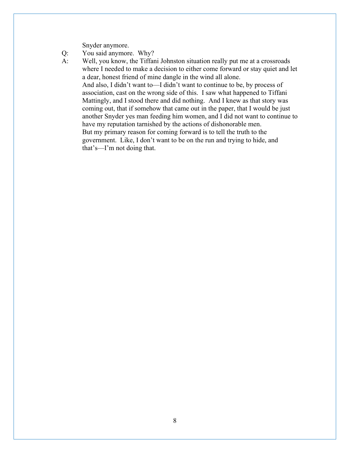Snyder anymore.

- Q: You said anymore. Why?
- A: Well, you know, the Tiffani Johnston situation really put me at a crossroads where I needed to make a decision to either come forward or stay quiet and let a dear, honest friend of mine dangle in the wind all alone. And also, I didn't want to—I didn't want to continue to be, by process of association, cast on the wrong side of this. I saw what happened to Tiffani Mattingly, and I stood there and did nothing. And I knew as that story was coming out, that if somehow that came out in the paper, that I would be just another Snyder yes man feeding him women, and I did not want to continue to have my reputation tarnished by the actions of dishonorable men. But my primary reason for coming forward is to tell the truth to the government. Like, I don't want to be on the run and trying to hide, and that's—I'm not doing that.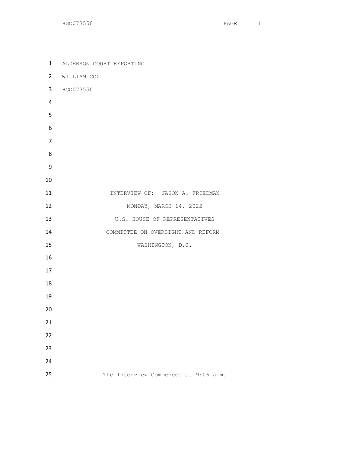ALDERSON COURT REPORTING WILLIAM COX HGO073550 **INTERVIEW OF: JASON A. FRIEDMAN** 12 MONDAY, MARCH 14, 2022 13 U.S. HOUSE OF REPRESENTATIVES COMMITTEE ON OVERSIGHT AND REFORM 15 WASHINGTON, D.C. 25 The Interview Commenced at 9:06 a.m.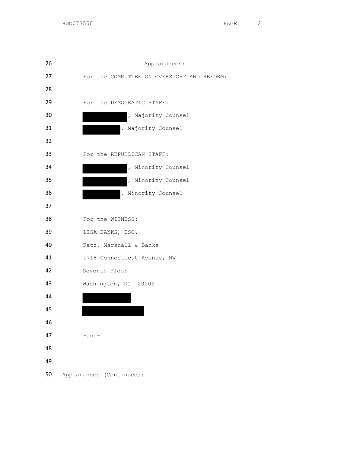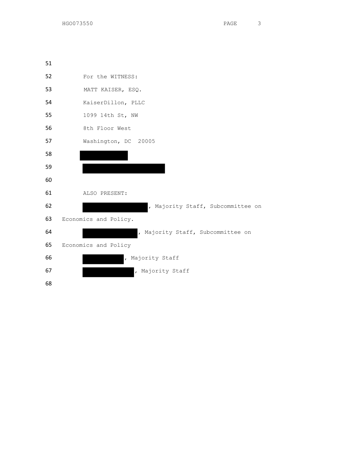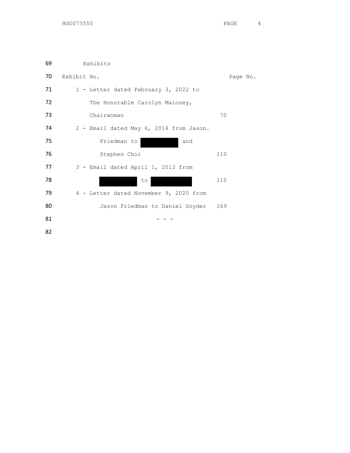| 69 | Exhibits                                |          |
|----|-----------------------------------------|----------|
| 70 | Exhibit No.                             | Page No. |
| 71 | 1 - Letter dated February 3, 2022 to    |          |
| 72 | The Honorable Carolyn Maloney,          |          |
| 73 | Chairwoman                              | 70       |
| 74 | 2 - Email dated May 6, 2014 from Jason. |          |
| 75 | Friedman to<br>and                      |          |
| 76 | Stephen Choi                            | 110      |
| 77 | 3 - Email dated April 1, 2013 from      |          |
| 78 | to                                      | 110      |
| 79 | 4 - Letter dated November 9, 2020 from  |          |
| 80 | Jason Friedman to Daniel Snyder         | 169      |
| 81 |                                         |          |
|    |                                         |          |

82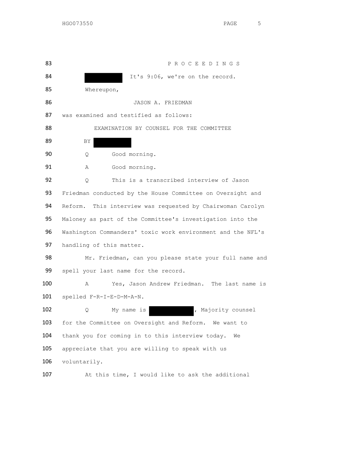83 P R O C E E D I N G S 84 March 2016, We're on the record. 85 Whereupon, 86 JASON A. FRIEDMAN 87 was examined and testified as follows: 88 EXAMINATION BY COUNSEL FOR THE COMMITTEE 89 BY 90 Q Good morning. 91 A Good morning. 92 Q This is a transcribed interview of Jason 93 Friedman conducted by the House Committee on Oversight and 94 Reform. This interview was requested by Chairwoman Carolyn 95 Maloney as part of the Committee's investigation into the 96 Washington Commanders' toxic work environment and the NFL's 97 handling of this matter. 98 Mr. Friedman, can you please state your full name and 99 spell your last name for the record. 100 A Yes, Jason Andrew Friedman. The last name is 101 spelled F-R-I-E-D-M-A-N. 102 Q My name is , Majority counsel 103 for the Committee on Oversight and Reform. We want to 104 thank you for coming in to this interview today. We 105 appreciate that you are willing to speak with us 106 voluntarily.

107 At this time, I would like to ask the additional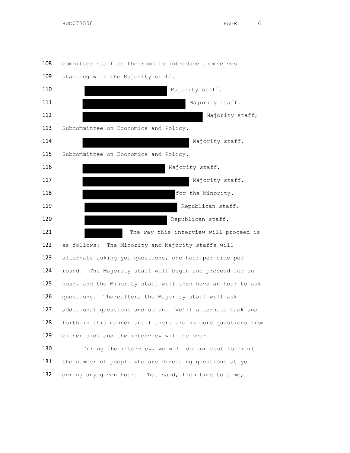committee staff in the room to introduce themselves



109 starting with the Majority staff.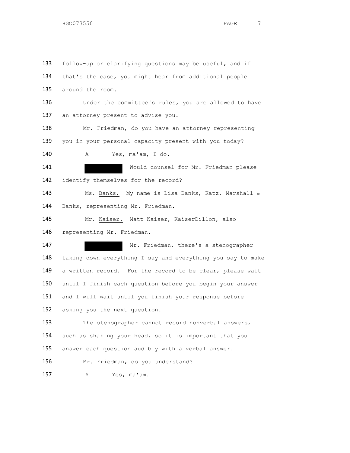follow-up or clarifying questions may be useful, and if 134 that's the case, you might hear from additional people around the room. 136 Under the committee's rules, you are allowed to have 137 an attorney present to advise you. Mr. Friedman, do you have an attorney representing 139 you in your personal capacity present with you today? A Yes, ma'am, I do. Would counsel for Mr. Friedman please identify themselves for the record? Ms. Banks. My name is Lisa Banks, Katz, Marshall & Banks, representing Mr. Friedman. Mr. Kaiser. Matt Kaiser, KaiserDillon, also representing Mr. Friedman. 147 Mr. Friedman, there's a stenographer 148 taking down everything I say and everything you say to make a written record. For the record to be clear, please wait until I finish each question before you begin your answer 151 and I will wait until you finish your response before asking you the next question. 153 The stenographer cannot record nonverbal answers, such as shaking your head, so it is important that you answer each question audibly with a verbal answer. 156 Mr. Friedman, do you understand? A Yes, ma'am.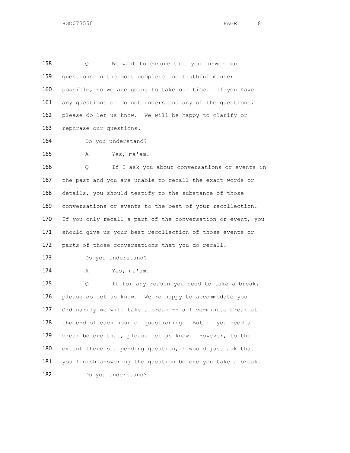158 Q We want to ensure that you answer our 159 questions in the most complete and truthful manner 160 possible, so we are going to take our time. If you have 161 any questions or do not understand any of the questions, 162 please do let us know. We will be happy to clarify or 163 rephrase our questions.

164 Do you understand?

165 A Yes, ma'am.

166 Q If I ask you about conversations or events in 167 the past and you are unable to recall the exact words or 168 details, you should testify to the substance of those 169 conversations or events to the best of your recollection. 170 If you only recall a part of the conversation or event, you 171 should give us your best recollection of those events or 172 parts of those conversations that you do recall.

173 Do you understand?

174 A Yes, ma'am.

175 Q If for any reason you need to take a break, 176 please do let us know. We're happy to accommodate you. 177 Ordinarily we will take a break -- a five-minute break at 178 the end of each hour of questioning. But if you need a 179 break before that, please let us know. However, to the 180 extent there's a pending question, I would just ask that 181 you finish answering the question before you take a break. 182 Do you understand?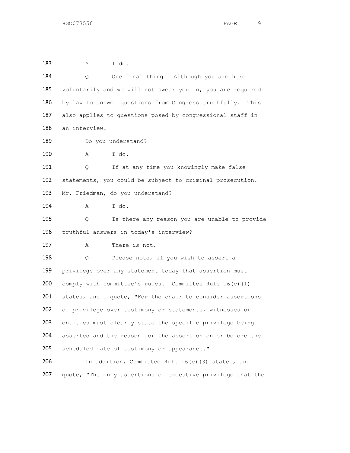| 183 | I do.<br>Α                                                  |  |  |
|-----|-------------------------------------------------------------|--|--|
| 184 | One final thing. Although you are here<br>Q                 |  |  |
| 185 | voluntarily and we will not swear you in, you are required  |  |  |
| 186 | by law to answer questions from Congress truthfully. This   |  |  |
| 187 | also applies to questions posed by congressional staff in   |  |  |
| 188 | an interview.                                               |  |  |
| 189 | Do you understand?                                          |  |  |
| 190 | I do.<br>Α                                                  |  |  |
| 191 | If at any time you knowingly make false<br>Q                |  |  |
| 192 | statements, you could be subject to criminal prosecution.   |  |  |
| 193 | Mr. Friedman, do you understand?                            |  |  |
| 194 | I do.<br>Α                                                  |  |  |
| 195 | Is there any reason you are unable to provide<br>Q.         |  |  |
| 196 | truthful answers in today's interview?                      |  |  |
| 197 | There is not.<br>Α                                          |  |  |
| 198 | Please note, if you wish to assert a<br>Q.                  |  |  |
| 199 | privilege over any statement today that assertion must      |  |  |
| 200 | comply with committee's rules. Committee Rule 16(c)(1)      |  |  |
| 201 | states, and I quote, "For the chair to consider assertions  |  |  |
| 202 | of privilege over testimony or statements, witnesses or     |  |  |
| 203 | entities must clearly state the specific privilege being    |  |  |
| 204 | asserted and the reason for the assertion on or before the  |  |  |
| 205 | scheduled date of testimony or appearance."                 |  |  |
| 206 | In addition, Committee Rule 16(c)(3) states, and I          |  |  |
| 207 | quote, "The only assertions of executive privilege that the |  |  |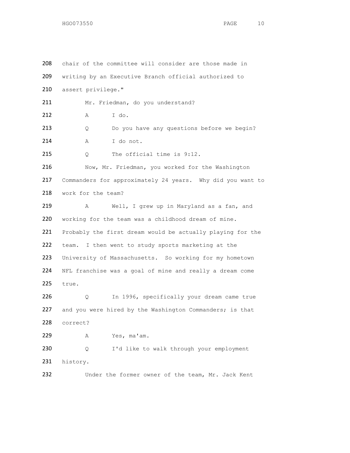208 chair of the committee will consider are those made in 209 writing by an Executive Branch official authorized to assert privilege." 211 Mr. Friedman, do you understand? A I do. 213 Q Do you have any questions before we begin? 214 A I do not. 215 Q The official time is 9:12. 216 Now, Mr. Friedman, you worked for the Washington Commanders for approximately 24 years. Why did you want to work for the team? A Well, I grew up in Maryland as a fan, and working for the team was a childhood dream of mine. Probably the first dream would be actually playing for the team. I then went to study sports marketing at the University of Massachusetts. So working for my hometown NFL franchise was a goal of mine and really a dream come true. Q In 1996, specifically your dream came true 227 and you were hired by the Washington Commanders; is that correct? A Yes, ma'am. Q I'd like to walk through your employment history. 232 Under the former owner of the team, Mr. Jack Kent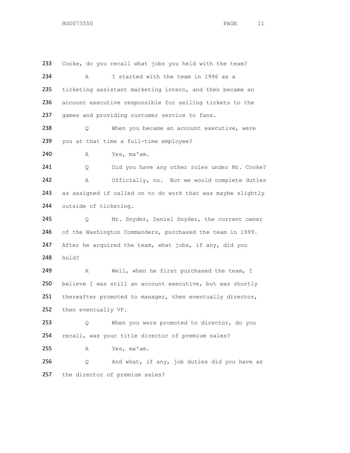233 Cooke, do you recall what jobs you held with the team? 234 A I started with the team in 1996 as a 235 ticketing assistant marketing intern, and then became an 236 account executive responsible for selling tickets to the 237 games and providing customer service to fans. 238 Q When you became an account executive, were 239 you at that time a full-time employee? 240 A Yes, ma'am. 241 Q Did you have any other roles under Mr. Cooke? 242 A Officially, no. But we would complete duties 243 as assigned if called on to do work that was maybe slightly 244 outside of ticketing. 245 Q Mr. Snyder, Daniel Snyder, the current owner 246 of the Washington Commanders, purchased the team in 1999. 247 After he acquired the team, what jobs, if any, did you 248 hold? 249 A Well, when he first purchased the team, I 250 believe I was still an account executive, but was shortly 251 thereafter promoted to manager, then eventually director, 252 then eventually VP. 253 Q When you were promoted to director, do you 254 recall, was your title director of premium sales? 255 A Yes, ma'am. 256 Q And what, if any, job duties did you have as 257 the director of premium sales?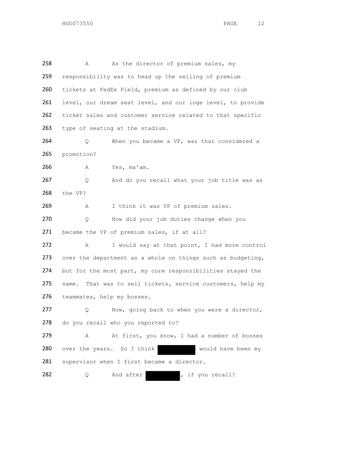| 258 | As the director of premium sales, my<br>Α                     |
|-----|---------------------------------------------------------------|
| 259 | responsibility was to head up the selling of premium          |
| 260 | tickets at FedEx Field, premium as defined by our club        |
| 261 | level, our dream seat level, and our loge level, to provide   |
| 262 | ticket sales and customer service related to that specific    |
| 263 | type of seating at the stadium.                               |
| 264 | When you became a VP, was that considered a<br>Q.             |
| 265 | promotion?                                                    |
| 266 | Yes, ma'am.<br>A                                              |
| 267 | And do you recall what your job title was as<br>Q             |
| 268 | the VP?                                                       |
| 269 | I think it was VP of premium sales.<br>Α                      |
| 270 | How did your job duties change when you<br>Q                  |
| 271 | became the VP of premium sales, if at all?                    |
| 272 | I would say at that point, I had more control<br>Α            |
| 273 | over the department as a whole on things such as budgeting,   |
| 274 | but for the most part, my core responsibilities stayed the    |
| 275 | That was to sell tickets, service customers, help my<br>same. |
| 276 | teammates, help my bosses.                                    |
| 277 | Now, going back to when you were a director,<br>Q.            |
| 278 | do you recall who you reported to?                            |
| 279 | At first, you know, I had a number of bosses<br>Α             |
| 280 | over the years. So I think<br>would have been my              |
| 281 | supervisor when I first became a director.                    |
| 282 | , if you recall?<br>And after<br>Q                            |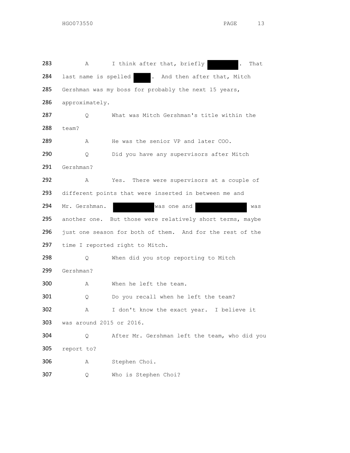283 A I think after that, briefly . That 284 last name is spelled . And then after that, Mitch Gershman was my boss for probably the next 15 years, 286 approximately. Q What was Mitch Gershman's title within the team? 289 A He was the senior VP and later COO. Q Did you have any supervisors after Mitch Gershman? A Yes. There were supervisors at a couple of 293 different points that were inserted in between me and Mr. Gershman. was one and was 295 another one. But those were relatively short terms, maybe just one season for both of them. And for the rest of the time I reported right to Mitch. 298 Q When did you stop reporting to Mitch Gershman? A When he left the team. 301 Q Do you recall when he left the team? A I don't know the exact year. I believe it was around 2015 or 2016. Q After Mr. Gershman left the team, who did you report to? A Stephen Choi. Q Who is Stephen Choi?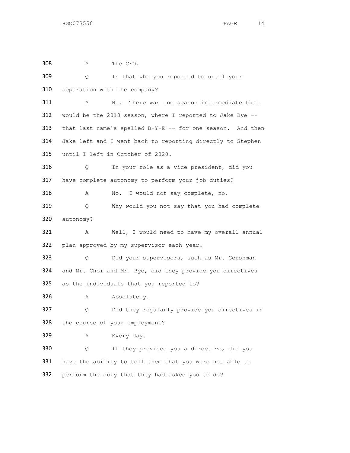| 308 | Α                                                          | The CFO.                                                   |
|-----|------------------------------------------------------------|------------------------------------------------------------|
| 309 | Q                                                          | Is that who you reported to until your                     |
| 310 |                                                            | separation with the company?                               |
| 311 | Α                                                          | No.<br>There was one season intermediate that              |
| 312 |                                                            | would be the 2018 season, where I reported to Jake Bye --  |
| 313 |                                                            | that last name's spelled B-Y-E -- for one season. And then |
| 314 | Jake left and I went back to reporting directly to Stephen |                                                            |
| 315 |                                                            | until I left in October of 2020.                           |
| 316 | Q.                                                         | In your role as a vice president, did you                  |
| 317 |                                                            | have complete autonomy to perform your job duties?         |
| 318 | Α                                                          | I would not say complete, no.<br>No.                       |
| 319 | Q                                                          | Why would you not say that you had complete                |
| 320 | autonomy?                                                  |                                                            |
| 321 | Α                                                          | Well, I would need to have my overall annual               |
| 322 |                                                            | plan approved by my supervisor each year.                  |
| 323 | 0                                                          | Did your supervisors, such as Mr. Gershman                 |
| 324 |                                                            | and Mr. Choi and Mr. Bye, did they provide you directives  |
| 325 |                                                            | as the individuals that you reported to?                   |
| 326 | Α                                                          | Absolutely.                                                |
| 327 | Q                                                          | Did they regularly provide you directives in               |
| 328 |                                                            | the course of your employment?                             |
| 329 | Α                                                          | Every day.                                                 |
| 330 | Q.                                                         | If they provided you a directive, did you                  |
| 331 |                                                            | have the ability to tell them that you were not able to    |
| 332 |                                                            | perform the duty that they had asked you to do?            |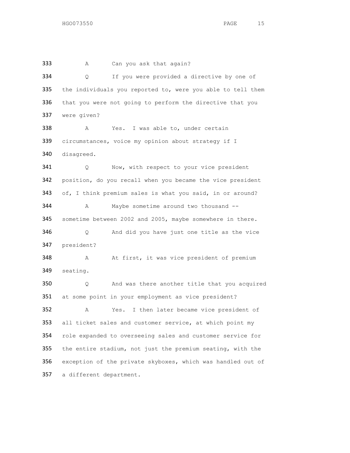333 A Can you ask that again? Q If you were provided a directive by one of the individuals you reported to, were you able to tell them 336 that you were not going to perform the directive that you were given? A Yes. I was able to, under certain circumstances, voice my opinion about strategy if I disagreed. 341 Q Now, with respect to your vice president position, do you recall when you became the vice president of, I think premium sales is what you said, in or around? 344 A Maybe sometime around two thousand -- sometime between 2002 and 2005, maybe somewhere in there. Q And did you have just one title as the vice president? 348 A At first, it was vice president of premium seating. Q And was there another title that you acquired at some point in your employment as vice president? A Yes. I then later became vice president of all ticket sales and customer service, at which point my role expanded to overseeing sales and customer service for the entire stadium, not just the premium seating, with the exception of the private skyboxes, which was handled out of a different department.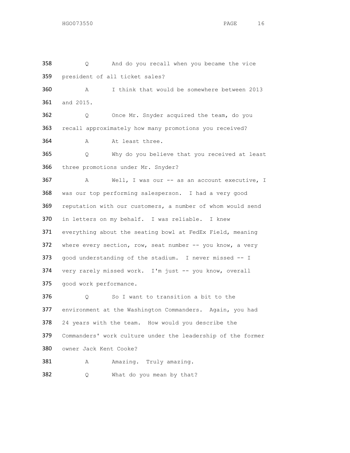Q And do you recall when you became the vice president of all ticket sales? A I think that would be somewhere between 2013 and 2015. Q Once Mr. Snyder acquired the team, do you recall approximately how many promotions you received? 364 A At least three. Q Why do you believe that you received at least three promotions under Mr. Snyder? A Well, I was our -- as an account executive, I was our top performing salesperson. I had a very good reputation with our customers, a number of whom would send in letters on my behalf. I was reliable. I knew everything about the seating bowl at FedEx Field, meaning 372 where every section, row, seat number -- you know, a very 373 good understanding of the stadium. I never missed -- I very rarely missed work. I'm just -- you know, overall good work performance. 376 Q So I want to transition a bit to the environment at the Washington Commanders. Again, you had 24 years with the team. How would you describe the Commanders' work culture under the leadership of the former owner Jack Kent Cooke? 381 A Amazing. Truly amazing. 382 Q What do you mean by that?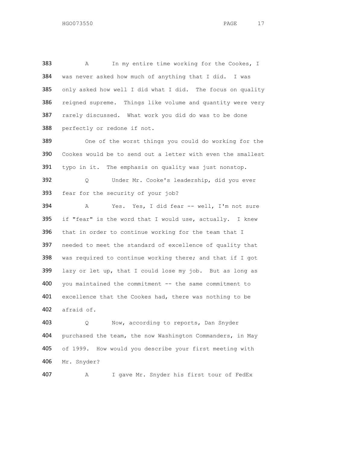383 A In my entire time working for the Cookes, I was never asked how much of anything that I did. I was only asked how well I did what I did. The focus on quality reigned supreme. Things like volume and quantity were very 387 rarely discussed. What work you did do was to be done perfectly or redone if not.

 One of the worst things you could do working for the Cookes would be to send out a letter with even the smallest typo in it. The emphasis on quality was just nonstop. Q Under Mr. Cooke's leadership, did you ever fear for the security of your job?

 A Yes. Yes, I did fear -- well, I'm not sure if "fear" is the word that I would use, actually. I knew that in order to continue working for the team that I needed to meet the standard of excellence of quality that 398 was required to continue working there; and that if I got lazy or let up, that I could lose my job. But as long as 400 you maintained the commitment -- the same commitment to 401 excellence that the Cookes had, there was nothing to be afraid of.

 Q Now, according to reports, Dan Snyder purchased the team, the now Washington Commanders, in May of 1999. How would you describe your first meeting with Mr. Snyder?

A I gave Mr. Snyder his first tour of FedEx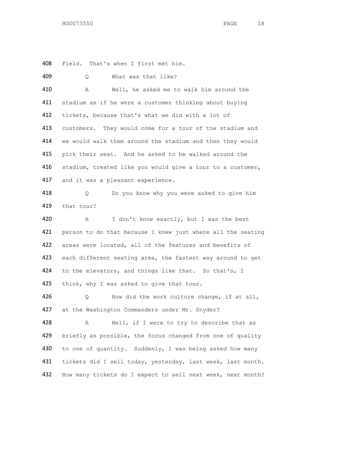408 Field. That's when I first met him.

409 Q What was that like? 410 A Well, he asked me to walk him around the 411 stadium as if he were a customer thinking about buying 412 tickets, because that's what we did with a lot of 413 customers. They would come for a tour of the stadium and 414 we would walk them around the stadium and then they would 415 pick their seat. And he asked to be walked around the 416 stadium, treated like you would give a tour to a customer, 417 and it was a pleasant experience. 418 O Do you know why you were asked to give him 419 that tour? 420 A I don't know exactly, but I was the best 421 person to do that because I knew just where all the seating 422 areas were located, all of the features and benefits of 423 each different seating area, the fastest way around to get 424 to the elevators, and things like that. So that's, I 425 think, why I was asked to give that tour. 426 Q How did the work culture change, if at all, 427 at the Washington Commanders under Mr. Snyder? 428 A Well, if I were to try to describe that as 429 briefly as possible, the focus changed from one of quality 430 to one of quantity. Suddenly, I was being asked how many 431 tickets did I sell today, yesterday, last week, last month. 432 How many tickets do I expect to sell next week, next month?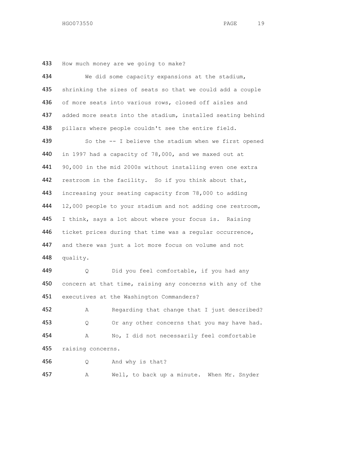How much money are we going to make?

| 434 | We did some capacity expansions at the stadium,             |  |
|-----|-------------------------------------------------------------|--|
| 435 | shrinking the sizes of seats so that we could add a couple  |  |
| 436 | of more seats into various rows, closed off aisles and      |  |
| 437 | added more seats into the stadium, installed seating behind |  |
| 438 | pillars where people couldn't see the entire field.         |  |
| 439 | So the -- I believe the stadium when we first opened        |  |
| 440 | in 1997 had a capacity of 78,000, and we maxed out at       |  |
| 441 | 90,000 in the mid 2000s without installing even one extra   |  |
| 442 | restroom in the facility. So if you think about that,       |  |
| 443 | increasing your seating capacity from 78,000 to adding      |  |
| 444 | 12,000 people to your stadium and not adding one restroom,  |  |
| 445 | I think, says a lot about where your focus is. Raising      |  |
| 446 | ticket prices during that time was a regular occurrence,    |  |
| 447 | and there was just a lot more focus on volume and not       |  |
| 448 | quality.                                                    |  |
| 449 | Did you feel comfortable, if you had any<br>Q.              |  |
| 450 | concern at that time, raising any concerns with any of the  |  |
| 451 | executives at the Washington Commanders?                    |  |
| 452 | Regarding that change that I just described?<br>Α           |  |
| 453 | Or any other concerns that you may have had.<br>Q.          |  |
| 454 | No, I did not necessarily feel comfortable<br>А             |  |
| 455 | raising concerns.                                           |  |
| 456 | And why is that?<br>Q                                       |  |
| 457 | Well, to back up a minute. When Mr. Snyder<br>Α             |  |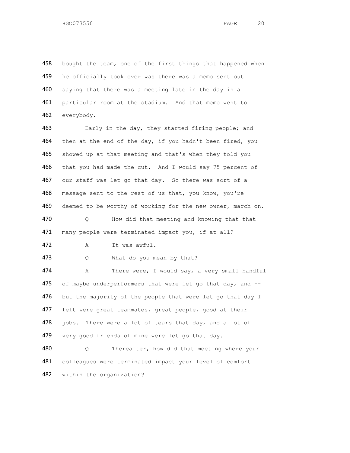458 bought the team, one of the first things that happened when 459 he officially took over was there was a memo sent out 460 saying that there was a meeting late in the day in a 461 particular room at the stadium. And that memo went to 462 everybody.

 Early in the day, they started firing people; and 464 then at the end of the day, if you hadn't been fired, you showed up at that meeting and that's when they told you 466 that you had made the cut. And I would say 75 percent of our staff was let go that day. So there was sort of a message sent to the rest of us that, you know, you're deemed to be worthy of working for the new owner, march on. Q How did that meeting and knowing that that 471 many people were terminated impact you, if at all?

472 A It was awful.

473 Q What do you mean by that?

474 A There were, I would say, a very small handful 475 of maybe underperformers that were let go that day, and  $-$ 476 but the majority of the people that were let go that day I 477 felt were great teammates, great people, good at their 478 jobs. There were a lot of tears that day, and a lot of 479 very good friends of mine were let go that day. 480 Q Thereafter, how did that meeting where your

481 colleagues were terminated impact your level of comfort 482 within the organization?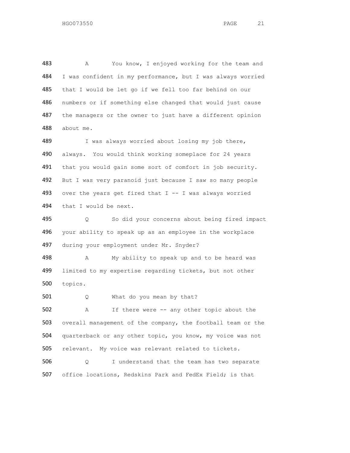483 A You know, I enjoyed working for the team and I was confident in my performance, but I was always worried 485 that I would be let go if we fell too far behind on our numbers or if something else changed that would just cause 487 the managers or the owner to just have a different opinion about me.

489 I was always worried about losing my job there, always. You would think working someplace for 24 years 491 that you would gain some sort of comfort in job security. 492 But I was very paranoid just because I saw so many people over the years get fired that I -- I was always worried that I would be next.

 Q So did your concerns about being fired impact your ability to speak up as an employee in the workplace 497 during your employment under Mr. Snyder?

498 A My ability to speak up and to be heard was limited to my expertise regarding tickets, but not other topics.

501 Q What do you mean by that?

 A If there were -- any other topic about the overall management of the company, the football team or the quarterback or any other topic, you know, my voice was not relevant. My voice was relevant related to tickets.

 Q I understand that the team has two separate office locations, Redskins Park and FedEx Field; is that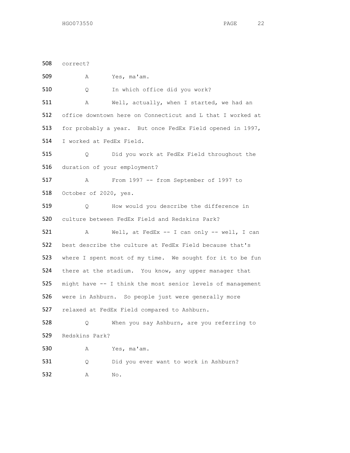correct? A Yes, ma'am. Q In which office did you work? 511 A Well, actually, when I started, we had an office downtown here on Connecticut and L that I worked at for probably a year. But once FedEx Field opened in 1997, I worked at FedEx Field. Q Did you work at FedEx Field throughout the duration of your employment? A From 1997 -- from September of 1997 to 518 October of 2020, yes. Q How would you describe the difference in culture between FedEx Field and Redskins Park? A Well, at FedEx -- I can only -- well, I can best describe the culture at FedEx Field because that's where I spent most of my time. We sought for it to be fun there at the stadium. You know, any upper manager that might have -- I think the most senior levels of management were in Ashburn. So people just were generally more relaxed at FedEx Field compared to Ashburn. Q When you say Ashburn, are you referring to Redskins Park? A Yes, ma'am. 531 Q Did you ever want to work in Ashburn? A No.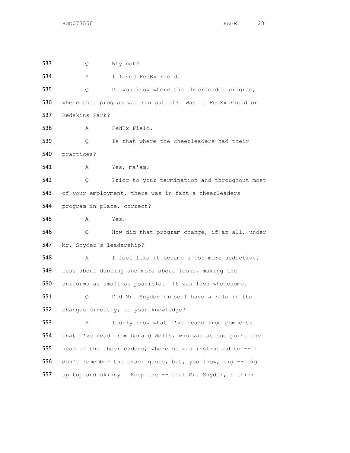Q Why not? A I loved FedEx Field. Q Do you know where the cheerleader program, where that program was run out of? Was it FedEx Field or Redskins Park? A FedEx Field. Q Is that where the cheerleaders had their practices? A Yes, ma'am. Q Prior to your termination and throughout most 543 of your employment, there was in fact a cheerleaders program in place, correct? A Yes. Q How did that program change, if at all, under Mr. Snyder's leadership? A I feel like it became a lot more seductive, less about dancing and more about looks, making the uniforms as small as possible. It was less wholesome. Q Did Mr. Snyder himself have a role in the changes directly, to your knowledge? A I only know what I've heard from comments that I've read from Donald Wells, who was at one point the head of the cheerleaders, where he was instructed to -- I don't remember the exact quote, but, you know, big -- big up top and skinny. Keep the -- that Mr. Snyder, I think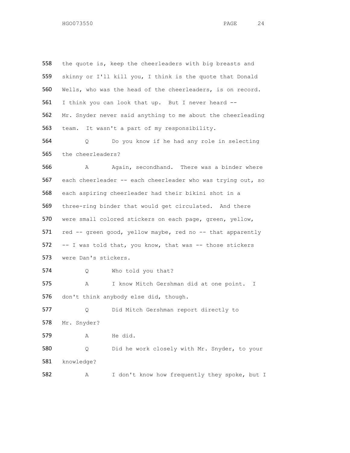558 the quote is, keep the cheerleaders with big breasts and skinny or I'll kill you, I think is the quote that Donald Wells, who was the head of the cheerleaders, is on record. I think you can look that up. But I never heard -- Mr. Snyder never said anything to me about the cheerleading team. It wasn't a part of my responsibility. Q Do you know if he had any role in selecting 565 the cheerleaders? 566 A Again, secondhand. There was a binder where each cheerleader -- each cheerleader who was trying out, so each aspiring cheerleader had their bikini shot in a three-ring binder that would get circulated. And there were small colored stickers on each page, green, yellow, red -- green good, yellow maybe, red no -- that apparently -- I was told that, you know, that was -- those stickers were Dan's stickers. Q Who told you that? A I know Mitch Gershman did at one point. I don't think anybody else did, though. Q Did Mitch Gershman report directly to Mr. Snyder? A He did. Q Did he work closely with Mr. Snyder, to your knowledge? A I don't know how frequently they spoke, but I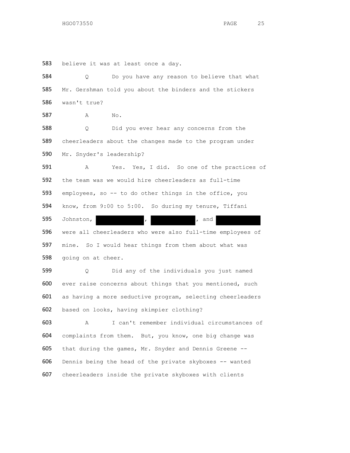believe it was at least once a day.

| 584 | Do you have any reason to believe that what<br>Q.          |
|-----|------------------------------------------------------------|
| 585 | Mr. Gershman told you about the binders and the stickers   |
| 586 | wasn't true?                                               |
| 587 | No.<br>Α                                                   |
| 588 | Did you ever hear any concerns from the<br>Q.              |
| 589 | cheerleaders about the changes made to the program under   |
| 590 | Mr. Snyder's leadership?                                   |
| 591 | Yes. Yes, I did. So one of the practices of<br>Α           |
| 592 | the team was we would hire cheerleaders as full-time       |
| 593 | employees, so -- to do other things in the office, you     |
| 594 | know, from 9:00 to 5:00. So during my tenure, Tiffani      |
| 595 | Johnston,<br>, and<br>$\mathbf{r}$                         |
| 596 | were all cheerleaders who were also full-time employees of |
| 597 | mine. So I would hear things from them about what was      |
| 598 | going on at cheer.                                         |
| 599 | Did any of the individuals you just named<br>Q             |
| 600 | ever raise concerns about things that you mentioned, such  |
| 601 | as having a more seductive program, selecting cheerleaders |
| 602 | based on looks, having skimpier clothing?                  |
| 603 | I can't remember individual circumstances of<br>A          |
| 604 | complaints from them. But, you know, one big change was    |
| 605 | that during the games, Mr. Snyder and Dennis Greene --     |
| 606 | Dennis being the head of the private skyboxes -- wanted    |
| 607 | cheerleaders inside the private skyboxes with clients      |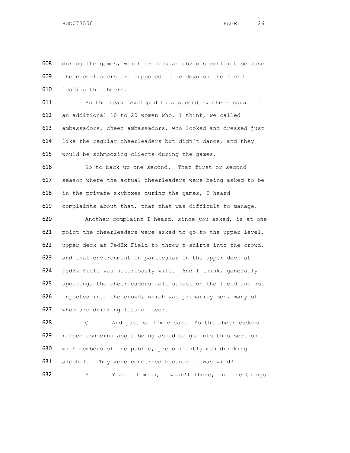during the games, which creates an obvious conflict because the cheerleaders are supposed to be down on the field leading the cheers.

611 So the team developed this secondary cheer squad of an additional 10 to 20 women who, I think, we called ambassadors, cheer ambassadors, who looked and dressed just like the regular cheerleaders but didn't dance, and they 615 would be schmoozing clients during the games.

616 So to back up one second. That first or second season where the actual cheerleaders were being asked to be in the private skyboxes during the games, I heard complaints about that, that that was difficult to manage.

 Another complaint I heard, since you asked, is at one point the cheerleaders were asked to go to the upper level, upper deck at FedEx Field to throw t-shirts into the crowd, and that environment in particular in the upper deck at FedEx Field was notoriously wild. And I think, generally speaking, the cheerleaders felt safest on the field and not injected into the crowd, which was primarily men, many of whom are drinking lots of beer.

 Q And just so I'm clear. So the cheerleaders raised concerns about being asked to go into this section with members of the public, predominantly men drinking 631 alcohol. They were concerned because it was wild? A Yeah. I mean, I wasn't there, but the things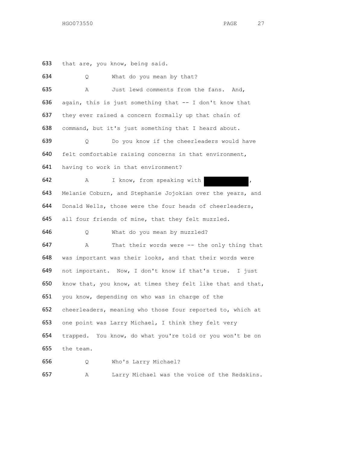that are, you know, being said.

| 634 | What do you mean by that?<br>Q.                             |
|-----|-------------------------------------------------------------|
| 635 | Just lewd comments from the fans. And,<br>Α                 |
| 636 | again, this is just something that -- I don't know that     |
| 637 | they ever raised a concern formally up that chain of        |
| 638 | command, but it's just something that I heard about.        |
| 639 | Do you know if the cheerleaders would have<br>0             |
| 640 | felt comfortable raising concerns in that environment,      |
| 641 | having to work in that environment?                         |
| 642 | I know, from speaking with<br>Α                             |
| 643 | Melanie Coburn, and Stephanie Jojokian over the years, and  |
| 644 | Donald Wells, those were the four heads of cheerleaders,    |
| 645 | all four friends of mine, that they felt muzzled.           |
| 646 | What do you mean by muzzled?<br>$\circ$                     |
| 647 | That their words were -- the only thing that<br>Α           |
| 648 | was important was their looks, and that their words were    |
| 649 | not important. Now, I don't know if that's true. I just     |
| 650 | know that, you know, at times they felt like that and that, |
| 651 | you know, depending on who was in charge of the             |
| 652 | cheerleaders, meaning who those four reported to, which at  |
| 653 | one point was Larry Michael, I think they felt very         |
| 654 | trapped. You know, do what you're told or you won't be on   |
| 655 | the team.                                                   |
| 656 | Who's Larry Michael?<br>Q                                   |

A Larry Michael was the voice of the Redskins.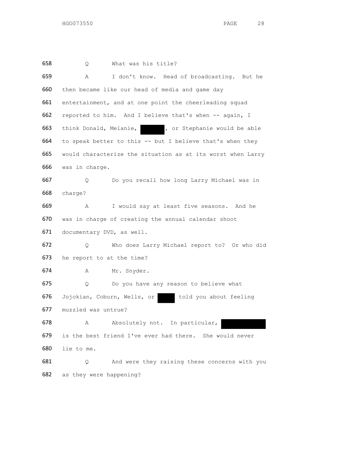Q What was his title? A I don't know. Head of broadcasting. But he 660 then became like our head of media and game day entertainment, and at one point the cheerleading squad reported to him. And I believe that's when -- again, I 663 think Donald, Melanie, , or Stephanie would be able to speak better to this -- but I believe that's when they would characterize the situation as at its worst when Larry was in charge. Q Do you recall how long Larry Michael was in charge? A I would say at least five seasons. And he was in charge of creating the annual calendar shoot documentary DVD, as well. Q Who does Larry Michael report to? Or who did he report to at the time? A Mr. Snyder. Q Do you have any reason to believe what 676 Jojokian, Coburn, Wells, or told you about feeling muzzled was untrue? 678 A Absolutely not. In particular, is the best friend I've ever had there. She would never lie to me. Q And were they raising these concerns with you as they were happening?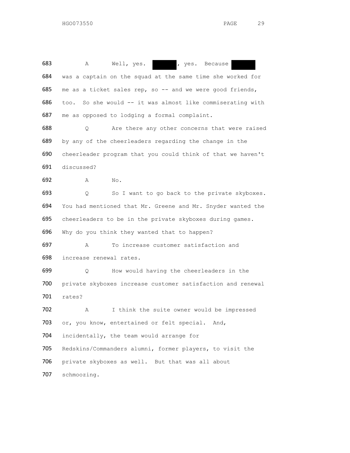683 A Well, yes. , yes. Because was a captain on the squad at the same time she worked for 685 me as a ticket sales rep, so -- and we were good friends, too. So she would -- it was almost like commiserating with me as opposed to lodging a formal complaint. 688 Q Are there any other concerns that were raised by any of the cheerleaders regarding the change in the cheerleader program that you could think of that we haven't discussed? A No. Q So I want to go back to the private skyboxes. You had mentioned that Mr. Greene and Mr. Snyder wanted the cheerleaders to be in the private skyboxes during games. Why do you think they wanted that to happen? A To increase customer satisfaction and increase renewal rates. Q How would having the cheerleaders in the private skyboxes increase customer satisfaction and renewal rates? A I think the suite owner would be impressed 703 or, you know, entertained or felt special. And, incidentally, the team would arrange for Redskins/Commanders alumni, former players, to visit the private skyboxes as well. But that was all about schmoozing.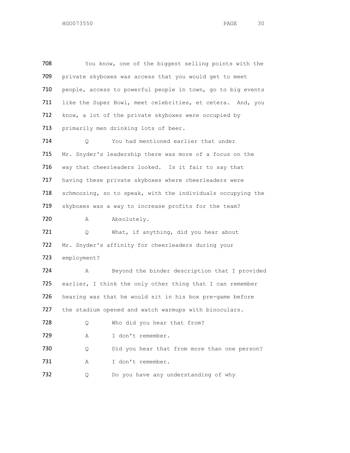| 708 |             | You know, one of the biggest selling points with the        |
|-----|-------------|-------------------------------------------------------------|
| 709 |             | private skyboxes was access that you would get to meet      |
| 710 |             | people, access to powerful people in town, go to big events |
| 711 |             | like the Super Bowl, meet celebrities, et cetera. And, you  |
| 712 |             | know, a lot of the private skyboxes were occupied by        |
| 713 |             | primarily men drinking lots of beer.                        |
| 714 | Q           | You had mentioned earlier that under                        |
| 715 |             | Mr. Snyder's leadership there was more of a focus on the    |
| 716 |             | way that cheerleaders looked. Is it fair to say that        |
| 717 |             | having these private skyboxes where cheerleaders were       |
| 718 |             | schmoozing, so to speak, with the individuals occupying the |
| 719 |             | skyboxes was a way to increase profits for the team?        |
| 720 | Α           | Absolutely.                                                 |
| 721 | Q           | What, if anything, did you hear about                       |
| 722 |             | Mr. Snyder's affinity for cheerleaders during your          |
| 723 | employment? |                                                             |
| 724 | Α           | Beyond the binder description that I provided               |
| 725 |             | earlier, I think the only other thing that I can remember   |
| 726 |             | hearing was that he would sit in his box pre-game before    |
| 727 |             | the stadium opened and watch warmups with binoculars.       |
| 728 | Q           | Who did you hear that from?                                 |
| 729 | Α           | I don't remember.                                           |
| 730 | Q           | Did you hear that from more than one person?                |
| 731 | Α           | I don't remember.                                           |
| 732 | Q           | Do you have any understanding of why                        |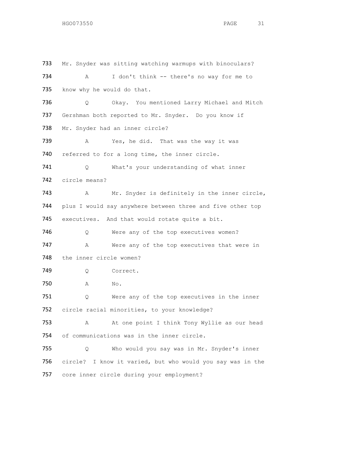733 Mr. Snyder was sitting watching warmups with binoculars? 734 A I don't think -- there's no way for me to 735 know why he would do that. 736 Q Okay. You mentioned Larry Michael and Mitch 737 Gershman both reported to Mr. Snyder. Do you know if 738 Mr. Snyder had an inner circle? 739 A Yes, he did. That was the way it was 740 referred to for a long time, the inner circle. 741 Q What's your understanding of what inner 742 circle means? 743 A Mr. Snyder is definitely in the inner circle, 744 plus I would say anywhere between three and five other top 745 executives. And that would rotate quite a bit. 746 Q Were any of the top executives women? 747 A Were any of the top executives that were in 748 the inner circle women? 749 Q Correct. 750 A No. 751 Q Were any of the top executives in the inner 752 circle racial minorities, to your knowledge? 753 A At one point I think Tony Wyllie as our head 754 of communications was in the inner circle. 755 Q Who would you say was in Mr. Snyder's inner 756 circle? I know it varied, but who would you say was in the 757 core inner circle during your employment?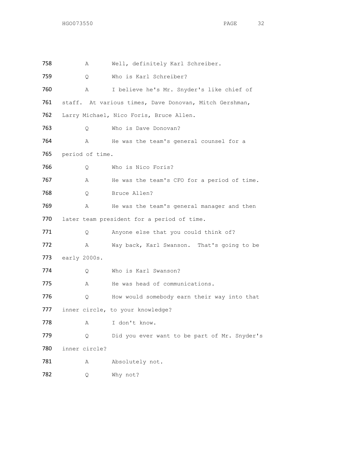| 758  | Α               | Well, definitely Karl Schreiber.                       |
|------|-----------------|--------------------------------------------------------|
| 759  | Q               | Who is Karl Schreiber?                                 |
| 760  | Α               | I believe he's Mr. Snyder's like chief of              |
| 761  |                 | staff. At various times, Dave Donovan, Mitch Gershman, |
| 762  |                 | Larry Michael, Nico Foris, Bruce Allen.                |
| 763  | Q.              | Who is Dave Donovan?                                   |
| 764  | Α               | He was the team's general counsel for a                |
| 765  | period of time. |                                                        |
| 766  | Q               | Who is Nico Foris?                                     |
| 767  | Α               | He was the team's CFO for a period of time.            |
| 768  | Q.              | Bruce Allen?                                           |
| 769  | Α               | He was the team's general manager and then             |
| 770  |                 | later team president for a period of time.             |
| 771  | Q.              | Anyone else that you could think of?                   |
| 772  | A               | Way back, Karl Swanson. That's going to be             |
| 773  | early 2000s.    |                                                        |
| 774  | Q               | Who is Karl Swanson?                                   |
| 775  | A               | He was head of communications.                         |
| 776  | Q.              | How would somebody earn their way into that            |
| 777. |                 | inner circle, to your knowledge?                       |
| 778  | Α               | I don't know.                                          |
| 779  | Q               | Did you ever want to be part of Mr. Snyder's           |
| 780  | inner circle?   |                                                        |
| 781  | Α               | Absolutely not.                                        |
| 782  | Q               | Why not?                                               |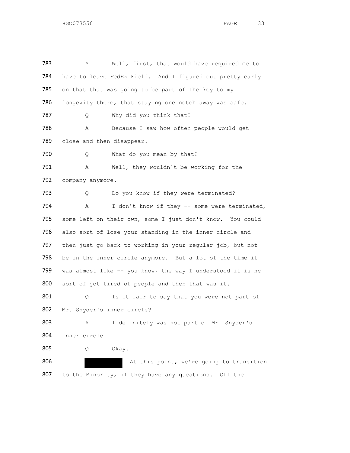783 A Well, first, that would have required me to 784 have to leave FedEx Field. And I figured out pretty early 785 on that that was going to be part of the key to my 786 longevity there, that staying one notch away was safe. 787 Q Why did you think that? 788 A Because I saw how often people would get 789 close and then disappear. 790 Q What do you mean by that? 791 A Well, they wouldn't be working for the 792 company anymore. 793 O Do you know if they were terminated? 794 A I don't know if they -- some were terminated, 795 some left on their own, some I just don't know. You could 796 also sort of lose your standing in the inner circle and 797 then just go back to working in your regular job, but not 798 be in the inner circle anymore. But a lot of the time it 799 was almost like -- you know, the way I understood it is he 800 sort of got tired of people and then that was it. 801 Q Is it fair to say that you were not part of 802 Mr. Snyder's inner circle? 803 A I definitely was not part of Mr. Snyder's 804 inner circle. 805 Q Okay. 806 At this point, we're going to transition 807 to the Minority, if they have any questions. Off the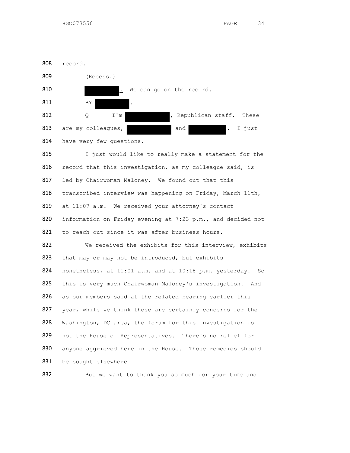

815 I just would like to really make a statement for the 816 record that this investigation, as my colleague said, is 817 led by Chairwoman Maloney. We found out that this 818 transcribed interview was happening on Friday, March 11th, 819 at 11:07 a.m. We received your attorney's contact 820 information on Friday evening at 7:23 p.m., and decided not 821 to reach out since it was after business hours. 822 We received the exhibits for this interview, exhibits 823 that may or may not be introduced, but exhibits 824 nonetheless, at 11:01 a.m. and at 10:18 p.m. yesterday. So 825 this is very much Chairwoman Maloney's investigation. And 826 as our members said at the related hearing earlier this 827 year, while we think these are certainly concerns for the 828 Washington, DC area, the forum for this investigation is 829 not the House of Representatives. There's no relief for 830 anyone aggrieved here in the House. Those remedies should 831 be sought elsewhere.



832 But we want to thank you so much for your time and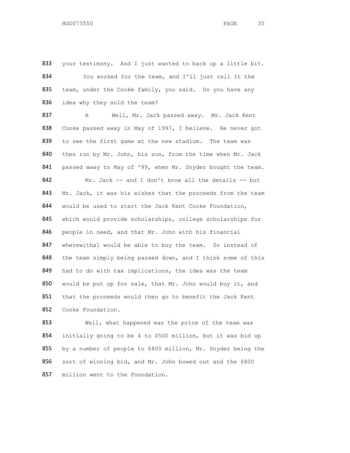833 your testimony. And I just wanted to back up a little bit. 834 You worked for the team, and I'll just call it the 835 team, under the Cooke family, you said. Do you have any 836 idea why they sold the team?

837 A Well, Mr. Jack passed away. Mr. Jack Kent 838 Cooke passed away in May of 1997, I believe. He never got 839 to see the first game at the new stadium. The team was 840 then run by Mr. John, his son, from the time when Mr. Jack 841 passed away to May of '99, when Mr. Snyder bought the team. 842 Mr. Jack -- and I don't know all the details -- but 843 Mr. Jack, it was his wishes that the proceeds from the team 844 would be used to start the Jack Kent Cooke Foundation, 845 which would provide scholarships, college scholarships for 846 people in need, and that Mr. John with his financial 847 wherewithal would be able to buy the team. So instead of 848 the team simply being passed down, and I think some of this 849 had to do with tax implications, the idea was the team 850 would be put up for sale, that Mr. John would buy it, and 851 that the proceeds would then go to benefit the Jack Kent 852 Cooke Foundation.

853 Well, what happened was the price of the team was 854 initially going to be 4 to \$500 million, but it was bid up 855 by a number of people to \$800 million, Mr. Snyder being the 856 sort of winning bid, and Mr. John bowed out and the \$800 857 million went to the Foundation.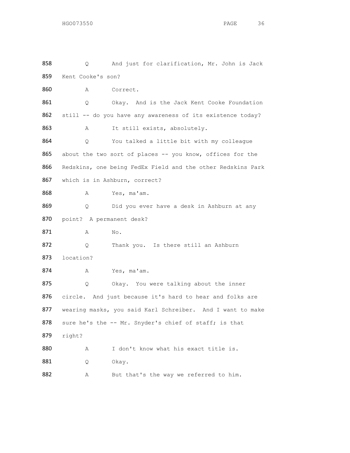858 Q And just for clarification, Mr. John is Jack 859 Kent Cooke's son? 860 A Correct. 861 Q Okay. And is the Jack Kent Cooke Foundation 862 still -- do you have any awareness of its existence today? 863 A It still exists, absolutely. 864 Q You talked a little bit with my colleague 865 about the two sort of places -- you know, offices for the 866 Redskins, one being FedEx Field and the other Redskins Park 867 which is in Ashburn, correct? 868 A Yes, ma'am. 869 Q Did you ever have a desk in Ashburn at any 870 point? A permanent desk? 871 A No. 872 Q Thank you. Is there still an Ashburn 873 location? 874 A Yes, ma'am. 875 Q Okay. You were talking about the inner 876 circle. And just because it's hard to hear and folks are 877 wearing masks, you said Karl Schreiber. And I want to make 878 sure he's the -- Mr. Snyder's chief of staff; is that 879 right? 880 A I don't know what his exact title is. 881 Q Okay. 882 A But that's the way we referred to him.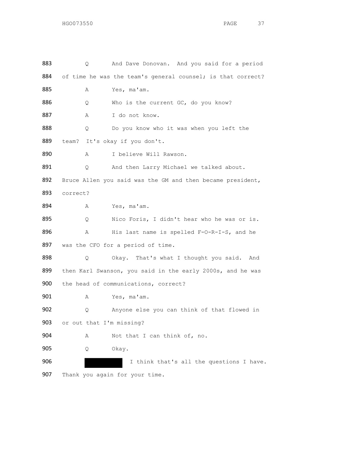| 883 | Q.                       | And Dave Donovan. And you said for a period                 |
|-----|--------------------------|-------------------------------------------------------------|
| 884 |                          | of time he was the team's general counsel; is that correct? |
| 885 | Α                        | Yes, ma'am.                                                 |
| 886 | Q                        | Who is the current GC, do you know?                         |
| 887 | Α                        | I do not know.                                              |
| 888 | Q                        | Do you know who it was when you left the                    |
| 889 |                          | team? It's okay if you don't.                               |
| 890 | Α                        | I believe Will Rawson.                                      |
| 891 | Q.                       | And then Larry Michael we talked about.                     |
| 892 |                          | Bruce Allen you said was the GM and then became president,  |
| 893 | correct?                 |                                                             |
| 894 | Α                        | Yes, ma'am.                                                 |
| 895 | Q                        | Nico Foris, I didn't hear who he was or is.                 |
| 896 | Α                        | His last name is spelled F-O-R-I-S, and he                  |
| 897 |                          | was the CFO for a period of time.                           |
| 898 | Q                        | Okay. That's what I thought you said.<br>And                |
| 899 |                          | then Karl Swanson, you said in the early 2000s, and he was  |
| 900 |                          | the head of communications, correct?                        |
| 901 | Α                        | Yes, ma'am.                                                 |
| 902 | Q                        | Anyone else you can think of that flowed in                 |
| 903 | or out that I'm missing? |                                                             |
| 904 | Α                        | Not that I can think of, no.                                |
| 905 | Q                        | Okay.                                                       |
| 906 |                          | I think that's all the questions I have.                    |
| 907 |                          | Thank you again for your time.                              |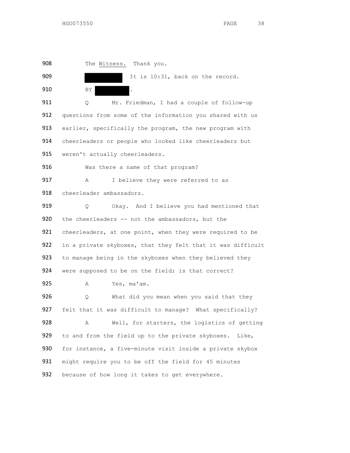908 The Witness. Thank you. 909 **It is 10:31, back on the record.** 910 BY . 911 Q Mr. Friedman, I had a couple of follow-up 912 questions from some of the information you shared with us 913 earlier, specifically the program, the new program with 914 cheerleaders or people who looked like cheerleaders but 915 weren't actually cheerleaders. 916 Was there a name of that program? 917 A I believe they were referred to as 918 cheerleader ambassadors. 919 Q Okay. And I believe you had mentioned that 920 the cheerleaders -- not the ambassadors, but the 921 cheerleaders, at one point, when they were required to be 922 in a private skyboxes, that they felt that it was difficult 923 to manage being in the skyboxes when they believed they 924 were supposed to be on the field; is that correct? 925 A Yes, ma'am. 926 Q What did you mean when you said that they 927 felt that it was difficult to manage? What specifically? 928 A Well, for starters, the logistics of getting 929 to and from the field up to the private skyboxes. Like, 930 for instance, a five-minute visit inside a private skybox 931 might require you to be off the field for 45 minutes 932 because of how long it takes to get everywhere.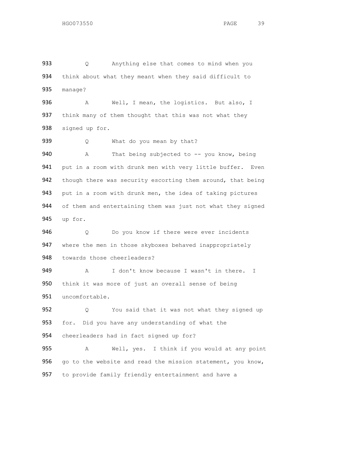933 Q Anything else that comes to mind when you 934 think about what they meant when they said difficult to 935 manage?

936 A Well, I mean, the logistics. But also, I 937 think many of them thought that this was not what they 938 signed up for.

939 Q What do you mean by that? 940 A That being subjected to -- you know, being 941 put in a room with drunk men with very little buffer. Even 942 though there was security escorting them around, that being 943 put in a room with drunk men, the idea of taking pictures 944 of them and entertaining them was just not what they signed 945 up for.

946 Q Do you know if there were ever incidents 947 where the men in those skyboxes behaved inappropriately 948 towards those cheerleaders?

949 A I don't know because I wasn't in there. I 950 think it was more of just an overall sense of being 951 uncomfortable.

952 Q You said that it was not what they signed up 953 for. Did you have any understanding of what the 954 cheerleaders had in fact signed up for?

955 A Well, yes. I think if you would at any point 956 go to the website and read the mission statement, you know, 957 to provide family friendly entertainment and have a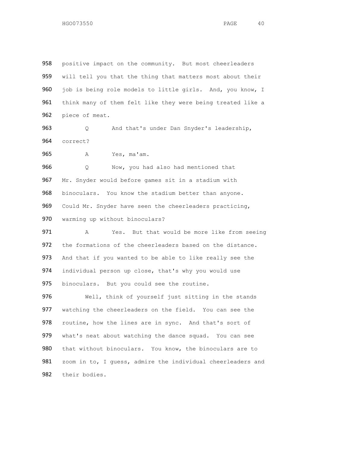958 positive impact on the community. But most cheerleaders 959 will tell you that the thing that matters most about their 960 job is being role models to little girls. And, you know, I 961 think many of them felt like they were being treated like a 962 piece of meat.

963 Q And that's under Dan Snyder's leadership, 964 correct?

965 A Yes, ma'am.

 Q Now, you had also had mentioned that Mr. Snyder would before games sit in a stadium with 968 binoculars. You know the stadium better than anyone. Could Mr. Snyder have seen the cheerleaders practicing, warming up without binoculars?

971 A Yes. But that would be more like from seeing 972 the formations of the cheerleaders based on the distance. 973 And that if you wanted to be able to like really see the 974 individual person up close, that's why you would use 975 binoculars. But you could see the routine.

976 Well, think of yourself just sitting in the stands 977 watching the cheerleaders on the field. You can see the 978 routine, how the lines are in sync. And that's sort of 979 what's neat about watching the dance squad. You can see 980 that without binoculars. You know, the binoculars are to 981 zoom in to, I guess, admire the individual cheerleaders and 982 their bodies.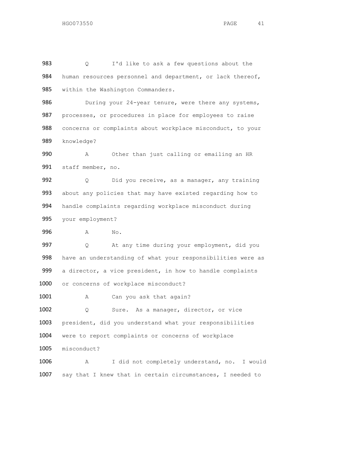983 Q I'd like to ask a few questions about the 984 human resources personnel and department, or lack thereof, 985 within the Washington Commanders.

986 During your 24-year tenure, were there any systems, 987 processes, or procedures in place for employees to raise 988 concerns or complaints about workplace misconduct, to your 989 knowledge?

990 A Other than just calling or emailing an HR 991 staff member, no.

 Q Did you receive, as a manager, any training about any policies that may have existed regarding how to handle complaints regarding workplace misconduct during your employment?

996 A No.

997 Q At any time during your employment, did you 998 have an understanding of what your responsibilities were as 999 a director, a vice president, in how to handle complaints 1000 or concerns of workplace misconduct?

1001 A Can you ask that again?

1002 Q Sure. As a manager, director, or vice 1003 president, did you understand what your responsibilities 1004 were to report complaints or concerns of workplace 1005 misconduct?

1006 A I did not completely understand, no. I would 1007 say that I knew that in certain circumstances, I needed to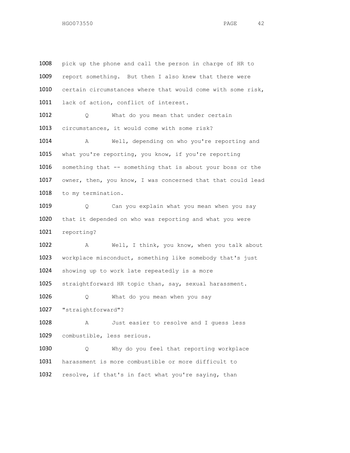1008 pick up the phone and call the person in charge of HR to 1009 report something. But then I also knew that there were 1010 certain circumstances where that would come with some risk, 1011 lack of action, conflict of interest. 1012 Q What do you mean that under certain 1013 circumstances, it would come with some risk? 1014 A Well, depending on who you're reporting and 1015 what you're reporting, you know, if you're reporting 1016 something that -- something that is about your boss or the 1017 owner, then, you know, I was concerned that that could lead 1018 to my termination. 1019 Q Can you explain what you mean when you say 1020 that it depended on who was reporting and what you were 1021 reporting? 1022 A Well, I think, you know, when you talk about 1023 workplace misconduct, something like somebody that's just 1024 showing up to work late repeatedly is a more 1025 straightforward HR topic than, say, sexual harassment. 1026 Q What do you mean when you say 1027 "straightforward"? 1028 A Just easier to resolve and I guess less 1029 combustible, less serious. 1030 Q Why do you feel that reporting workplace 1031 harassment is more combustible or more difficult to 1032 resolve, if that's in fact what you're saying, than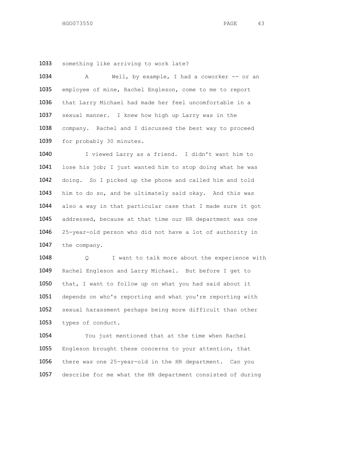something like arriving to work late?

1034 A Well, by example, I had a coworker -- or an employee of mine, Rachel Engleson, come to me to report that Larry Michael had made her feel uncomfortable in a sexual manner. I knew how high up Larry was in the company. Rachel and I discussed the best way to proceed 1039 for probably 30 minutes.

1040 I viewed Larry as a friend. I didn't want him to 1041 lose his job; I just wanted him to stop doing what he was doing. So I picked up the phone and called him and told him to do so, and he ultimately said okay. And this was 1044 also a way in that particular case that I made sure it got addressed, because at that time our HR department was one 25-year-old person who did not have a lot of authority in the company.

 Q I want to talk more about the experience with Rachel Engleson and Larry Michael. But before I get to that, I want to follow up on what you had said about it depends on who's reporting and what you're reporting with sexual harassment perhaps being more difficult than other types of conduct.

 You just mentioned that at the time when Rachel Engleson brought these concerns to your attention, that there was one 25-year-old in the HR department. Can you describe for me what the HR department consisted of during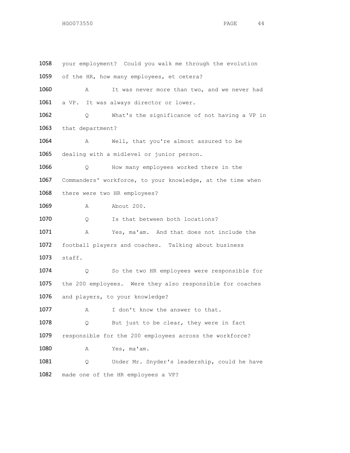| 1058 | your employment? Could you walk me through the evolution   |
|------|------------------------------------------------------------|
| 1059 | of the HR, how many employees, et cetera?                  |
| 1060 | It was never more than two, and we never had<br>Α          |
| 1061 | a VP. It was always director or lower.                     |
| 1062 | What's the significance of not having a VP in<br>Q.        |
| 1063 | that department?                                           |
| 1064 | Well, that you're almost assured to be<br>Α                |
| 1065 | dealing with a midlevel or junior person.                  |
| 1066 | How many employees worked there in the<br>Q.               |
| 1067 | Commanders' workforce, to your knowledge, at the time when |
| 1068 | there were two HR employees?                               |
| 1069 | About 200.<br>Α                                            |
| 1070 | Is that between both locations?<br>Q                       |
| 1071 | Yes, ma'am. And that does not include the<br>Α             |
| 1072 | football players and coaches. Talking about business       |
| 1073 | staff.                                                     |
| 1074 | So the two HR employees were responsible for<br>Q          |
| 1075 | the 200 employees. Were they also responsible for coaches  |
| 1076 | and players, to your knowledge?                            |
| 1077 | I don't know the answer to that.<br>Α                      |
| 1078 | But just to be clear, they were in fact<br>Q               |
| 1079 | responsible for the 200 employees across the workforce?    |
| 1080 | Yes, ma'am.<br>Α                                           |
| 1081 | Under Mr. Snyder's leadership, could he have<br>Q          |
| 1082 | made one of the HR employees a VP?                         |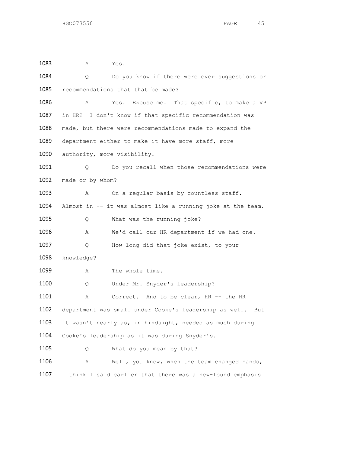| 1083 | Α                | Yes.                                                          |
|------|------------------|---------------------------------------------------------------|
| 1084 | Q.               | Do you know if there were ever suggestions or                 |
| 1085 |                  | recommendations that that be made?                            |
| 1086 | Α                | Yes. Excuse me. That specific, to make a VP                   |
| 1087 |                  | in HR? I don't know if that specific recommendation was       |
| 1088 |                  | made, but there were recommendations made to expand the       |
| 1089 |                  | department either to make it have more staff, more            |
| 1090 |                  | authority, more visibility.                                   |
| 1091 | Q.               | Do you recall when those recommendations were                 |
| 1092 | made or by whom? |                                                               |
| 1093 | Α                | On a regular basis by countless staff.                        |
| 1094 |                  | Almost in -- it was almost like a running joke at the team.   |
| 1095 | Q.               | What was the running joke?                                    |
| 1096 | Α                | We'd call our HR department if we had one.                    |
| 1097 | Q                | How long did that joke exist, to your                         |
| 1098 | knowledge?       |                                                               |
| 1099 | Α                | The whole time.                                               |
| 1100 | Q.               | Under Mr. Snyder's leadership?                                |
| 1101 | Α                | Correct. And to be clear, HR -- the HR                        |
| 1102 |                  | department was small under Cooke's leadership as well.<br>But |
| 1103 |                  | it wasn't nearly as, in hindsight, needed as much during      |
| 1104 |                  | Cooke's leadership as it was during Snyder's.                 |
| 1105 | Q                | What do you mean by that?                                     |
| 1106 | Α                | Well, you know, when the team changed hands,                  |
| 1107 |                  | I think I said earlier that there was a new-found emphasis    |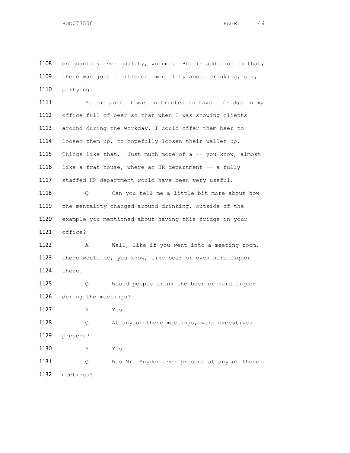1108 on quantity over quality, volume. But in addition to that, 1109 there was just a different mentality about drinking, sex, 1110 partying.

1111 At one point I was instructed to have a fridge in my 1112 office full of beer so that when I was showing clients 1113 around during the workday, I could offer them beer to 1114 loosen them up, to hopefully loosen their wallet up. 1115 Things like that. Just much more of a -- you know, almost 1116 like a frat house, where an HR department -- a fully 1117 staffed HR department would have been very useful. 1118 Q Can you tell me a little bit more about how 1119 the mentality changed around drinking, outside of the 1120 example you mentioned about having this fridge in your 1121 office? 1122 A Well, like if you went into a meeting room, 1123 there would be, you know, like beer or even hard liquor 1124 there. 1125 Q Would people drink the beer or hard liquor 1126 during the meetings? 1127 A Yes. 1128 Q At any of these meetings, were executives 1129 present? 1130 A Yes.

1131 Q Was Mr. Snyder ever present at any of these 1132 meetings?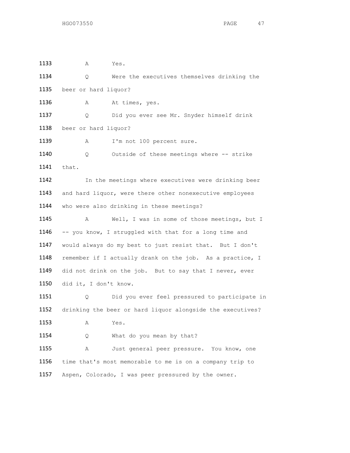| 1133 | Α                     | Yes.                                                       |
|------|-----------------------|------------------------------------------------------------|
| 1134 | Q                     | Were the executives themselves drinking the                |
| 1135 | beer or hard liquor?  |                                                            |
| 1136 | Α                     | At times, yes.                                             |
| 1137 | Q                     | Did you ever see Mr. Snyder himself drink                  |
| 1138 | beer or hard liquor?  |                                                            |
| 1139 | Α                     | I'm not 100 percent sure.                                  |
| 1140 | Q.                    | Outside of these meetings where -- strike                  |
| 1141 | that.                 |                                                            |
| 1142 |                       | In the meetings where executives were drinking beer        |
| 1143 |                       | and hard liquor, were there other nonexecutive employees   |
| 1144 |                       | who were also drinking in these meetings?                  |
| 1145 | Α                     | Well, I was in some of those meetings, but I               |
| 1146 |                       | -- you know, I struggled with that for a long time and     |
| 1147 |                       | would always do my best to just resist that. But I don't   |
| 1148 |                       | remember if I actually drank on the job. As a practice, I  |
| 1149 |                       | did not drink on the job. But to say that I never, ever    |
| 1150 | did it, I don't know. |                                                            |
| 1151 | Q                     | Did you ever feel pressured to participate in              |
| 1152 |                       | drinking the beer or hard liquor alongside the executives? |
| 1153 | Α                     | Yes.                                                       |
| 1154 | Q                     | What do you mean by that?                                  |
| 1155 | Α                     | Just general peer pressure. You know, one                  |
| 1156 |                       | time that's most memorable to me is on a company trip to   |
| 1157 |                       | Aspen, Colorado, I was peer pressured by the owner.        |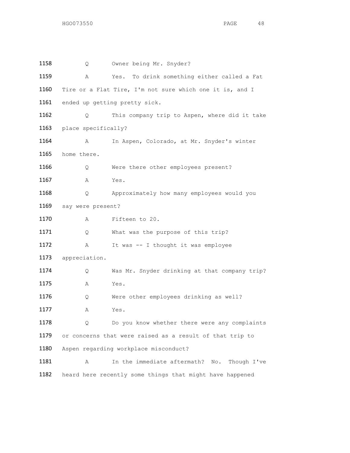1158 Q Owner being Mr. Snyder? A Yes. To drink something either called a Fat Tire or a Flat Tire, I'm not sure which one it is, and I 1161 ended up getting pretty sick. Q This company trip to Aspen, where did it take place specifically? A In Aspen, Colorado, at Mr. Snyder's winter home there. Q Were there other employees present? A Yes. 1168 0 Approximately how many employees would you say were present? A Fifteen to 20. 1171 Q What was the purpose of this trip? 1172 A It was -- I thought it was employee appreciation. Q Was Mr. Snyder drinking at that company trip? A Yes. Q Were other employees drinking as well? A Yes. 1178 Q Do you know whether there were any complaints or concerns that were raised as a result of that trip to Aspen regarding workplace misconduct? A In the immediate aftermath? No. Though I've heard here recently some things that might have happened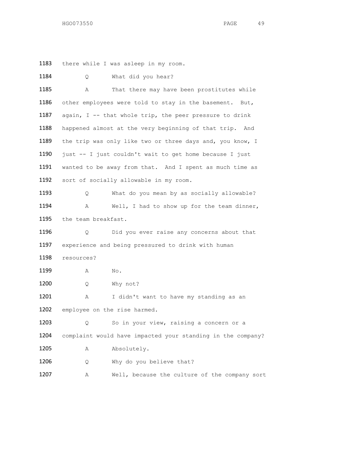1183 there while I was asleep in my room.

| 1184 | Q                   | What did you hear?                                          |
|------|---------------------|-------------------------------------------------------------|
| 1185 | Α                   | That there may have been prostitutes while                  |
| 1186 |                     | other employees were told to stay in the basement. But,     |
| 1187 |                     | again, I -- that whole trip, the peer pressure to drink     |
| 1188 |                     | happened almost at the very beginning of that trip. And     |
| 1189 |                     | the trip was only like two or three days and, you know, I   |
| 1190 |                     | just -- I just couldn't wait to get home because I just     |
| 1191 |                     | wanted to be away from that. And I spent as much time as    |
| 1192 |                     | sort of socially allowable in my room.                      |
| 1193 | Q.                  | What do you mean by as socially allowable?                  |
| 1194 | Α                   | Well, I had to show up for the team dinner,                 |
| 1195 | the team breakfast. |                                                             |
| 1196 | Q                   | Did you ever raise any concerns about that                  |
| 1197 |                     | experience and being pressured to drink with human          |
| 1198 | resources?          |                                                             |
| 1199 | Α                   | No.                                                         |
| 1200 | Q.                  | Why not?                                                    |
| 1201 | А                   | I didn't want to have my standing as an                     |
| 1202 |                     | employee on the rise harmed.                                |
| 1203 | Q.                  | So in your view, raising a concern or a                     |
| 1204 |                     | complaint would have impacted your standing in the company? |
| 1205 | Α                   | Absolutely.                                                 |
| 1206 | Q                   | Why do you believe that?                                    |
| 1207 | Α                   | Well, because the culture of the company sort               |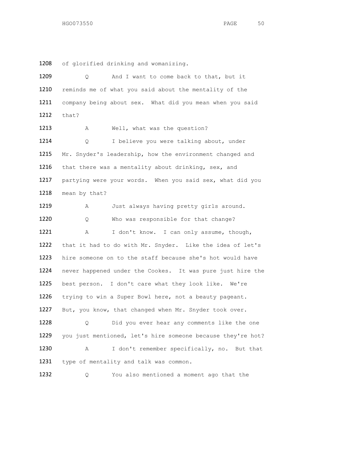of glorified drinking and womanizing.

| 1209 | And I want to come back to that, but it<br>Q                |
|------|-------------------------------------------------------------|
| 1210 | reminds me of what you said about the mentality of the      |
| 1211 | company being about sex. What did you mean when you said    |
| 1212 | that?                                                       |
| 1213 | Well, what was the question?<br>Α                           |
| 1214 | I believe you were talking about, under<br>Q                |
| 1215 | Mr. Snyder's leadership, how the environment changed and    |
| 1216 | that there was a mentality about drinking, sex, and         |
| 1217 | partying were your words. When you said sex, what did you   |
| 1218 | mean by that?                                               |
| 1219 | Just always having pretty girls around.<br>Α                |
| 1220 | Who was responsible for that change?<br>Q                   |
| 1221 | I don't know. I can only assume, though,<br>Α               |
| 1222 | that it had to do with Mr. Snyder. Like the idea of let's   |
| 1223 | hire someone on to the staff because she's hot would have   |
| 1224 | never happened under the Cookes. It was pure just hire the  |
| 1225 | best person. I don't care what they look like. We're        |
| 1226 | trying to win a Super Bowl here, not a beauty pageant.      |
| 1227 | But, you know, that changed when Mr. Snyder took over.      |
| 1228 | Did you ever hear any comments like the one<br>Q            |
| 1229 | you just mentioned, let's hire someone because they're hot? |
| 1230 | I don't remember specifically, no. But that<br>Α            |
| 1231 | type of mentality and talk was common.                      |
| 1232 | You also mentioned a moment ago that the<br>Q               |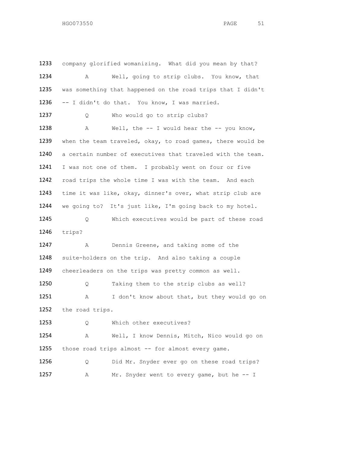1233 company glorified womanizing. What did you mean by that? A Well, going to strip clubs. You know, that was something that happened on the road trips that I didn't -- I didn't do that. You know, I was married. 1237 Q Who would go to strip clubs? A Well, the -- I would hear the -- you know, 1239 when the team traveled, okay, to road games, there would be a certain number of executives that traveled with the team. I was not one of them. I probably went on four or five road trips the whole time I was with the team. And each time it was like, okay, dinner's over, what strip club are we going to? It's just like, I'm going back to my hotel. Q Which executives would be part of these road trips? A Dennis Greene, and taking some of the suite-holders on the trip. And also taking a couple cheerleaders on the trips was pretty common as well. Q Taking them to the strip clubs as well? A I don't know about that, but they would go on the road trips. 1253 Q Which other executives? A Well, I know Dennis, Mitch, Nico would go on 1255 those road trips almost -- for almost every game. Q Did Mr. Snyder ever go on these road trips? A Mr. Snyder went to every game, but he -- I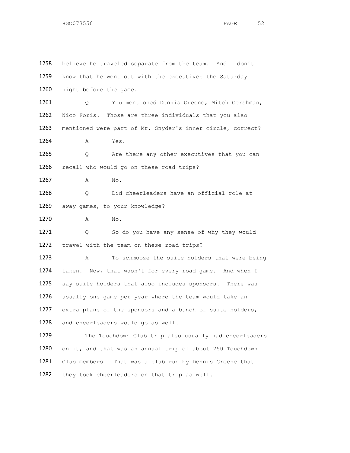1258 believe he traveled separate from the team. And I don't 1259 know that he went out with the executives the Saturday 1260 night before the game. 1261 Q You mentioned Dennis Greene, Mitch Gershman, 1262 Nico Foris. Those are three individuals that you also 1263 mentioned were part of Mr. Snyder's inner circle, correct? 1264 **A** Yes. 1265 Q Are there any other executives that you can 1266 recall who would go on these road trips? 1267 A No. 1268 0 Did cheerleaders have an official role at 1269 away games, to your knowledge? 1270 A No. 1271 Q So do you have any sense of why they would 1272 travel with the team on these road trips? 1273 A To schmooze the suite holders that were being 1274 taken. Now, that wasn't for every road game. And when I 1275 say suite holders that also includes sponsors. There was 1276 usually one game per year where the team would take an 1277 extra plane of the sponsors and a bunch of suite holders, 1278 and cheerleaders would go as well. 1279 The Touchdown Club trip also usually had cheerleaders 1280 on it, and that was an annual trip of about 250 Touchdown 1281 Club members. That was a club run by Dennis Greene that 1282 they took cheerleaders on that trip as well.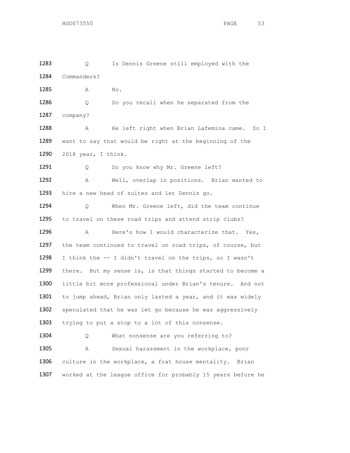1283 Q Is Dennis Greene still employed with the 1284 Commanders? 1285 A No. 1286 Q Do you recall when he separated from the 1287 company? 1288 A He left right when Brian Lafemina came. So I 1289 want to say that would be right at the beginning of the 1290 2018 year, I think. 1291 Q Do you know why Mr. Greene left? 1292 A Well, overlap in positions. Brian wanted to 1293 hire a new head of suites and let Dennis go. 1294 Q When Mr. Greene left, did the team continue 1295 to travel on these road trips and attend strip clubs? 1296 A Here's how I would characterize that. Yes, 1297 the team continued to travel on road trips, of course, but 1298 I think the -- I didn't travel on the trips, so I wasn't 1299 there. But my sense is, is that things started to become a 1300 little bit more professional under Brian's tenure. And not 1301 to jump ahead, Brian only lasted a year, and it was widely 1302 speculated that he was let go because he was aggressively 1303 trying to put a stop to a lot of this nonsense. 1304 Q What nonsense are you referring to? 1305 A Sexual harassment in the workplace, poor 1306 culture in the workplace, a frat house mentality. Brian 1307 worked at the league office for probably 15 years before he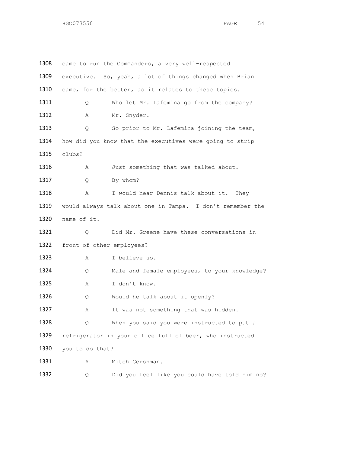| 1308 |                           | came to run the Commanders, a very well-respected          |
|------|---------------------------|------------------------------------------------------------|
| 1309 |                           | executive. So, yeah, a lot of things changed when Brian    |
| 1310 |                           | came, for the better, as it relates to these topics.       |
| 1311 | Q.                        | Who let Mr. Lafemina go from the company?                  |
| 1312 | Α                         | Mr. Snyder.                                                |
| 1313 | Q.                        | So prior to Mr. Lafemina joining the team,                 |
| 1314 |                           | how did you know that the executives were going to strip   |
| 1315 | clubs?                    |                                                            |
| 1316 | Α                         | Just something that was talked about.                      |
| 1317 | Q                         | By whom?                                                   |
| 1318 | Α                         | I would hear Dennis talk about it.<br>Thev                 |
| 1319 |                           | would always talk about one in Tampa. I don't remember the |
| 1320 | name of it.               |                                                            |
| 1321 | Q.                        | Did Mr. Greene have these conversations in                 |
| 1322 | front of other employees? |                                                            |
| 1323 | Α                         | I believe so.                                              |
| 1324 | Q                         | Male and female employees, to your knowledge?              |
| 1325 | Α                         | I don't know.                                              |
| 1326 | Q                         | Would he talk about it openly?                             |
| 1327 | Α                         | It was not something that was hidden.                      |
| 1328 | Q                         | When you said you were instructed to put a                 |
| 1329 |                           | refrigerator in your office full of beer, who instructed   |
| 1330 | you to do that?           |                                                            |
| 1331 | Α                         | Mitch Gershman.                                            |
| 1332 | Q                         | Did you feel like you could have told him no?              |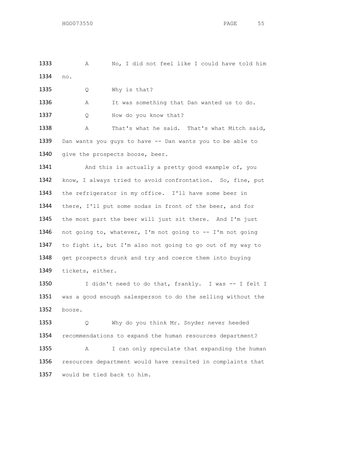A No, I did not feel like I could have told him no.

1335 Q Why is that?

A It was something that Dan wanted us to do.

1337 Q How do you know that?

 A That's what he said. That's what Mitch said, 1339 Dan wants you guys to have -- Dan wants you to be able to 1340 give the prospects booze, beer.

1341 And this is actually a pretty good example of, you know, I always tried to avoid confrontation. So, fine, put the refrigerator in my office. I'll have some beer in 1344 there, I'll put some sodas in front of the beer, and for the most part the beer will just sit there. And I'm just not going to, whatever, I'm not going to -- I'm not going to fight it, but I'm also not going to go out of my way to 1348 get prospects drunk and try and coerce them into buying tickets, either.

1350 I didn't need to do that, frankly. I was -- I felt I was a good enough salesperson to do the selling without the booze.

 Q Why do you think Mr. Snyder never heeded recommendations to expand the human resources department? A I can only speculate that expanding the human resources department would have resulted in complaints that would be tied back to him.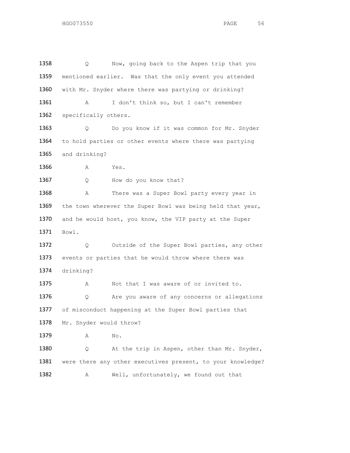1358 Q Now, going back to the Aspen trip that you 1359 mentioned earlier. Was that the only event you attended 1360 with Mr. Snyder where there was partying or drinking? 1361 A I don't think so, but I can't remember 1362 specifically others. 1363 Q Do you know if it was common for Mr. Snyder 1364 to hold parties or other events where there was partying 1365 and drinking? 1366 A Yes. 1367 Q How do you know that? 1368 A There was a Super Bowl party every year in 1369 the town wherever the Super Bowl was being held that year, 1370 and he would host, you know, the VIP party at the Super 1371 Bowl. 1372 Q Outside of the Super Bowl parties, any other 1373 events or parties that he would throw where there was 1374 drinking? 1375 A Not that I was aware of or invited to. 1376 Q Are you aware of any concerns or allegations 1377 of misconduct happening at the Super Bowl parties that 1378 Mr. Snyder would throw? 1379 A No. 1380 Q At the trip in Aspen, other than Mr. Snyder, 1381 were there any other executives present, to your knowledge? 1382 A Well, unfortunately, we found out that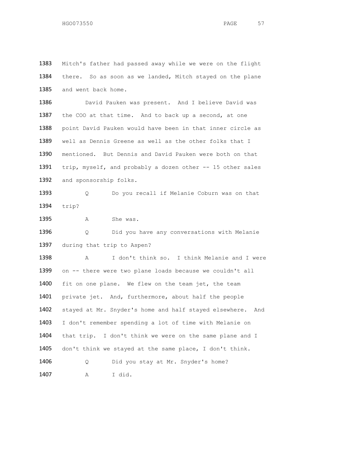1383 Mitch's father had passed away while we were on the flight 1384 there. So as soon as we landed, Mitch stayed on the plane 1385 and went back home. 1386 David Pauken was present. And I believe David was 1387 the COO at that time. And to back up a second, at one 1388 point David Pauken would have been in that inner circle as 1389 well as Dennis Greene as well as the other folks that I 1390 mentioned. But Dennis and David Pauken were both on that 1391 trip, myself, and probably a dozen other -- 15 other sales 1392 and sponsorship folks. 1393 0 Do you recall if Melanie Coburn was on that 1394 trip? 1395 A She was. 1396 Q Did you have any conversations with Melanie 1397 during that trip to Aspen? 1398 A I don't think so. I think Melanie and I were 1399 on -- there were two plane loads because we couldn't all 1400 fit on one plane. We flew on the team jet, the team 1401 private jet. And, furthermore, about half the people 1402 stayed at Mr. Snyder's home and half stayed elsewhere. And 1403 I don't remember spending a lot of time with Melanie on 1404 that trip. I don't think we were on the same plane and I 1405 don't think we stayed at the same place, I don't think. 1406 Q Did you stay at Mr. Snyder's home? 1407 A I did.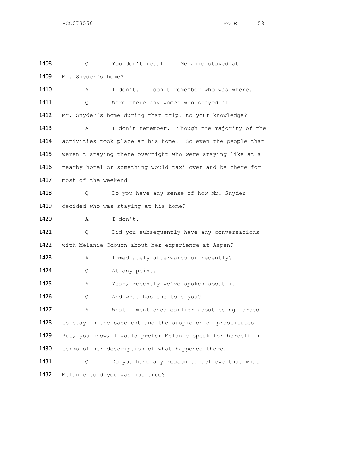1408 Q You don't recall if Melanie stayed at 1409 Mr. Snyder's home? 1410 A I don't. I don't remember who was where. 1411 Q Were there any women who stayed at 1412 Mr. Snyder's home during that trip, to your knowledge? 1413 A I don't remember. Though the majority of the 1414 activities took place at his home. So even the people that 1415 weren't staying there overnight who were staying like at a 1416 nearby hotel or something would taxi over and be there for 1417 most of the weekend. 1418 O Do you have any sense of how Mr. Snyder 1419 decided who was staying at his home? 1420 A I don't. 1421 Q Did you subsequently have any conversations 1422 with Melanie Coburn about her experience at Aspen? 1423 A Immediately afterwards or recently? 1424 Q At any point. 1425 A Yeah, recently we've spoken about it. 1426 Q And what has she told you? 1427 A What I mentioned earlier about being forced 1428 to stay in the basement and the suspicion of prostitutes. 1429 But, you know, I would prefer Melanie speak for herself in 1430 terms of her description of what happened there. 1431 Q Do you have any reason to believe that what 1432 Melanie told you was not true?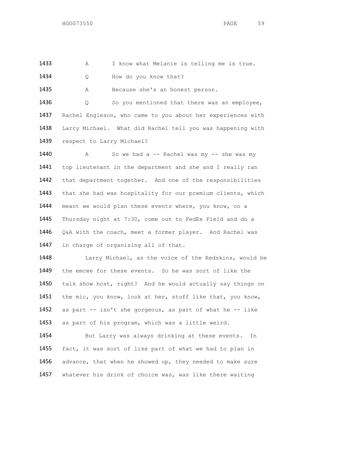1433 A I know what Melanie is telling me is true.

1434 Q How do you know that?

1435 A Because she's an honest person.

1436 Q So you mentioned that there was an employee, 1437 Rachel Engleson, who came to you about her experiences with 1438 Larry Michael. What did Rachel tell you was happening with 1439 respect to Larry Michael?

1440 A So we had a -- Rachel was my -- she was my 1441 top lieutenant in the department and she and I really ran 1442 that department together. And one of the responsibilities 1443 that she had was hospitality for our premium clients, which 1444 meant we would plan these events where, you know, on a 1445 Thursday night at 7:30, come out to FedEx Field and do a 1446 Q&A with the coach, meet a former player. And Rachel was 1447 in charge of organizing all of that.

 Larry Michael, as the voice of the Redskins, would be the emcee for these events. So he was sort of like the talk show host, right? And he would actually say things on the mic, you know, look at her, stuff like that, you know, as part -- isn't she gorgeous, as part of what he -- like as part of his program, which was a little weird.

1454 But Larry was always drinking at these events. In 1455 fact, it was sort of like part of what we had to plan in 1456 advance, that when he showed up, they needed to make sure 1457 whatever his drink of choice was, was like there waiting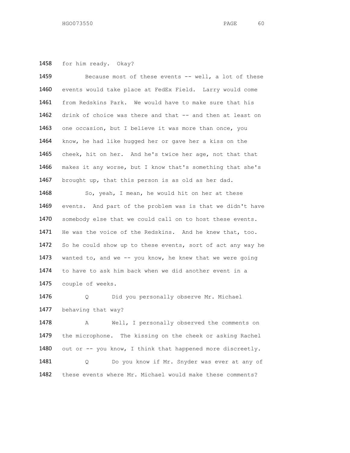for him ready. Okay?

 Because most of these events -- well, a lot of these events would take place at FedEx Field. Larry would come from Redskins Park. We would have to make sure that his 1462 drink of choice was there and that -- and then at least on 1463 one occasion, but I believe it was more than once, you know, he had like hugged her or gave her a kiss on the cheek, hit on her. And he's twice her age, not that that makes it any worse, but I know that's something that she's 1467 brought up, that this person is as old as her dad. So, yeah, I mean, he would hit on her at these events. And part of the problem was is that we didn't have somebody else that we could call on to host these events.

 He was the voice of the Redskins. And he knew that, too. 1472 So he could show up to these events, sort of act any way he 1473 wanted to, and we -- you know, he knew that we were going to have to ask him back when we did another event in a couple of weeks.

 Q Did you personally observe Mr. Michael 1477 behaving that way?

1478 A Well, I personally observed the comments on the microphone. The kissing on the cheek or asking Rachel 1480 out or -- you know, I think that happened more discreetly. Q Do you know if Mr. Snyder was ever at any of these events where Mr. Michael would make these comments?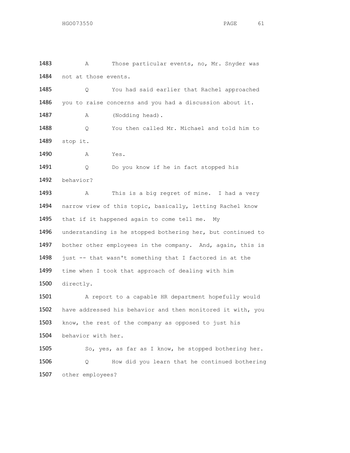1483 A Those particular events, no, Mr. Snyder was 1484 not at those events. 1485 Q You had said earlier that Rachel approached 1486 you to raise concerns and you had a discussion about it. 1487 A (Nodding head). 1488 Q You then called Mr. Michael and told him to 1489 stop it. 1490 A Yes. 1491 Q Do you know if he in fact stopped his 1492 behavior? 1493 A This is a big regret of mine. I had a very 1494 narrow view of this topic, basically, letting Rachel know 1495 that if it happened again to come tell me. My 1496 understanding is he stopped bothering her, but continued to 1497 bother other employees in the company. And, again, this is 1498 just -- that wasn't something that I factored in at the 1499 time when I took that approach of dealing with him 1500 directly. 1501 A report to a capable HR department hopefully would 1502 have addressed his behavior and then monitored it with, you 1503 know, the rest of the company as opposed to just his 1504 behavior with her. 1505 So, yes, as far as I know, he stopped bothering her. 1506 Q How did you learn that he continued bothering 1507 other employees?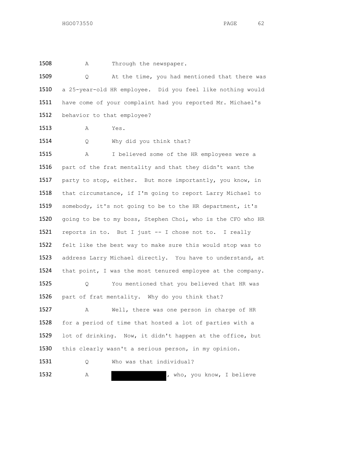1508 A Through the newspaper.

 Q At the time, you had mentioned that there was a 25-year-old HR employee. Did you feel like nothing would have come of your complaint had you reported Mr. Michael's behavior to that employee?

A Yes.

1514 Q Why did you think that?

 A I believed some of the HR employees were a part of the frat mentality and that they didn't want the 1517 party to stop, either. But more importantly, you know, in that circumstance, if I'm going to report Larry Michael to somebody, it's not going to be to the HR department, it's going to be to my boss, Stephen Choi, who is the CFO who HR reports in to. But I just -- I chose not to. I really felt like the best way to make sure this would stop was to address Larry Michael directly. You have to understand, at that point, I was the most tenured employee at the company. Q You mentioned that you believed that HR was 1526 part of frat mentality. Why do you think that? A Well, there was one person in charge of HR for a period of time that hosted a lot of parties with a lot of drinking. Now, it didn't happen at the office, but 1530 this clearly wasn't a serious person, in my opinion. 1531 Q Who was that individual? 1532 A A , who, you know, I believe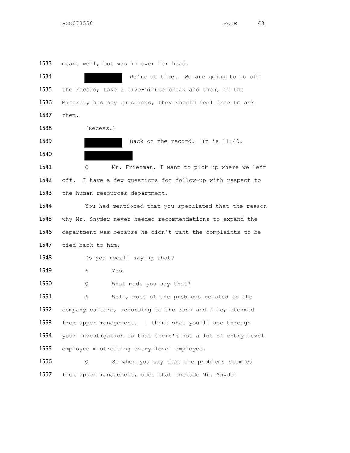meant well, but was in over her head.

| 1534 | We're at time. We are going to go off                       |
|------|-------------------------------------------------------------|
| 1535 | the record, take a five-minute break and then, if the       |
| 1536 | Minority has any questions, they should feel free to ask    |
| 1537 | them.                                                       |
| 1538 | (Recess.)                                                   |
| 1539 | Back on the record. It is 11:40.                            |
| 1540 |                                                             |
| 1541 | Mr. Friedman, I want to pick up where we left<br>Q.         |
| 1542 | off. I have a few questions for follow-up with respect to   |
| 1543 | the human resources department.                             |
| 1544 | You had mentioned that you speculated that the reason       |
| 1545 | why Mr. Snyder never heeded recommendations to expand the   |
| 1546 | department was because he didn't want the complaints to be  |
| 1547 | tied back to him.                                           |
| 1548 | Do you recall saying that?                                  |
| 1549 | Yes.<br>Α                                                   |
| 1550 | What made you say that?<br>Q.                               |
| 1551 | Well, most of the problems related to the<br>Α              |
| 1552 | company culture, according to the rank and file, stemmed    |
| 1553 | from upper management. I think what you'll see through      |
| 1554 | your investigation is that there's not a lot of entry-level |
| 1555 | employee mistreating entry-level employee.                  |
| 1556 | So when you say that the problems stemmed<br>Q              |
| 1557 | from upper management, does that include Mr. Snyder         |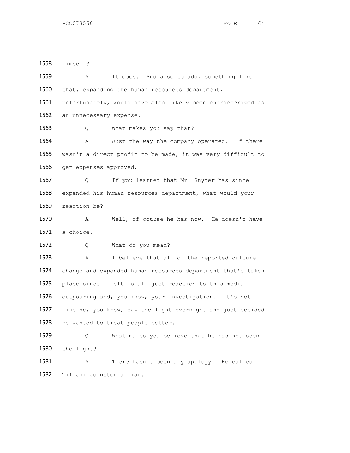himself? A It does. And also to add, something like 1560 that, expanding the human resources department, unfortunately, would have also likely been characterized as 1562 an unnecessary expense. 1563 Q What makes you say that? 1564 A Just the way the company operated. If there wasn't a direct profit to be made, it was very difficult to get expenses approved. 1567 Q If you learned that Mr. Snyder has since expanded his human resources department, what would your reaction be? A Well, of course he has now. He doesn't have a choice. 1572 Q What do you mean? A I believe that all of the reported culture change and expanded human resources department that's taken place since I left is all just reaction to this media outpouring and, you know, your investigation. It's not like he, you know, saw the light overnight and just decided 1578 he wanted to treat people better. Q What makes you believe that he has not seen the light? A There hasn't been any apology. He called Tiffani Johnston a liar.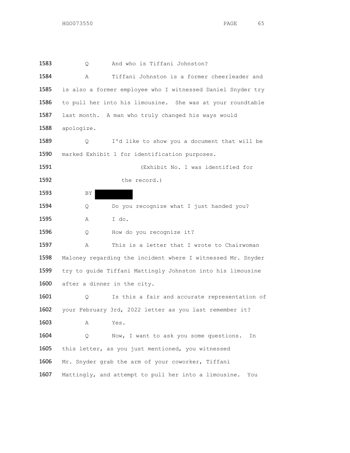Q And who is Tiffani Johnston? A Tiffani Johnston is a former cheerleader and is also a former employee who I witnessed Daniel Snyder try to pull her into his limousine. She was at your roundtable last month. A man who truly changed his ways would apologize. Q I'd like to show you a document that will be marked Exhibit 1 for identification purposes. (Exhibit No. 1 was identified for 1592 the record.) 1593 BY 1594 Q Do you recognize what I just handed you? A I do. 1596 Q How do you recognize it? A This is a letter that I wrote to Chairwoman Maloney regarding the incident where I witnessed Mr. Snyder try to guide Tiffani Mattingly Johnston into his limousine after a dinner in the city. Q Is this a fair and accurate representation of your February 3rd, 2022 letter as you last remember it? A Yes. Q Now, I want to ask you some questions. In 1605 this letter, as you just mentioned, you witnessed Mr. Snyder grab the arm of your coworker, Tiffani Mattingly, and attempt to pull her into a limousine. You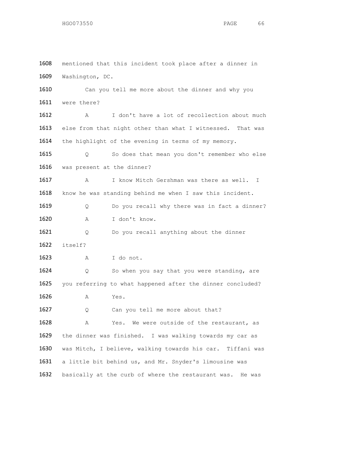mentioned that this incident took place after a dinner in Washington, DC. 1610 Can you tell me more about the dinner and why you were there? A I don't have a lot of recollection about much 1613 else from that night other than what I witnessed. That was 1614 the highlight of the evening in terms of my memory. Q So does that mean you don't remember who else was present at the dinner? 1617 A I know Mitch Gershman was there as well. I 1618 know he was standing behind me when I saw this incident. 1619 Q Do you recall why there was in fact a dinner? A I don't know. Q Do you recall anything about the dinner itself? A I do not. 1624 Q So when you say that you were standing, are you referring to what happened after the dinner concluded? A Yes. 1627 Q Can you tell me more about that? A Yes. We were outside of the restaurant, as the dinner was finished. I was walking towards my car as was Mitch, I believe, walking towards his car. Tiffani was a little bit behind us, and Mr. Snyder's limousine was basically at the curb of where the restaurant was. He was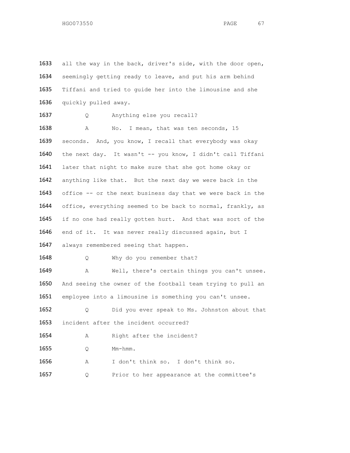1633 all the way in the back, driver's side, with the door open, 1634 seemingly getting ready to leave, and put his arm behind 1635 Tiffani and tried to guide her into the limousine and she 1636 quickly pulled away. 1637 Q Anything else you recall? 1638 A No. I mean, that was ten seconds, 15 1639 seconds. And, you know, I recall that everybody was okay 1640 the next day. It wasn't -- you know, I didn't call Tiffani 1641 later that night to make sure that she got home okay or 1642 anything like that. But the next day we were back in the 1643 office -- or the next business day that we were back in the 1644 office, everything seemed to be back to normal, frankly, as 1645 if no one had really gotten hurt. And that was sort of the 1646 end of it. It was never really discussed again, but I 1647 always remembered seeing that happen. 1648 Q Why do you remember that? 1649 A Well, there's certain things you can't unsee. 1650 And seeing the owner of the football team trying to pull an 1651 employee into a limousine is something you can't unsee. 1652 Q Did you ever speak to Ms. Johnston about that 1653 incident after the incident occurred? 1654 A Right after the incident? 1655 Q Mm-hmm. 1656 A I don't think so. I don't think so. 1657 Q Prior to her appearance at the committee's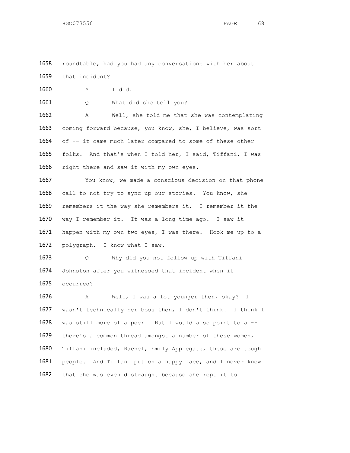roundtable, had you had any conversations with her about that incident?

A I did.

Q What did she tell you?

 A Well, she told me that she was contemplating coming forward because, you know, she, I believe, was sort 1664 of -- it came much later compared to some of these other folks. And that's when I told her, I said, Tiffani, I was 1666 right there and saw it with my own eyes.

 You know, we made a conscious decision on that phone call to not try to sync up our stories. You know, she remembers it the way she remembers it. I remember it the way I remember it. It was a long time ago. I saw it 1671 happen with my own two eyes, I was there. Hook me up to a polygraph. I know what I saw.

 Q Why did you not follow up with Tiffani Johnston after you witnessed that incident when it occurred?

 A Well, I was a lot younger then, okay? I wasn't technically her boss then, I don't think. I think I was still more of a peer. But I would also point to a -- there's a common thread amongst a number of these women, Tiffani included, Rachel, Emily Applegate, these are tough 1681 people. And Tiffani put on a happy face, and I never knew that she was even distraught because she kept it to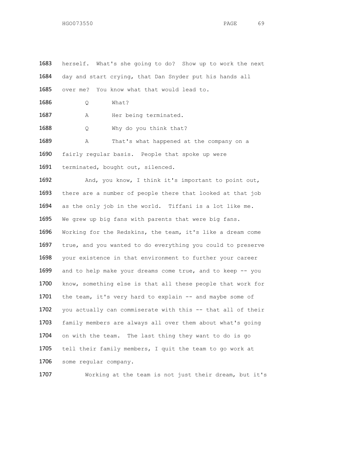1683 herself. What's she going to do? Show up to work the next 1684 day and start crying, that Dan Snyder put his hands all 1685 over me? You know what that would lead to. 1686 Q What? 1687 A Her being terminated. 1688 Q Why do you think that? 1689 A That's what happened at the company on a 1690 fairly regular basis. People that spoke up were 1691 terminated, bought out, silenced. 1692 And, you know, I think it's important to point out, 1693 there are a number of people there that looked at that job 1694 as the only job in the world. Tiffani is a lot like me. 1695 We grew up big fans with parents that were big fans. 1696 Working for the Redskins, the team, it's like a dream come 1697 true, and you wanted to do everything you could to preserve 1698 your existence in that environment to further your career 1699 and to help make your dreams come true, and to keep -- you 1700 know, something else is that all these people that work for 1701 the team, it's very hard to explain -- and maybe some of 1702 you actually can commiserate with this -- that all of their 1703 family members are always all over them about what's going 1704 on with the team. The last thing they want to do is go 1705 tell their family members, I quit the team to go work at 1706 some regular company.

1707 Working at the team is not just their dream, but it's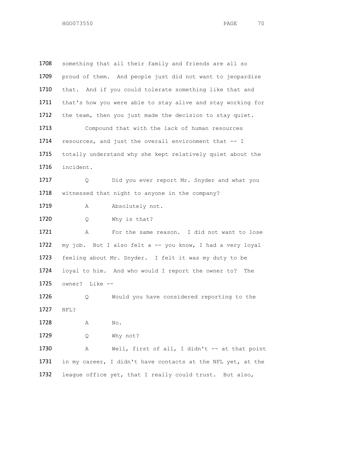1708 something that all their family and friends are all so 1709 proud of them. And people just did not want to jeopardize 1710 that. And if you could tolerate something like that and 1711 that's how you were able to stay alive and stay working for 1712 the team, then you just made the decision to stay quiet. 1713 Compound that with the lack of human resources 1714 resources, and just the overall environment that -- I 1715 totally understand why she kept relatively quiet about the 1716 incident. 1717 O Did you ever report Mr. Snyder and what you 1718 witnessed that night to anyone in the company? 1719 A Absolutely not. 1720 Q Why is that? 1721 A For the same reason. I did not want to lose 1722 my job. But I also felt a -- you know, I had a very loyal 1723 feeling about Mr. Snyder. I felt it was my duty to be 1724 loyal to him. And who would I report the owner to? The 1725 owner? Like -- 1726 Q Would you have considered reporting to the 1727 NFL? 1728 A No. 1729 Q Why not? 1730 A Well, first of all, I didn't -- at that point 1731 in my career, I didn't have contacts at the NFL yet, at the 1732 league office yet, that I really could trust. But also,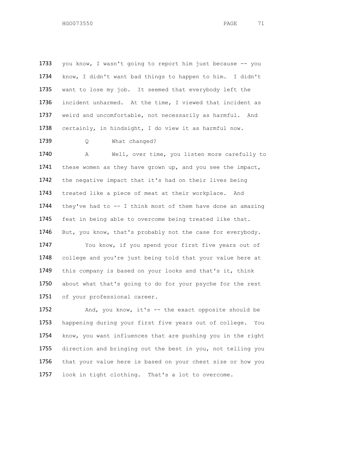1733 you know, I wasn't going to report him just because -- you know, I didn't want bad things to happen to him. I didn't want to lose my job. It seemed that everybody left the incident unharmed. At the time, I viewed that incident as weird and uncomfortable, not necessarily as harmful. And certainly, in hindsight, I do view it as harmful now. 1739 Q What changed? A Well, over time, you listen more carefully to 1741 these women as they have grown up, and you see the impact, the negative impact that it's had on their lives being treated like a piece of meat at their workplace. And they've had to -- I think most of them have done an amazing feat in being able to overcome being treated like that.

1746 But, you know, that's probably not the case for everybody. 1747 You know, if you spend your first five years out of 1748 college and you're just being told that your value here at 1749 this company is based on your looks and that's it, think 1750 about what that's going to do for your psyche for the rest 1751 of your professional career.

1752 And, you know, it's -- the exact opposite should be happening during your first five years out of college. You know, you want influences that are pushing you in the right direction and bringing out the best in you, not telling you 1756 that your value here is based on your chest size or how you look in tight clothing. That's a lot to overcome.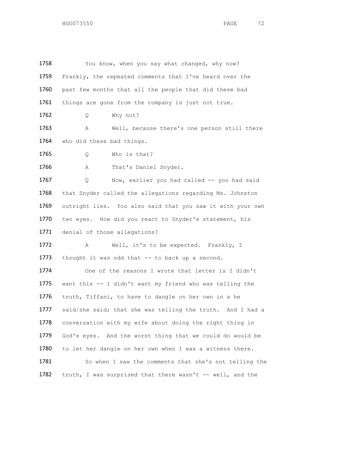| 1758 | You know, when you say what changed, why now?              |
|------|------------------------------------------------------------|
| 1759 | Frankly, the repeated comments that I've heard over the    |
| 1760 | past few months that all the people that did these bad     |
| 1761 | things are gone from the company is just not true.         |
| 1762 | Why not?<br>Q                                              |
| 1763 | Well, because there's one person still there<br>Α          |
| 1764 | who did these bad things.                                  |
| 1765 | Who is that?<br>Q.                                         |
| 1766 | That's Daniel Snyder.<br>Α                                 |
| 1767 | Now, earlier you had called -- you had said<br>Q.          |
| 1768 | that Snyder called the allegations regarding Ms. Johnston  |
| 1769 | outright lies. You also said that you saw it with your own |
| 1770 | two eyes. How did you react to Snyder's statement, his     |
| 1771 | denial of those allegations?                               |
| 1772 | Well, it's to be expected. Frankly, I<br>Α                 |
| 1773 | thought it was odd that -- to back up a second.            |
| 1774 | One of the reasons I wrote that letter is I didn't         |
| 1775 | want this -- I didn't want my friend who was telling the   |
| 1776 | truth, Tiffani, to have to dangle on her own in a he       |
| 1777 | said/she said; that she was telling the truth. And I had a |
| 1778 | conversation with my wife about doing the right thing in   |
| 1779 | God's eyes. And the worst thing that we could do would be  |
| 1780 | to let her dangle on her own when I was a witness there.   |
| 1781 | So when I saw the comments that she's not telling the      |
| 1782 | truth, I was surprised that there wasn't -- well, and the  |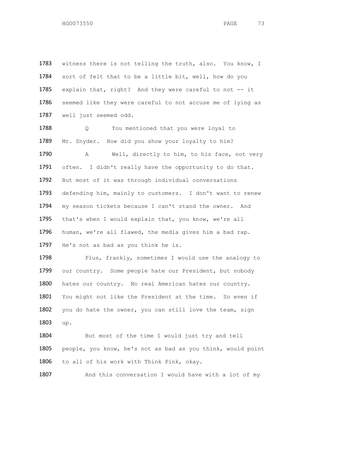1783 witness there is not telling the truth, also. You know, I 1784 sort of felt that to be a little bit, well, how do you 1785 explain that, right? And they were careful to not -- it 1786 seemed like they were careful to not accuse me of lying as 1787 well just seemed odd.

1788 Q You mentioned that you were loyal to 1789 Mr. Snyder. How did you show your loyalty to him? 1790 A Well, directly to him, to his face, not very 1791 often. I didn't really have the opportunity to do that. 1792 But most of it was through individual conversations 1793 defending him, mainly to customers. I don't want to renew 1794 my season tickets because I can't stand the owner. And 1795 that's when I would explain that, you know, we're all 1796 human, we're all flawed, the media gives him a bad rap. 1797 He's not as bad as you think he is.

1798 Plus, frankly, sometimes I would use the analogy to 1799 our country. Some people hate our President, but nobody 1800 hates our country. No real American hates our country. 1801 You might not like the President at the time. So even if 1802 you do hate the owner, you can still love the team, sign 1803 up.

1804 But most of the time I would just try and tell 1805 people, you know, he's not as bad as you think, would point 1806 to all of his work with Think Pink, okay.

1807 And this conversation I would have with a lot of my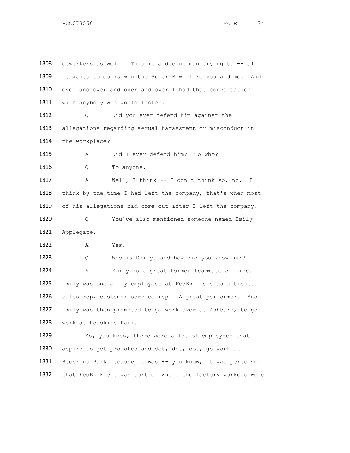1808 coworkers as well. This is a decent man trying to -- all 1809 he wants to do is win the Super Bowl like you and me. And 1810 over and over and over and over I had that conversation 1811 with anybody who would listen. 1812 Q Did you ever defend him against the 1813 allegations regarding sexual harassment or misconduct in 1814 the workplace? 1815 A Did I ever defend him? To who? 1816 Q To anyone. 1817 A Well, I think -- I don't think so, no. I 1818 think by the time I had left the company, that's when most 1819 of his allegations had come out after I left the company. 1820 Q You've also mentioned someone named Emily 1821 Applegate. 1822 A Yes. 1823 Q Who is Emily, and how did you know her? 1824 A Emily is a great former teammate of mine. 1825 Emily was one of my employees at FedEx Field as a ticket 1826 sales rep, customer service rep. A great performer. And 1827 Emily was then promoted to go work over at Ashburn, to go 1828 work at Redskins Park. 1829 So, you know, there were a lot of employees that 1830 aspire to get promoted and dot, dot, dot, go work at 1831 Redskins Park because it was -- you know, it was perceived 1832 that FedEx Field was sort of where the factory workers were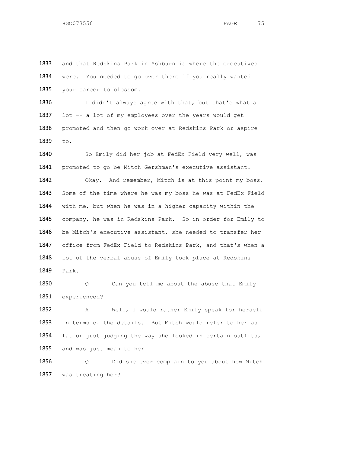and that Redskins Park in Ashburn is where the executives were. You needed to go over there if you really wanted your career to blossom.

1836 I didn't always agree with that, but that's what a 1837 lot -- a lot of my employees over the years would get 1838 promoted and then go work over at Redskins Park or aspire to.

 So Emily did her job at FedEx Field very well, was 1841 promoted to go be Mitch Gershman's executive assistant. Okay. And remember, Mitch is at this point my boss. Some of the time where he was my boss he was at FedEx Field with me, but when he was in a higher capacity within the company, he was in Redskins Park. So in order for Emily to be Mitch's executive assistant, she needed to transfer her office from FedEx Field to Redskins Park, and that's when a lot of the verbal abuse of Emily took place at Redskins Park.

1850 Q Can you tell me about the abuse that Emily experienced?

 A Well, I would rather Emily speak for herself in terms of the details. But Mitch would refer to her as fat or just judging the way she looked in certain outfits, 1855 and was just mean to her.

 Q Did she ever complain to you about how Mitch was treating her?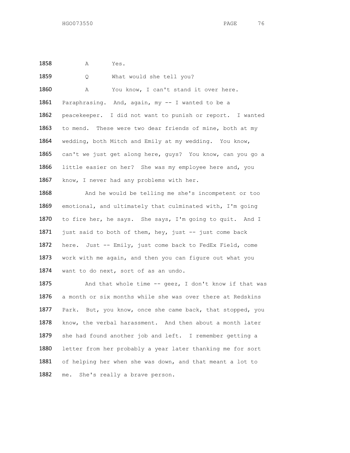1858 A Yes.

1859 0 What would she tell you? 1860 A You know, I can't stand it over here. 1861 Paraphrasing. And, again, my -- I wanted to be a 1862 peacekeeper. I did not want to punish or report. I wanted 1863 to mend. These were two dear friends of mine, both at my 1864 wedding, both Mitch and Emily at my wedding. You know, 1865 can't we just get along here, guys? You know, can you go a 1866 little easier on her? She was my employee here and, you 1867 know, I never had any problems with her. 1868 And he would be telling me she's incompetent or too 1869 emotional, and ultimately that culminated with, I'm going 1870 to fire her, he says. She says, I'm going to quit. And I 1871 just said to both of them, hey, just -- just come back 1872 here. Just -- Emily, just come back to FedEx Field, come 1873 work with me again, and then you can figure out what you 1874 want to do next, sort of as an undo. 1875 And that whole time -- geez, I don't know if that was 1876 a month or six months while she was over there at Redskins 1877 Park. But, you know, once she came back, that stopped, you

1878 know, the verbal harassment. And then about a month later 1879 she had found another job and left. I remember getting a 1880 letter from her probably a year later thanking me for sort 1881 of helping her when she was down, and that meant a lot to 1882 me. She's really a brave person.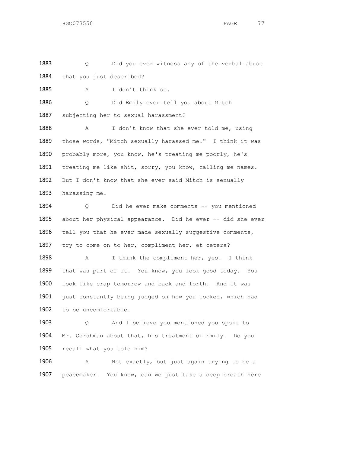1883 Q Did you ever witness any of the verbal abuse 1884 that you just described?

1885 A I don't think so.

1886 Q Did Emily ever tell you about Mitch

1887 subjecting her to sexual harassment?

1888 A I don't know that she ever told me, using those words, "Mitch sexually harassed me." I think it was probably more, you know, he's treating me poorly, he's 1891 treating me like shit, sorry, you know, calling me names. But I don't know that she ever said Mitch is sexually harassing me.

1894 Q Did he ever make comments -- you mentioned 1895 about her physical appearance. Did he ever -- did she ever 1896 tell you that he ever made sexually suggestive comments, 1897 try to come on to her, compliment her, et cetera?

1898 A I think the compliment her, yes. I think 1899 that was part of it. You know, you look good today. You 1900 look like crap tomorrow and back and forth. And it was 1901 just constantly being judged on how you looked, which had 1902 to be uncomfortable.

1903 Q And I believe you mentioned you spoke to 1904 Mr. Gershman about that, his treatment of Emily. Do you 1905 recall what you told him?

1906 A Not exactly, but just again trying to be a 1907 peacemaker. You know, can we just take a deep breath here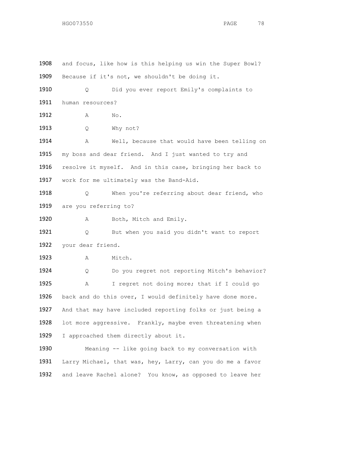| 1908 | and focus, like how is this helping us win the Super Bowl? |
|------|------------------------------------------------------------|
| 1909 | Because if it's not, we shouldn't be doing it.             |
| 1910 | Did you ever report Emily's complaints to<br>Q             |
| 1911 | human resources?                                           |
| 1912 | No.<br>Α                                                   |
| 1913 | Why not?<br>Q                                              |
| 1914 | Well, because that would have been telling on<br>Α         |
| 1915 | my boss and dear friend. And I just wanted to try and      |
| 1916 | resolve it myself. And in this case, bringing her back to  |
| 1917 | work for me ultimately was the Band-Aid.                   |
| 1918 | When you're referring about dear friend, who<br>Q.         |
| 1919 | are you referring to?                                      |
| 1920 | Both, Mitch and Emily.<br>Α                                |
| 1921 | But when you said you didn't want to report<br>Q.          |
| 1922 | your dear friend.                                          |
| 1923 | Mitch.<br>Α                                                |
| 1924 | Do you regret not reporting Mitch's behavior?<br>Q         |
| 1925 | I regret not doing more; that if I could go<br>Α           |
| 1926 | back and do this over, I would definitely have done more.  |
| 1927 | And that may have included reporting folks or just being a |
| 1928 | lot more aggressive. Frankly, maybe even threatening when  |
| 1929 | I approached them directly about it.                       |
| 1930 | Meaning -- like going back to my conversation with         |
| 1931 | Larry Michael, that was, hey, Larry, can you do me a favor |
| 1932 | and leave Rachel alone? You know, as opposed to leave her  |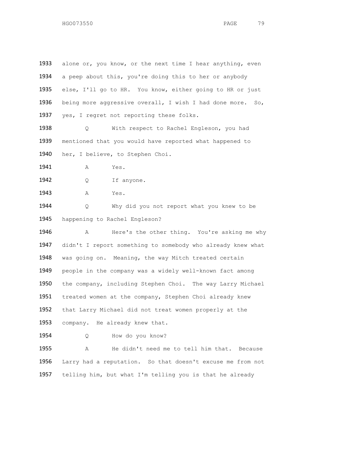1933 alone or, you know, or the next time I hear anything, even a peep about this, you're doing this to her or anybody else, I'll go to HR. You know, either going to HR or just being more aggressive overall, I wish I had done more. So, 1937 yes, I regret not reporting these folks.

 Q With respect to Rachel Engleson, you had mentioned that you would have reported what happened to her, I believe, to Stephen Choi.

**A** Yes.

1942 Q If anyone.

A Yes.

 Q Why did you not report what you knew to be happening to Rachel Engleson?

 A Here's the other thing. You're asking me why didn't I report something to somebody who already knew what was going on. Meaning, the way Mitch treated certain people in the company was a widely well-known fact among the company, including Stephen Choi. The way Larry Michael 1951 treated women at the company, Stephen Choi already knew that Larry Michael did not treat women properly at the company. He already knew that.

Q How do you know?

 A He didn't need me to tell him that. Because Larry had a reputation. So that doesn't excuse me from not telling him, but what I'm telling you is that he already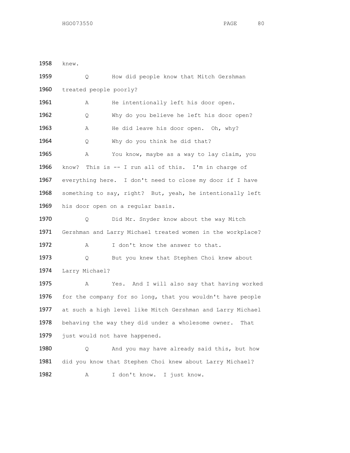1958 knew.

1959 Q How did people know that Mitch Gershman 1960 treated people poorly? 1961 A He intentionally left his door open. 1962 Q Why do you believe he left his door open? 1963 A He did leave his door open. Oh, why? 1964 Q Why do you think he did that? 1965 A You know, maybe as a way to lay claim, you 1966 know? This is -- I run all of this. I'm in charge of 1967 everything here. I don't need to close my door if I have 1968 something to say, right? But, yeah, he intentionally left 1969 his door open on a regular basis. 1970 Q Did Mr. Snyder know about the way Mitch 1971 Gershman and Larry Michael treated women in the workplace? 1972 A I don't know the answer to that. 1973 Q But you knew that Stephen Choi knew about 1974 Larry Michael? 1975 A Yes. And I will also say that having worked 1976 for the company for so long, that you wouldn't have people 1977 at such a high level like Mitch Gershman and Larry Michael 1978 behaving the way they did under a wholesome owner. That 1979 just would not have happened. 1980 Q And you may have already said this, but how 1981 did you know that Stephen Choi knew about Larry Michael? 1982 A I don't know. I just know.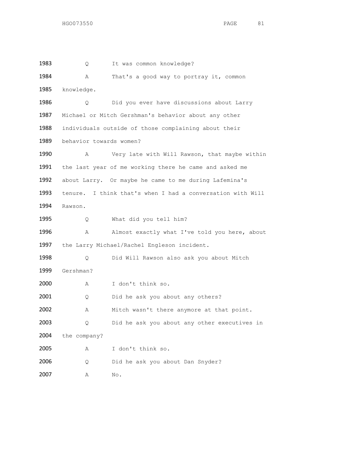1983 Q It was common knowledge? 1984 A That's a good way to portray it, common knowledge. Q Did you ever have discussions about Larry Michael or Mitch Gershman's behavior about any other individuals outside of those complaining about their behavior towards women? A Very late with Will Rawson, that maybe within the last year of me working there he came and asked me about Larry. Or maybe he came to me during Lafemina's tenure. I think that's when I had a conversation with Will Rawson. 1995 Q What did you tell him? 1996 A Almost exactly what I've told you here, about 1997 the Larry Michael/Rachel Engleson incident. Q Did Will Rawson also ask you about Mitch Gershman? A I don't think so. 2001 Q Did he ask you about any others? 2002 A Mitch wasn't there anymore at that point. Q Did he ask you about any other executives in the company? A I don't think so. 2006 Q Did he ask you about Dan Snyder? A No.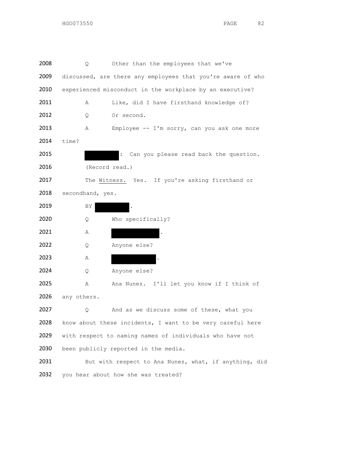| 2008 | Q                | Other than the employees that we've                         |
|------|------------------|-------------------------------------------------------------|
| 2009 |                  | discussed, are there any employees that you're aware of who |
| 2010 |                  | experienced misconduct in the workplace by an executive?    |
| 2011 | Α                | Like, did I have firsthand knowledge of?                    |
| 2012 | Q                | Or second.                                                  |
| 2013 | Α                | Employee -- I'm sorry, can you ask one more                 |
| 2014 | time?            |                                                             |
| 2015 |                  | Can you please read back the question.                      |
| 2016 |                  | (Record read.)                                              |
| 2017 |                  | The Witness. Yes. If you're asking firsthand or             |
| 2018 | secondhand, yes. |                                                             |
| 2019 | ΒY               |                                                             |
| 2020 | Q                | Who specifically?                                           |
| 2021 | Α                |                                                             |
| 2022 | Q                | Anyone else?                                                |
| 2023 | Α                |                                                             |
| 2024 | Q                | Anyone else?                                                |
| 2025 | Α                | Ana Nunez. I'll let you know if I think of                  |
| 2026 | any others.      |                                                             |
| 2027 | Q                | And as we discuss some of these, what you                   |
| 2028 |                  | know about these incidents, I want to be very careful here  |
| 2029 |                  | with respect to naming names of individuals who have not    |
| 2030 |                  | been publicly reported in the media.                        |
| 2031 |                  | But with respect to Ana Nunez, what, if anything, did       |
| 2032 |                  | you hear about how she was treated?                         |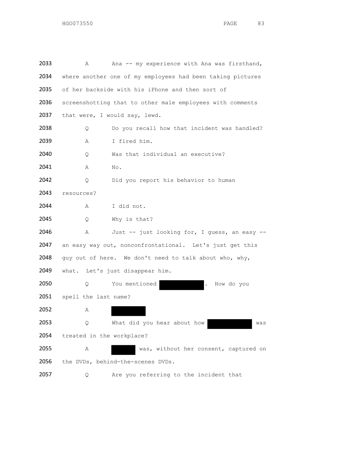| 2033 | Α                         | Ana -- my experience with Ana was firsthand,               |
|------|---------------------------|------------------------------------------------------------|
| 2034 |                           | where another one of my employees had been taking pictures |
| 2035 |                           | of her backside with his iPhone and then sort of           |
| 2036 |                           | screenshotting that to other male employees with comments  |
| 2037 |                           | that were, I would say, lewd.                              |
| 2038 | Q                         | Do you recall how that incident was handled?               |
| 2039 | Α                         | I fired him.                                               |
| 2040 | Q                         | Was that individual an executive?                          |
| 2041 | Α                         | No.                                                        |
| 2042 | Q                         | Did you report his behavior to human                       |
| 2043 | resources?                |                                                            |
| 2044 | Α                         | I did not.                                                 |
| 2045 | Q                         | Why is that?                                               |
| 2046 | Α                         | Just -- just looking for, I guess, an easy --              |
| 2047 |                           | an easy way out, nonconfrontational. Let's just get this   |
| 2048 |                           | guy out of here. We don't need to talk about who, why,     |
| 2049 |                           | what. Let's just disappear him.                            |
| 2050 | Q.                        | You mentioned<br>How do you                                |
| 2051 | spell the last name?      |                                                            |
| 2052 | Α                         |                                                            |
| 2053 | Q                         | What did you hear about how<br>was                         |
| 2054 | treated in the workplace? |                                                            |
| 2055 | Α                         | was, without her consent, captured on                      |
| 2056 |                           | the DVDs, behind-the-scenes DVDs.                          |
| 2057 | Q                         | Are you referring to the incident that                     |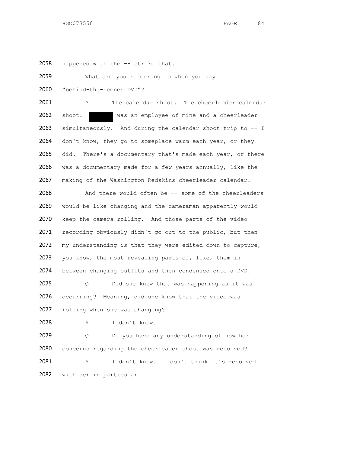2058 happened with the -- strike that.

2059 What are you referring to when you say

2060 "behind-the-scenes DVD"?

2061 A The calendar shoot. The cheerleader calendar 2062 shoot. was an employee of mine and a cheerleader 2063 simultaneously. And during the calendar shoot trip to -- I 2064 don't know, they go to someplace warm each year, or they 2065 did. There's a documentary that's made each year, or there 2066 was a documentary made for a few years annually, like the 2067 making of the Washington Redskins cheerleader calendar.

 And there would often be -- some of the cheerleaders would be like changing and the cameraman apparently would keep the camera rolling. And those parts of the video recording obviously didn't go out to the public, but then my understanding is that they were edited down to capture, 2073 you know, the most revealing parts of, like, them in between changing outfits and then condensed onto a DVD.

2075 Q Did she know that was happening as it was 2076 occurring? Meaning, did she know that the video was 2077 rolling when she was changing?

2078 A I don't know.

2079 Q Do you have any understanding of how her concerns regarding the cheerleader shoot was resolved? A I don't know. I don't think it's resolved with her in particular.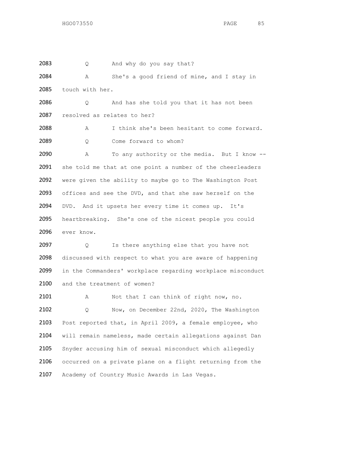2083 Q And why do you say that? 2084 A She's a good friend of mine, and I stay in 2085 touch with her. 2086 Q And has she told you that it has not been 2087 resolved as relates to her? 2088 A I think she's been hesitant to come forward. 2089 Q Come forward to whom? 2090 A To any authority or the media. But I know -- 2091 she told me that at one point a number of the cheerleaders 2092 were given the ability to maybe go to The Washington Post 2093 offices and see the DVD, and that she saw herself on the 2094 DVD. And it upsets her every time it comes up. It's 2095 heartbreaking. She's one of the nicest people you could 2096 ever know. 2097 Q Is there anything else that you have not 2098 discussed with respect to what you are aware of happening 2099 in the Commanders' workplace regarding workplace misconduct 2100 and the treatment of women? 2101 A Not that I can think of right now, no. 2102 Q Now, on December 22nd, 2020, The Washington 2103 Post reported that, in April 2009, a female employee, who 2104 will remain nameless, made certain allegations against Dan 2105 Snyder accusing him of sexual misconduct which allegedly 2106 occurred on a private plane on a flight returning from the 2107 Academy of Country Music Awards in Las Vegas.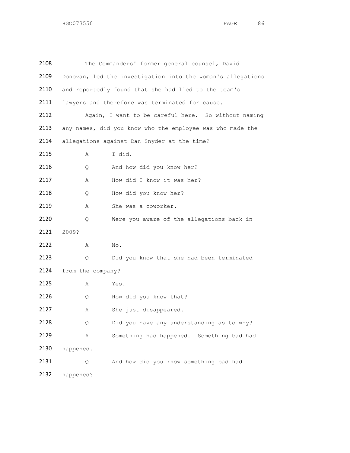| 2108 |                   | The Commanders' former general counsel, David               |
|------|-------------------|-------------------------------------------------------------|
| 2109 |                   | Donovan, led the investigation into the woman's allegations |
| 2110 |                   | and reportedly found that she had lied to the team's        |
| 2111 |                   | lawyers and therefore was terminated for cause.             |
| 2112 |                   | Again, I want to be careful here. So without naming         |
| 2113 |                   | any names, did you know who the employee was who made the   |
| 2114 |                   | allegations against Dan Snyder at the time?                 |
| 2115 | Α                 | I did.                                                      |
| 2116 | Q                 | And how did you know her?                                   |
| 2117 | Α                 | How did I know it was her?                                  |
| 2118 | Q                 | How did you know her?                                       |
| 2119 | Α                 | She was a coworker.                                         |
| 2120 | Q                 | Were you aware of the allegations back in                   |
| 2121 | 2009?             |                                                             |
| 2122 | Α                 | No.                                                         |
| 2123 | Q.                | Did you know that she had been terminated                   |
| 2124 | from the company? |                                                             |
| 2125 | Α                 | Yes.                                                        |
| 2126 | Q                 | How did you know that?                                      |
| 2127 | Α                 | She just disappeared.                                       |
| 2128 | Q                 | Did you have any understanding as to why?                   |
| 2129 | Α                 | Something had happened. Something bad had                   |
| 2130 | happened.         |                                                             |
| 2131 | Q                 | And how did you know something bad had                      |
| 2132 | happened?         |                                                             |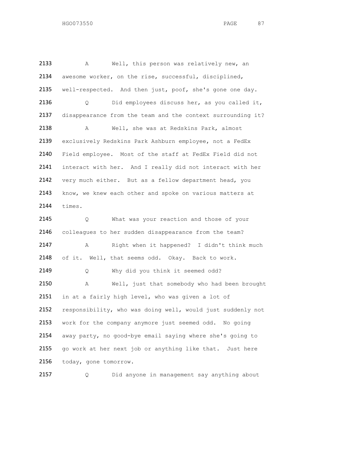A Well, this person was relatively new, an awesome worker, on the rise, successful, disciplined, well-respected. And then just, poof, she's gone one day. Q Did employees discuss her, as you called it, disappearance from the team and the context surrounding it? A Well, she was at Redskins Park, almost exclusively Redskins Park Ashburn employee, not a FedEx Field employee. Most of the staff at FedEx Field did not 2141 interact with her. And I really did not interact with her 2142 very much either. But as a fellow department head, you 2143 know, we knew each other and spoke on various matters at times. 2145 Q What was your reaction and those of your colleagues to her sudden disappearance from the team? A Right when it happened? I didn't think much 2148 of it. Well, that seems odd. Okay. Back to work. 2149 Q Why did you think it seemed odd? A Well, just that somebody who had been brought 2151 in at a fairly high level, who was given a lot of responsibility, who was doing well, would just suddenly not work for the company anymore just seemed odd. No going away party, no good-bye email saying where she's going to 2155 go work at her next job or anything like that. Just here today, gone tomorrow.

Q Did anyone in management say anything about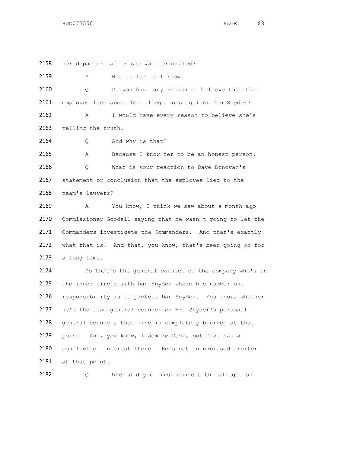2158 her departure after she was terminated?

2159 A Not as far as I know.

 Q Do you have any reason to believe that that employee lied about her allegations against Dan Snyder? A I would have every reason to believe she's 2163 telling the truth.

2164 Q And why is that?

2165 A Because I know her to be an honest person. 2166 Q What is your reaction to Dave Donovan's 2167 statement or conclusion that the employee lied to the 2168 team's lawyers?

2169 A You know, I think we saw about a month ago 2170 Commissioner Goodell saying that he wasn't going to let the 2171 Commanders investigate the Commanders. And that's exactly 2172 what that is. And that, you know, that's been going on for 2173 a long time.

2174 So that's the general counsel of the company who's in 2175 the inner circle with Dan Snyder where his number one 2176 responsibility is to protect Dan Snyder. You know, whether 2177 he's the team general counsel or Mr. Snyder's personal 2178 general counsel, that line is completely blurred at that 2179 point. And, you know, I admire Dave, but Dave has a 2180 conflict of interest there. He's not an unbiased arbiter 2181 at that point.

2182 Q When did you first connect the allegation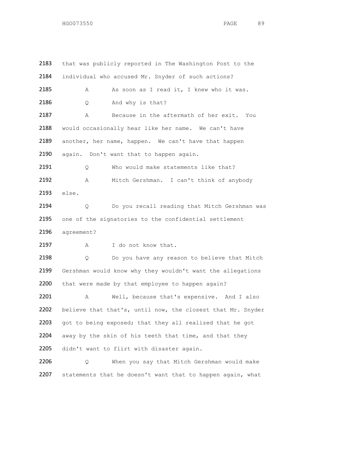2183 that was publicly reported in The Washington Post to the 2184 individual who accused Mr. Snyder of such actions? 2185 A As soon as I read it, I knew who it was. 2186 Q And why is that? 2187 A Because in the aftermath of her exit. You 2188 would occasionally hear like her name. We can't have 2189 another, her name, happen. We can't have that happen 2190 again. Don't want that to happen again. 2191 Q Who would make statements like that? 2192 A Mitch Gershman. I can't think of anybody 2193 else. 2194 Q Do you recall reading that Mitch Gershman was 2195 one of the signatories to the confidential settlement 2196 agreement? 2197 A I do not know that. 2198 Q Do you have any reason to believe that Mitch 2199 Gershman would know why they wouldn't want the allegations 2200 that were made by that employee to happen again? 2201 A Well, because that's expensive. And I also 2202 believe that that's, until now, the closest that Mr. Snyder 2203 got to being exposed; that they all realized that he got 2204 away by the skin of his teeth that time, and that they 2205 didn't want to flirt with disaster again. 2206 Q When you say that Mitch Gershman would make

2207 statements that he doesn't want that to happen again, what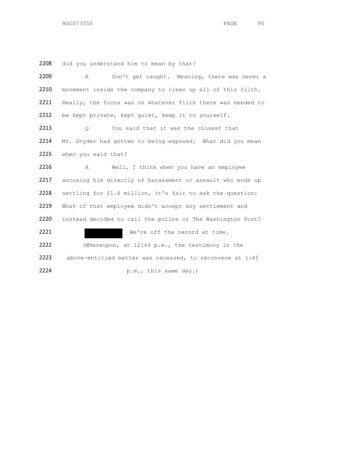did you understand him to mean by that?

| 2209 | Don't get caught. Meaning, there was never a<br>Α           |
|------|-------------------------------------------------------------|
| 2210 | movement inside the company to clean up all of this filth.  |
| 2211 | Really, the focus was on whatever filth there was needed to |
| 2212 | be kept private, kept quiet, keep it to yourself.           |
| 2213 | You said that it was the closest that<br>Q.                 |
| 2214 | Mr. Snyder had gotten to being exposed. What did you mean   |
| 2215 | when you said that?                                         |
| 2216 | Well, I think when you have an employee<br>A                |
| 2217 | accusing him directly of harassment or assault who ends up  |
| 2218 | settling for \$1.6 million, it's fair to ask the question:  |
| 2219 | What if that employee didn't accept any settlement and      |
| 2220 | instead decided to call the police or The Washington Post?  |
| 2221 | We're off the record at time.                               |
| 2222 | (Whereupon, at $12:44$ p.m., the testimony in the           |
| 2223 | above-entitled matter was recessed, to reconvene at 1:45    |
| 2224 | p.m., this same day.)                                       |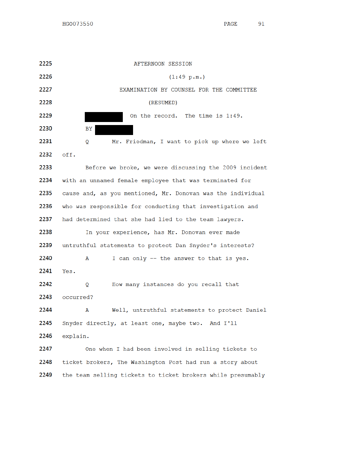91 PAGE

HGO073550

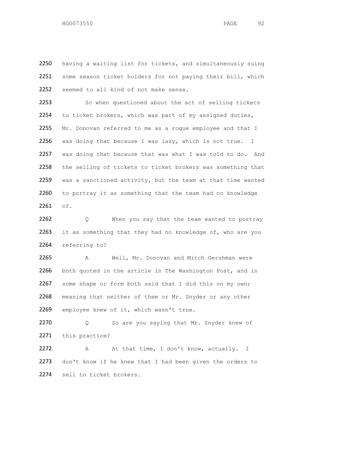2250 having a waiting list for tickets, and simultaneously suing 2251 some season ticket holders for not paying their bill, which 2252 seemed to all kind of not make sense.

2253 So when questioned about the act of selling tickets 2254 to ticket brokers, which was part of my assigned duties, 2255 Mr. Donovan referred to me as a roque employee and that I 2256 was doing that because I was lazy, which is not true. I 2257 was doing that because that was what I was told to do. And 2258 the selling of tickets to ticket brokers was something that 2259 was a sanctioned activity, but the team at that time wanted 2260 to portray it as something that the team had no knowledge 2261 of.

2262 Q When you say that the team wanted to portray 2263 it as something that they had no knowledge of, who are you 2264 referring to?

2265 A Well, Mr. Donovan and Mitch Gershman were 2266 both quoted in the article in The Washington Post, and in 2267 some shape or form both said that I did this on my own; 2268 meaning that neither of them or Mr. Snyder or any other 2269 employee knew of it, which wasn't true.

2270 Q So are you saying that Mr. Snyder knew of 2271 this practice?

2272 A At that time, I don't know, actually. I 2273 don't know if he knew that I had been given the orders to 2274 sell to ticket brokers.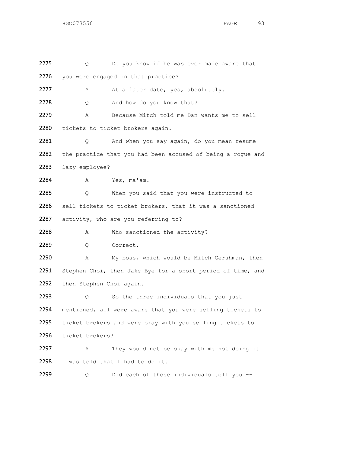| 2275 | Q                        | Do you know if he was ever made aware that                  |
|------|--------------------------|-------------------------------------------------------------|
| 2276 |                          | you were engaged in that practice?                          |
| 2277 | Α                        | At a later date, yes, absolutely.                           |
| 2278 | Q                        | And how do you know that?                                   |
| 2279 | Α                        | Because Mitch told me Dan wants me to sell                  |
| 2280 |                          | tickets to ticket brokers again.                            |
| 2281 | Q                        | And when you say again, do you mean resume                  |
| 2282 |                          | the practice that you had been accused of being a rogue and |
| 2283 | lazy employee?           |                                                             |
| 2284 | Α                        | Yes, ma'am.                                                 |
| 2285 | Q.                       | When you said that you were instructed to                   |
| 2286 |                          | sell tickets to ticket brokers, that it was a sanctioned    |
| 2287 |                          | activity, who are you referring to?                         |
| 2288 | Α                        | Who sanctioned the activity?                                |
| 2289 | Q                        | Correct.                                                    |
| 2290 | Α                        | My boss, which would be Mitch Gershman, then                |
| 2291 |                          | Stephen Choi, then Jake Bye for a short period of time, and |
| 2292 | then Stephen Choi again. |                                                             |
| 2293 | Q.                       | So the three individuals that you just                      |
| 2294 |                          | mentioned, all were aware that you were selling tickets to  |
| 2295 |                          | ticket brokers and were okay with you selling tickets to    |
| 2296 | ticket brokers?          |                                                             |
| 2297 | Α                        | They would not be okay with me not doing it.                |
| 2298 |                          | I was told that I had to do it.                             |
| 2299 | Q                        | Did each of those individuals tell you --                   |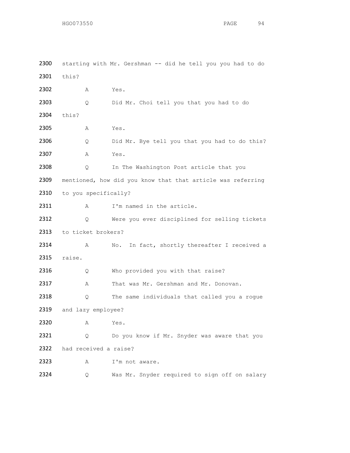2300 starting with Mr. Gershman -- did he tell you you had to do 2301 this? 2302 A Yes. 2303 Q Did Mr. Choi tell you that you had to do 2304 this? 2305 A Yes. 2306 Q Did Mr. Bye tell you that you had to do this? 2307 A Yes. 2308 Q In The Washington Post article that you 2309 mentioned, how did you know that that article was referring 2310 to you specifically? 2311 A I'm named in the article. 2312 Q Were you ever disciplined for selling tickets 2313 to ticket brokers? 2314 A No. In fact, shortly thereafter I received a 2315 raise. 2316 Q Who provided you with that raise? 2317 A That was Mr. Gershman and Mr. Donovan. 2318 Q The same individuals that called you a rogue 2319 and lazy employee? 2320 A Yes. 2321 Q Do you know if Mr. Snyder was aware that you 2322 had received a raise? 2323 A I'm not aware. 2324 Q Was Mr. Snyder required to sign off on salary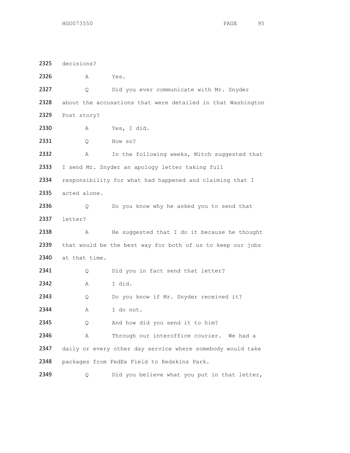decisions? A Yes. Q Did you ever communicate with Mr. Snyder about the accusations that were detailed in that Washington Post story? A Yes, I did. Q How so? 2332 A In the following weeks, Mitch suggested that I send Mr. Snyder an apology letter taking full 2334 responsibility for what had happened and claiming that I acted alone. Q Do you know why he asked you to send that letter? 2338 A He suggested that I do it because he thought that would be the best way for both of us to keep our jobs 2340 at that time. 2341 Q Did you in fact send that letter? A I did. 2343 Q Do you know if Mr. Snyder received it? A I do not. 2345 Q And how did you send it to him? 2346 A Through our interoffice courier. We had a daily or every other day service where somebody would take packages from FedEx Field to Redskins Park. 2349 Q Did you believe what you put in that letter,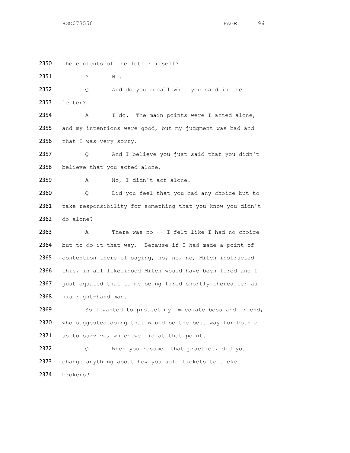2350 the contents of the letter itself?

2351 A No.

2352 Q And do you recall what you said in the 2353 letter?

2354 A I do. The main points were I acted alone, 2355 and my intentions were good, but my judgment was bad and 2356 that I was very sorry.

2357 Q And I believe you just said that you didn't 2358 believe that you acted alone.

2359 A No, I didn't act alone.

2360 Q Did you feel that you had any choice but to 2361 take responsibility for something that you know you didn't 2362 do alone?

2363 A There was no -- I felt like I had no choice 2364 but to do it that way. Because if I had made a point of 2365 contention there of saying, no, no, no, Mitch instructed 2366 this, in all likelihood Mitch would have been fired and I 2367 just equated that to me being fired shortly thereafter as 2368 his right-hand man.

2369 So I wanted to protect my immediate boss and friend, 2370 who suggested doing that would be the best way for both of 2371 us to survive, which we did at that point.

2372 Q When you resumed that practice, did you 2373 change anything about how you sold tickets to ticket 2374 brokers?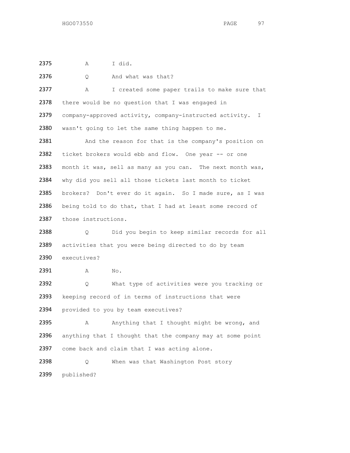A I did.

| 2376 | Q.                                  | And what was that?                                           |  |
|------|-------------------------------------|--------------------------------------------------------------|--|
| 2377 | Α                                   | I created some paper trails to make sure that                |  |
| 2378 |                                     | there would be no question that I was engaged in             |  |
| 2379 |                                     | company-approved activity, company-instructed activity.<br>I |  |
| 2380 |                                     | wasn't going to let the same thing happen to me.             |  |
| 2381 |                                     | And the reason for that is the company's position on         |  |
| 2382 |                                     | ticket brokers would ebb and flow. One year -- or one        |  |
| 2383 |                                     | month it was, sell as many as you can. The next month was,   |  |
| 2384 |                                     | why did you sell all those tickets last month to ticket      |  |
| 2385 |                                     | brokers? Don't ever do it again. So I made sure, as I was    |  |
| 2386 |                                     | being told to do that, that I had at least some record of    |  |
| 2387 | those instructions.                 |                                                              |  |
| 2388 | Q.                                  | Did you begin to keep similar records for all                |  |
| 2389 |                                     | activities that you were being directed to do by team        |  |
| 2390 | executives?                         |                                                              |  |
| 2391 | Α                                   | No.                                                          |  |
| 2392 | Q.                                  | What type of activities were you tracking or                 |  |
| 2393 |                                     | keeping record of in terms of instructions that were         |  |
| 2394 | provided to you by team executives? |                                                              |  |
| 2395 | A                                   | Anything that I thought might be wrong, and                  |  |
| 2396 |                                     | anything that I thought that the company may at some point   |  |
| 2397 |                                     | come back and claim that I was acting alone.                 |  |
| 2398 | Q                                   | When was that Washington Post story                          |  |
| 2399 | published?                          |                                                              |  |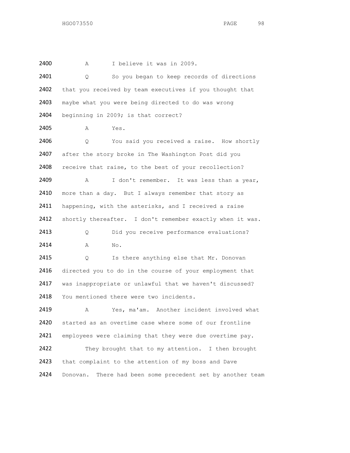2400 A I believe it was in 2009. 2401 Q So you began to keep records of directions 2402 that you received by team executives if you thought that 2403 maybe what you were being directed to do was wrong 2404 beginning in 2009; is that correct? 2405 A Yes. 2406 Q You said you received a raise. How shortly 2407 after the story broke in The Washington Post did you 2408 receive that raise, to the best of your recollection? 2409 A I don't remember. It was less than a year, 2410 more than a day. But I always remember that story as 2411 happening, with the asterisks, and I received a raise 2412 shortly thereafter. I don't remember exactly when it was. 2413 Q Did you receive performance evaluations? 2414 A No. 2415 Q Is there anything else that Mr. Donovan 2416 directed you to do in the course of your employment that 2417 was inappropriate or unlawful that we haven't discussed? 2418 You mentioned there were two incidents. 2419 A Yes, ma'am. Another incident involved what 2420 started as an overtime case where some of our frontline 2421 employees were claiming that they were due overtime pay. 2422 They brought that to my attention. I then brought 2423 that complaint to the attention of my boss and Dave 2424 Donovan. There had been some precedent set by another team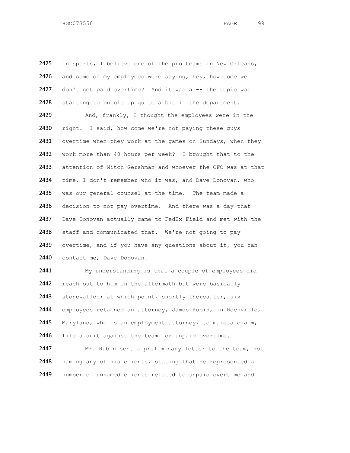2425 in sports, I believe one of the pro teams in New Orleans, 2426 and some of my employees were saying, hey, how come we 2427 don't get paid overtime? And it was a -- the topic was 2428 starting to bubble up quite a bit in the department. 2429 And, frankly, I thought the employees were in the 2430 right. I said, how come we're not paying these guys 2431 overtime when they work at the games on Sundays, when they 2432 work more than 40 hours per week? I brought that to the 2433 attention of Mitch Gershman and whoever the CFO was at that 2434 time, I don't remember who it was, and Dave Donovan, who 2435 was our general counsel at the time. The team made a 2436 decision to not pay overtime. And there was a day that 2437 Dave Donovan actually came to FedEx Field and met with the 2438 staff and communicated that. We're not going to pay 2439 overtime, and if you have any questions about it, you can 2440 contact me, Dave Donovan. 2441 My understanding is that a couple of employees did 2442 reach out to him in the aftermath but were basically 2443 stonewalled; at which point, shortly thereafter, six

2444 employees retained an attorney, James Rubin, in Rockville, 2445 Maryland, who is an employment attorney, to make a claim, 2446 file a suit against the team for unpaid overtime. 2447 Mr. Rubin sent a preliminary letter to the team, not

2448 naming any of his clients, stating that he represented a 2449 number of unnamed clients related to unpaid overtime and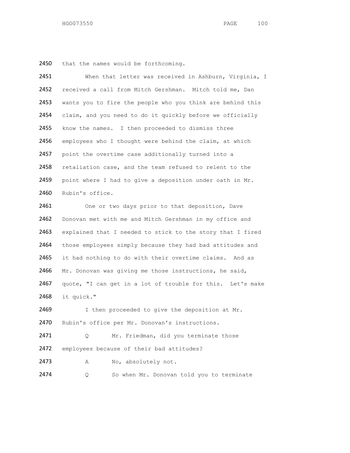2450 that the names would be forthcoming.

| 2451 | When that letter was received in Ashburn, Virginia, I      |
|------|------------------------------------------------------------|
| 2452 | received a call from Mitch Gershman. Mitch told me, Dan    |
| 2453 | wants you to fire the people who you think are behind this |
| 2454 | claim, and you need to do it quickly before we officially  |
| 2455 | know the names. I then proceeded to dismiss three          |
| 2456 | employees who I thought were behind the claim, at which    |
| 2457 | point the overtime case additionally turned into a         |
| 2458 | retaliation case, and the team refused to relent to the    |
| 2459 | point where I had to give a deposition under oath in Mr.   |
| 2460 | Rubin's office.                                            |
| 2461 | One or two days prior to that deposition, Dave             |
| 2462 | Donovan met with me and Mitch Gershman in my office and    |
| 2463 | explained that I needed to stick to the story that I fired |
| 2464 | those employees simply because they had bad attitudes and  |
| 2465 | it had nothing to do with their overtime claims. And as    |
| 2466 | Mr. Donovan was giving me those instructions, he said,     |
| 2467 | quote, "I can get in a lot of trouble for this. Let's make |
| 2468 | it quick."                                                 |
| 2469 | I then proceeded to give the deposition at Mr.             |
| 2470 | Rubin's office per Mr. Donovan's instructions.             |
| 2471 | Mr. Friedman, did you terminate those<br>Q.                |
| 2472 | employees because of their bad attitudes?                  |
| 2473 | No, absolutely not.<br>Α                                   |
| 2474 | So when Mr. Donovan told you to terminate<br>Q             |
|      |                                                            |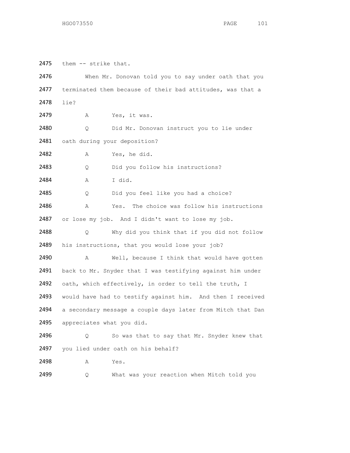2475 them -- strike that.

2476 When Mr. Donovan told you to say under oath that you 2477 terminated them because of their bad attitudes, was that a 2478 lie? 2479 A Yes, it was. 2480 Q Did Mr. Donovan instruct you to lie under 2481 oath during your deposition? 2482 A Yes, he did. 2483 Q Did you follow his instructions? 2484 A I did. 2485 O Did you feel like you had a choice? 2486 A Yes. The choice was follow his instructions 2487 or lose my job. And I didn't want to lose my job. 2488 Q Why did you think that if you did not follow 2489 his instructions, that you would lose your job? 2490 A Well, because I think that would have gotten 2491 back to Mr. Snyder that I was testifying against him under 2492 oath, which effectively, in order to tell the truth, I 2493 would have had to testify against him. And then I received 2494 a secondary message a couple days later from Mitch that Dan 2495 appreciates what you did. 2496 Q So was that to say that Mr. Snyder knew that 2497 you lied under oath on his behalf? 2498 A Yes. 2499 Q What was your reaction when Mitch told you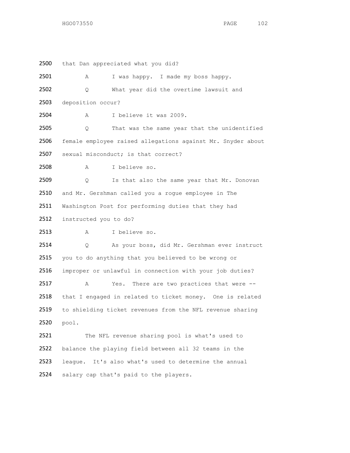2500 that Dan appreciated what you did? A I was happy. I made my boss happy. Q What year did the overtime lawsuit and deposition occur? A I believe it was 2009. Q That was the same year that the unidentified female employee raised allegations against Mr. Snyder about sexual misconduct; is that correct? A I believe so. 2509 Q Is that also the same year that Mr. Donovan and Mr. Gershman called you a rogue employee in The Washington Post for performing duties that they had instructed you to do? A I believe so. Q As your boss, did Mr. Gershman ever instruct you to do anything that you believed to be wrong or improper or unlawful in connection with your job duties? A Yes. There are two practices that were -- 2518 that I engaged in related to ticket money. One is related to shielding ticket revenues from the NFL revenue sharing pool. 2521 The NFL revenue sharing pool is what's used to balance the playing field between all 32 teams in the league. It's also what's used to determine the annual

2524 salary cap that's paid to the players.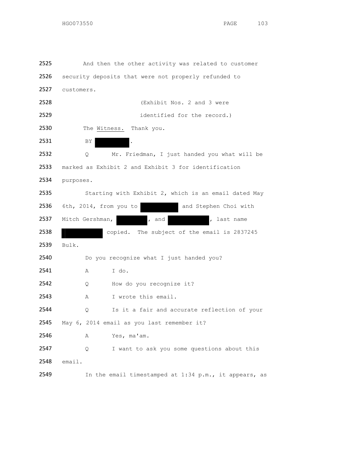And then the other activity was related to customer 2526 security deposits that were not properly refunded to customers. (Exhibit Nos. 2 and 3 were identified for the record.) 2530 The Witness. Thank you. 2531 BY Q Mr. Friedman, I just handed you what will be marked as Exhibit 2 and Exhibit 3 for identification purposes. Starting with Exhibit 2, which is an email dated May 6th, 2014, from you to and Stephen Choi with 2537 Mitch Gershman, and , and , last name copied. The subject of the email is 2837245 Bulk. 2540 Do you recognize what I just handed you? A I do. 2542 Q How do you recognize it? A I wrote this email. Q Is it a fair and accurate reflection of your May 6, 2014 email as you last remember it? A Yes, ma'am. 2547 Q I want to ask you some questions about this email. In the email timestamped at 1:34 p.m., it appears, as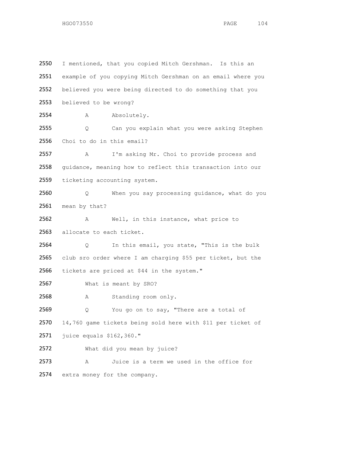I mentioned, that you copied Mitch Gershman. Is this an example of you copying Mitch Gershman on an email where you believed you were being directed to do something that you believed to be wrong? 2554 A Absolutely. Q Can you explain what you were asking Stephen Choi to do in this email? A I'm asking Mr. Choi to provide process and 2558 guidance, meaning how to reflect this transaction into our ticketing accounting system. Q When you say processing guidance, what do you 2561 mean by that? A Well, in this instance, what price to 2563 allocate to each ticket. Q In this email, you state, "This is the bulk club sro order where I am charging \$55 per ticket, but the tickets are priced at \$44 in the system." What is meant by SRO? A Standing room only. 2569 Q You go on to say, "There are a total of 14,760 game tickets being sold here with \$11 per ticket of juice equals \$162,360." What did you mean by juice? A Juice is a term we used in the office for extra money for the company.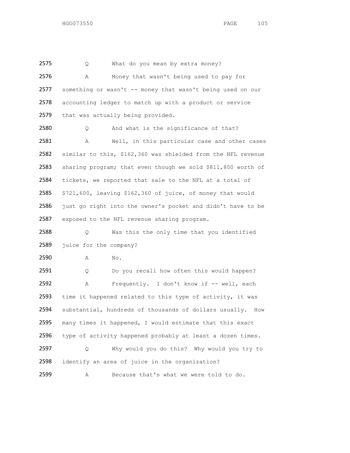2575 Q What do you mean by extra money? A Money that wasn't being used to pay for 2577 something or wasn't -- money that wasn't being used on our accounting ledger to match up with a product or service 2579 that was actually being provided.

2580 Q And what is the significance of that? A Well, in this particular case and other cases similar to this, \$162,360 was shielded from the NFL revenue sharing program; that even though we sold \$811,800 worth of tickets, we reported that sale to the NFL at a total of \$721,600, leaving \$162,360 of juice, of money that would just go right into the owner's pocket and didn't have to be exposed to the NFL revenue sharing program.

 Q Was this the only time that you identified 2589 juice for the company?

A No.

2591 Q Do you recall how often this would happen? A Frequently. I don't know if -- well, each time it happened related to this type of activity, it was substantial, hundreds of thousands of dollars usually. How many times it happened, I would estimate that this exact type of activity happened probably at least a dozen times. Q Why would you do this? Why would you try to 2598 identify an area of juice in the organization? A Because that's what we were told to do.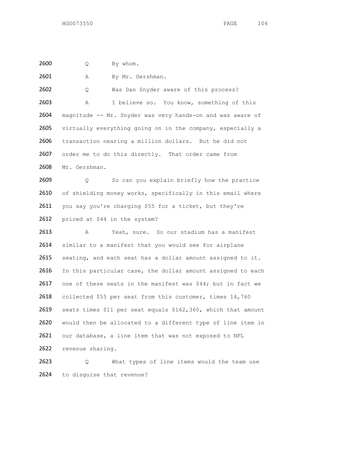Q By whom.

2601 A By Mr. Gershman.

 Q Was Dan Snyder aware of this process? A I believe so. You know, something of this magnitude -- Mr. Snyder was very hands-on and was aware of virtually everything going on in the company, especially a transaction nearing a million dollars. But he did not 2607 order me to do this directly. That order came from Mr. Gershman.

2609 0 So can you explain briefly how the practice 2610 of shielding money works, specifically in this email where you say you're charging \$55 for a ticket, but they're priced at \$44 in the system?

 A Yeah, sure. So our stadium has a manifest 2614 similar to a manifest that you would see for airplane 2615 seating, and each seat has a dollar amount assigned to it. 2616 In this particular case, the dollar amount assigned to each one of these seats in the manifest was \$44; but in fact we collected \$55 per seat from this customer, times 14,760 seats times \$11 per seat equals \$162,360, which that amount would then be allocated to a different type of line item in our database, a line item that was not exposed to NFL revenue sharing.

2623 Q What types of line items would the team use to disguise that revenue?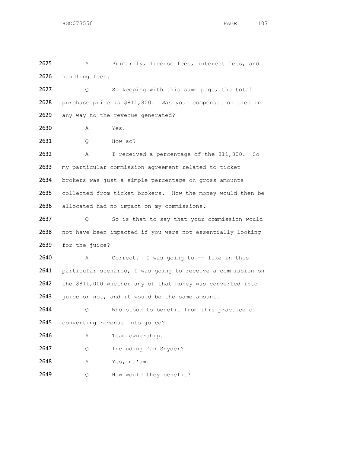2625 A Primarily, license fees, interest fees, and 2626 handling fees. Q So keeping with this same page, the total purchase price is \$811,800. Was your compensation tied in 2629 any way to the revenue generated? A Yes. Q How so? A I received a percentage of the 811,800. So my particular commission agreement related to ticket brokers was just a simple percentage on gross amounts 2635 collected from ticket brokers. How the money would then be allocated had no impact on my commissions. Q So is that to say that your commission would not have been impacted if you were not essentially looking for the juice? A Correct. I was going to -- like in this particular scenario, I was going to receive a commission on the \$811,000 whether any of that money was converted into 2643 juice or not, and it would be the same amount.

 Q Who stood to benefit from this practice of 2645 converting revenue into juice?

- 2646 A Team ownership.
- 2647 Q Including Dan Snyder?
- A Yes, ma'am.
- 2649 Q How would they benefit?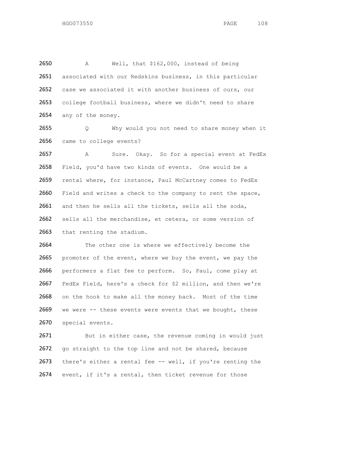A Well, that \$162,000, instead of being associated with our Redskins business, in this particular case we associated it with another business of ours, our college football business, where we didn't need to share 2654 any of the money.

2655 Q Why would you not need to share money when it 2656 came to college events?

2657 A Sure. Okay. So for a special event at FedEx 2658 Field, you'd have two kinds of events. One would be a 2659 rental where, for instance, Paul McCartney comes to FedEx 2660 Field and writes a check to the company to rent the space, 2661 and then he sells all the tickets, sells all the soda, 2662 sells all the merchandise, et cetera, or some version of 2663 that renting the stadium.

2664 The other one is where we effectively become the 2665 promoter of the event, where we buy the event, we pay the 2666 performers a flat fee to perform. So, Paul, come play at 2667 FedEx Field, here's a check for \$2 million, and then we're 2668 on the hook to make all the money back. Most of the time 2669 we were -- these events were events that we bought, these 2670 special events.

2671 But in either case, the revenue coming in would just 2672 go straight to the top line and not be shared, because 2673 there's either a rental fee -- well, if you're renting the 2674 event, if it's a rental, then ticket revenue for those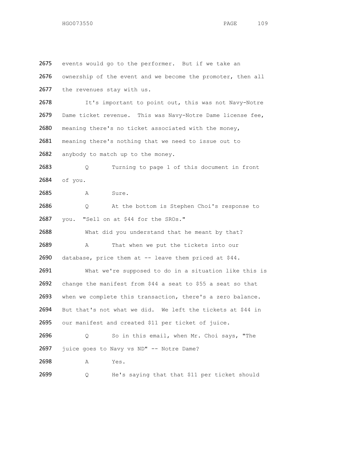2675 events would go to the performer. But if we take an ownership of the event and we become the promoter, then all 2677 the revenues stay with us. It's important to point out, this was not Navy-Notre Dame ticket revenue. This was Navy-Notre Dame license fee, meaning there's no ticket associated with the money, meaning there's nothing that we need to issue out to 2682 anybody to match up to the money. 2683 Q Turning to page 1 of this document in front of you. A Sure. Q At the bottom is Stephen Choi's response to you. "Sell on at \$44 for the SROs." 2688 What did you understand that he meant by that? 2689 A That when we put the tickets into our database, price them at -- leave them priced at \$44. What we're supposed to do in a situation like this is change the manifest from \$44 a seat to \$55 a seat so that when we complete this transaction, there's a zero balance. But that's not what we did. We left the tickets at \$44 in our manifest and created \$11 per ticket of juice. Q So in this email, when Mr. Choi says, "The juice goes to Navy vs ND" -- Notre Dame? A Yes. Q He's saying that that \$11 per ticket should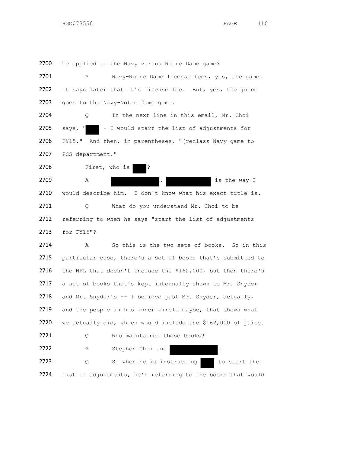be applied to the Navy versus Notre Dame game?

| 2701 | Navy-Notre Dame license fees, yes, the game.<br>Α            |
|------|--------------------------------------------------------------|
| 2702 | It says later that it's license fee. But, yes, the juice     |
| 2703 | goes to the Navy-Notre Dame game.                            |
| 2704 | In the next line in this email, Mr. Choi<br>Q                |
| 2705 | - I would start the list of adjustments for<br>says,         |
| 2706 | FY15." And then, in parentheses, "(reclass Navy game to      |
| 2707 | PSS department."                                             |
| 2708 | First, who is<br>$\cdot$                                     |
| 2709 | is the way I<br>Α                                            |
| 2710 | would describe him. I don't know what his exact title is.    |
| 2711 | What do you understand Mr. Choi to be<br>Q.                  |
| 2712 | referring to when he says "start the list of adjustments     |
| 2713 | for FY15"?                                                   |
| 2714 | Α<br>So this is the two sets of books. So in this            |
| 2715 | particular case, there's a set of books that's submitted to  |
| 2716 | the NFL that doesn't include the \$162,000, but then there's |
| 2717 | a set of books that's kept internally shown to Mr. Snyder    |
| 2718 | and Mr. Snyder's -- I believe just Mr. Snyder, actually,     |
| 2719 | and the people in his inner circle maybe, that shows what    |
| 2720 | we actually did, which would include the \$162,000 of juice. |
| 2721 | Who maintained these books?<br>Q                             |
| 2722 | Stephen Choi and<br>Α                                        |
| 2723 | So when he is instructing<br>to start the<br>Q               |
| 2724 | list of adjustments, he's referring to the books that would  |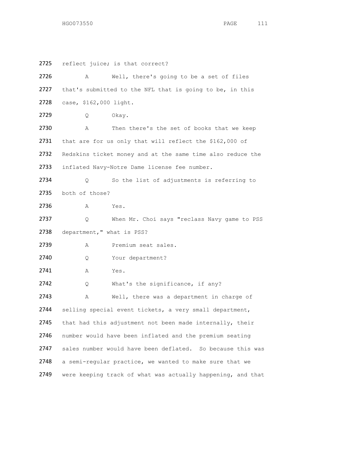2725 reflect juice; is that correct? 2726 A Well, there's going to be a set of files 2727 that's submitted to the NFL that is going to be, in this 2728 case, \$162,000 light. 2729 Q Okay. 2730 A Then there's the set of books that we keep 2731 that are for us only that will reflect the \$162,000 of 2732 Redskins ticket money and at the same time also reduce the 2733 inflated Navy-Notre Dame license fee number. 2734 Q So the list of adjustments is referring to 2735 both of those? 2736 A Yes. 2737 Q When Mr. Choi says "reclass Navy game to PSS 2738 department," what is PSS? 2739 A Premium seat sales. 2740 Q Your department? 2741 A Yes. 2742 Q What's the significance, if any? 2743 A Well, there was a department in charge of 2744 selling special event tickets, a very small department, 2745 that had this adjustment not been made internally, their 2746 number would have been inflated and the premium seating 2747 sales number would have been deflated. So because this was 2748 a semi-regular practice, we wanted to make sure that we 2749 were keeping track of what was actually happening, and that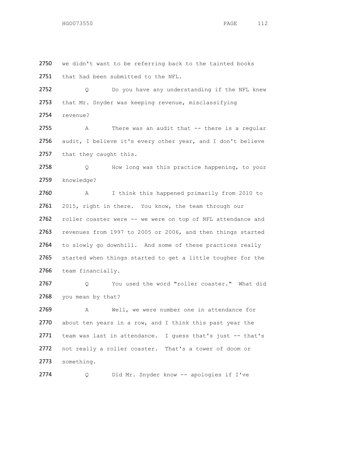2750 we didn't want to be referring back to the tainted books 2751 that had been submitted to the NFL. 2752 Q Do you have any understanding if the NFL knew 2753 that Mr. Snyder was keeping revenue, misclassifying

2754 revenue?

2755 A There was an audit that -- there is a regular 2756 audit, I believe it's every other year, and I don't believe 2757 that they caught this.

2758 Q How long was this practice happening, to your 2759 knowledge?

 A I think this happened primarily from 2010 to 2761 2015, right in there. You know, the team through our roller coaster were -- we were on top of NFL attendance and revenues from 1997 to 2005 or 2006, and then things started to slowly go downhill. And some of these practices really started when things started to get a little tougher for the team financially.

2767 Q You used the word "roller coaster." What did 2768 you mean by that?

2769 A Well, we were number one in attendance for 2770 about ten years in a row, and I think this past year the 2771 team was last in attendance. I guess that's just -- that's 2772 not really a roller coaster. That's a tower of doom or 2773 something.

2774 Q Did Mr. Snyder know -- apologies if I've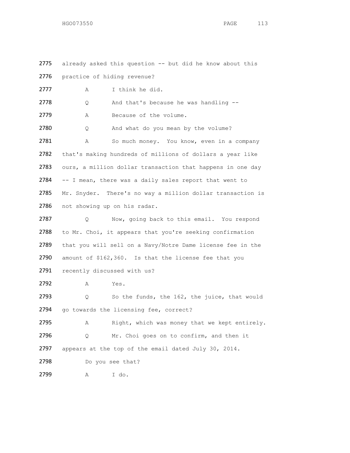2775 already asked this question -- but did he know about this 2776 practice of hiding revenue? 2777 A I think he did. 2778 Q And that's because he was handling --2779 A Because of the volume. 2780 Q And what do you mean by the volume? 2781 A So much money. You know, even in a company 2782 that's making hundreds of millions of dollars a year like 2783 ours, a million dollar transaction that happens in one day 2784 -- I mean, there was a daily sales report that went to 2785 Mr. Snyder. There's no way a million dollar transaction is 2786 not showing up on his radar. 2787 Q Now, going back to this email. You respond 2788 to Mr. Choi, it appears that you're seeking confirmation 2789 that you will sell on a Navy/Notre Dame license fee in the 2790 amount of \$162,360. Is that the license fee that you 2791 recently discussed with us? 2792 A Yes. 2793 Q So the funds, the 162, the juice, that would 2794 go towards the licensing fee, correct? 2795 A Right, which was money that we kept entirely. 2796 Q Mr. Choi goes on to confirm, and then it 2797 appears at the top of the email dated July 30, 2014. 2798 Do you see that? 2799 A I do.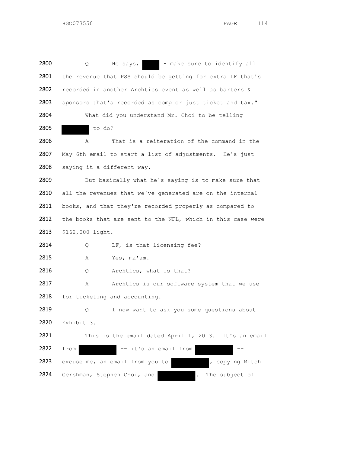$2800$  Q He says,  $\blacksquare$  - make sure to identify all 2801 the revenue that PSS should be getting for extra LF that's 2802 recorded in another Archtics event as well as barters & 2803 sponsors that's recorded as comp or just ticket and tax." 2804 What did you understand Mr. Choi to be telling 2805 to do? 2806 A That is a reiteration of the command in the 2807 May 6th email to start a list of adjustments. He's just 2808 saying it a different way. 2809 But basically what he's saying is to make sure that 2810 all the revenues that we've generated are on the internal 2811 books, and that they're recorded properly as compared to 2812 the books that are sent to the NFL, which in this case were 2813 \$162,000 light. 2814 Q LF, is that licensing fee? 2815 A Yes, ma'am. 2816 Q Archtics, what is that? 2817 A Archtics is our software system that we use 2818 for ticketing and accounting. 2819 Q I now want to ask you some questions about 2820 Exhibit 3. 2821 This is the email dated April 1, 2013. It's an email 2822 from -- it's an email from 2823 excuse me, an email from you to , copying Mitch 2824 Gershman, Stephen Choi, and **.** The subject of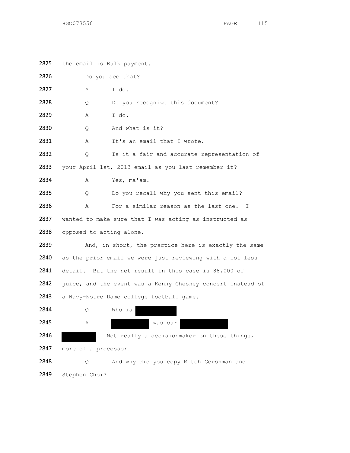| 2825 | the email is Bulk payment.                                |                                                             |  |
|------|-----------------------------------------------------------|-------------------------------------------------------------|--|
| 2826 | Do you see that?                                          |                                                             |  |
| 2827 | Α                                                         | I do.                                                       |  |
| 2828 | Q.                                                        | Do you recognize this document?                             |  |
| 2829 | Α                                                         | I do.                                                       |  |
| 2830 | Q                                                         | And what is it?                                             |  |
| 2831 | Α                                                         | It's an email that I wrote.                                 |  |
| 2832 | Q                                                         | Is it a fair and accurate representation of                 |  |
| 2833 |                                                           | your April 1st, 2013 email as you last remember it?         |  |
| 2834 | Α                                                         | Yes, ma'am.                                                 |  |
| 2835 | Q.                                                        | Do you recall why you sent this email?                      |  |
| 2836 | Α                                                         | For a similar reason as the last one. I                     |  |
| 2837 | wanted to make sure that I was acting as instructed as    |                                                             |  |
| 2838 | opposed to acting alone.                                  |                                                             |  |
| 2839 |                                                           | And, in short, the practice here is exactly the same        |  |
| 2840 | as the prior email we were just reviewing with a lot less |                                                             |  |
| 2841 | detail. But the net result in this case is 88,000 of      |                                                             |  |
| 2842 |                                                           | juice, and the event was a Kenny Chesney concert instead of |  |
| 2843 |                                                           | a Navy-Notre Dame college football game.                    |  |
| 2844 | Q                                                         | Who is                                                      |  |
| 2845 | Α                                                         | was our                                                     |  |
| 2846 |                                                           | Not really a decisionmaker on these things,                 |  |
| 2847 | more of a processor.                                      |                                                             |  |
| 2848 | Q.                                                        | And why did you copy Mitch Gershman and                     |  |
| 2849 | Stephen Choi?                                             |                                                             |  |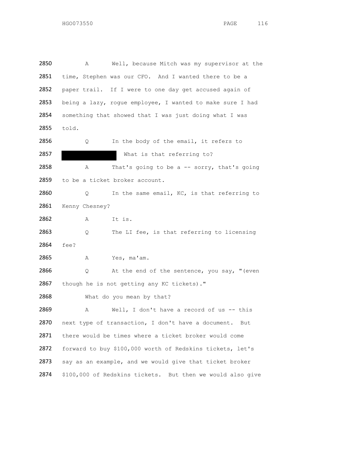2850 A Well, because Mitch was my supervisor at the 2851 time, Stephen was our CFO. And I wanted there to be a 2852 paper trail. If I were to one day get accused again of 2853 being a lazy, rogue employee, I wanted to make sure I had 2854 something that showed that I was just doing what I was 2855 told. 2856 Q In the body of the email, it refers to 2857 What is that referring to? 2858 A That's going to be a -- sorry, that's going 2859 to be a ticket broker account. 2860 0 In the same email, KC, is that referring to 2861 Kenny Chesney? 2862 A It is. 2863 Q The LI fee, is that referring to licensing 2864 fee? 2865 A Yes, ma'am. 2866 Q At the end of the sentence, you say, "(even 2867 though he is not getting any KC tickets)." 2868 What do you mean by that? 2869 A Well, I don't have a record of us -- this 2870 next type of transaction, I don't have a document. But 2871 there would be times where a ticket broker would come 2872 forward to buy \$100,000 worth of Redskins tickets, let's 2873 say as an example, and we would give that ticket broker 2874 \$100,000 of Redskins tickets. But then we would also give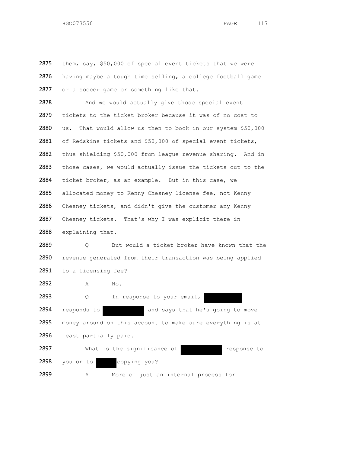2875 them, say, \$50,000 of special event tickets that we were 2876 having maybe a tough time selling, a college football game 2877 or a soccer game or something like that. 2878 And we would actually give those special event 2879 tickets to the ticket broker because it was of no cost to 2880 us. That would allow us then to book in our system \$50,000 2881 of Redskins tickets and \$50,000 of special event tickets, 2882 thus shielding \$50,000 from league revenue sharing. And in 2883 those cases, we would actually issue the tickets out to the 2884 ticket broker, as an example. But in this case, we 2885 allocated money to Kenny Chesney license fee, not Kenny 2886 Chesney tickets, and didn't give the customer any Kenny 2887 Chesney tickets. That's why I was explicit there in 2888 explaining that. 2889 Q But would a ticket broker have known that the 2890 revenue generated from their transaction was being applied 2891 to a licensing fee? 2892 A No. 2893 Q In response to your email, 2894 responds to and says that he's going to move 2895 money around on this account to make sure everything is at 2896 least partially paid. 2897 What is the significance of The response to 2898 you or to copying you? 2899 A More of just an internal process for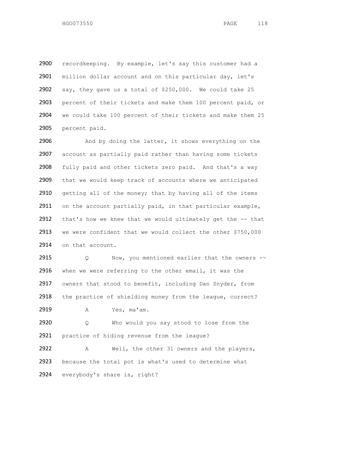recordkeeping. By example, let's say this customer had a 2901 million dollar account and on this particular day, let's say, they gave us a total of \$250,000. We could take 25 percent of their tickets and make them 100 percent paid, or we could take 100 percent of their tickets and make them 25 percent paid.

2906 And by doing the latter, it shows everything on the account as partially paid rather than having some tickets 2908 fully paid and other tickets zero paid. And that's a way that we would keep track of accounts where we anticipated 2910 getting all of the money; that by having all of the items 2911 on the account partially paid, in that particular example, 2912 that's how we knew that we would ultimately get the -- that we were confident that we would collect the other \$750,000 on that account.

 Q Now, you mentioned earlier that the owners -- when we were referring to the other email, it was the 2917 owners that stood to benefit, including Dan Snyder, from 2918 the practice of shielding money from the league, correct?

A Yes, ma'am.

 Q Who would you say stood to lose from the practice of hiding revenue from the league?

 A Well, the other 31 owners and the players, because the total pot is what's used to determine what everybody's share is, right?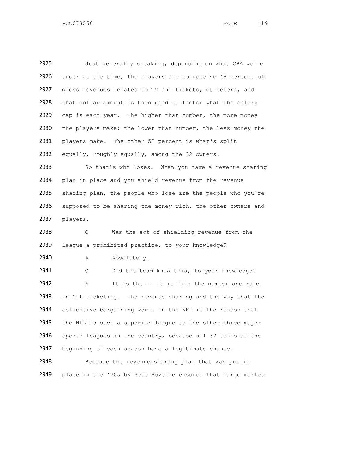2925 Just generally speaking, depending on what CBA we're 2926 under at the time, the players are to receive 48 percent of 2927 gross revenues related to TV and tickets, et cetera, and 2928 that dollar amount is then used to factor what the salary 2929 cap is each year. The higher that number, the more money 2930 the players make; the lower that number, the less money the 2931 players make. The other 52 percent is what's split 2932 equally, roughly equally, among the 32 owners. 2933 So that's who loses. When you have a revenue sharing 2934 plan in place and you shield revenue from the revenue 2935 sharing plan, the people who lose are the people who you're 2936 supposed to be sharing the money with, the other owners and 2937 players. 2938 Q Was the act of shielding revenue from the 2939 league a prohibited practice, to your knowledge? 2940 A Absolutely. 2941 Q Did the team know this, to your knowledge? 2942 A It is the -- it is like the number one rule 2943 in NFL ticketing. The revenue sharing and the way that the 2944 collective bargaining works in the NFL is the reason that 2945 the NFL is such a superior league to the other three major 2946 sports leagues in the country, because all 32 teams at the 2947 beginning of each season have a legitimate chance. 2948 Because the revenue sharing plan that was put in

2949 place in the '70s by Pete Rozelle ensured that large market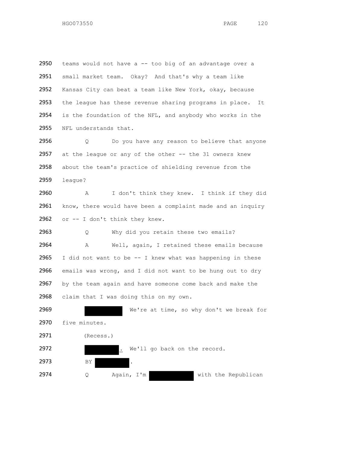teams would not have a -- too big of an advantage over a small market team. Okay? And that's why a team like Kansas City can beat a team like New York, okay, because 2953 the league has these revenue sharing programs in place. It is the foundation of the NFL, and anybody who works in the 2955 NFL understands that.

2956 Q Do you have any reason to believe that anyone 2957 at the league or any of the other -- the 31 owners knew about the team's practice of shielding revenue from the league?

 A I don't think they knew. I think if they did 2961 know, there would have been a complaint made and an inquiry or -- I don't think they knew.

 Q Why did you retain these two emails? A Well, again, I retained these emails because 2965 I did not want to be  $--$  I knew what was happening in these emails was wrong, and I did not want to be hung out to dry by the team again and have someone come back and make the 2968 claim that I was doing this on my own.

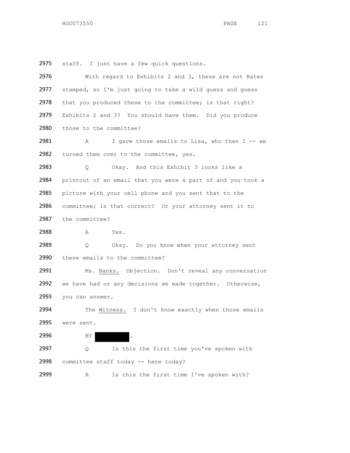staff. I just have a few quick questions.

| 2976 | With regard to Exhibits 2 and 3, these are not Bates        |
|------|-------------------------------------------------------------|
| 2977 | stamped, so I'm just going to take a wild guess and guess   |
| 2978 | that you produced these to the committee; is that right?    |
| 2979 | Exhibits 2 and 3? You should have them. Did you produce     |
| 2980 | those to the committee?                                     |
| 2981 | I gave those emails to Lisa, who then I -- we<br>Α          |
| 2982 | turned them over to the committee, yes.                     |
| 2983 | Okay. And this Exhibit 3 looks like a<br>Q                  |
| 2984 | printout of an email that you were a part of and you took a |
| 2985 | picture with your cell phone and you sent that to the       |
| 2986 | committee; is that correct? Or your attorney sent it to     |
| 2987 | the committee?                                              |
| 2988 | Yes.<br>A                                                   |
|      |                                                             |
| 2989 | Okay. Do you know when your attorney sent<br>$\circ$        |
| 2990 | these emails to the committee?                              |
| 2991 | Ms. Banks. Objection. Don't reveal any conversation         |
| 2992 | we have had or any decisions we made together. Otherwise,   |
| 2993 | you can answer.                                             |
| 2994 | The Witness. I don't know exactly when those emails         |
| 2995 | were sent.                                                  |
| 2996 | ΒY                                                          |
| 2997 | Is this the first time you've spoken with<br>Q              |
| 2998 | committee staff today -- here today?                        |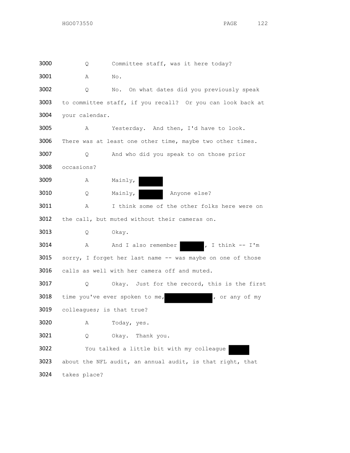Q Committee staff, was it here today? A No. Q No. On what dates did you previously speak to committee staff, if you recall? Or you can look back at your calendar. A Yesterday. And then, I'd have to look. 3006 There was at least one other time, maybe two other times. Q And who did you speak to on those prior occasions? A Mainly, Q Mainly, Anyone else? A I think some of the other folks here were on 3012 the call, but muted without their cameras on. Q Okay. 3014 A And I also remember , I think -- I'm 3015 sorry, I forget her last name -- was maybe on one of those calls as well with her camera off and muted. Q Okay. Just for the record, this is the first 3018 time you've ever spoken to me, so that you have of my colleagues; is that true? A Today, yes. Q Okay. Thank you. You talked a little bit with my colleague about the NFL audit, an annual audit, is that right, that takes place?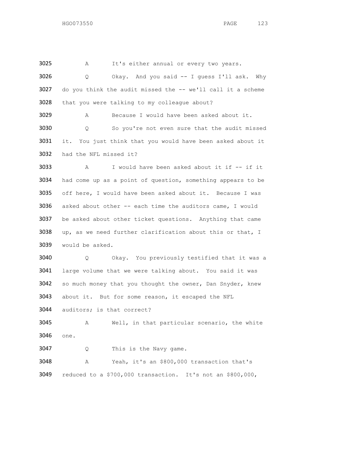Q Okay. And you said -- I guess I'll ask. Why 3027 do you think the audit missed the -- we'll call it a scheme that you were talking to my colleague about? A Because I would have been asked about it. Q So you're not even sure that the audit missed 3031 it. You just think that you would have been asked about it had the NFL missed it?

A It's either annual or every two years.

 A I would have been asked about it if -- if it had come up as a point of question, something appears to be off here, I would have been asked about it. Because I was asked about other -- each time the auditors came, I would be asked about other ticket questions. Anything that came up, as we need further clarification about this or that, I would be asked.

 Q Okay. You previously testified that it was a large volume that we were talking about. You said it was so much money that you thought the owner, Dan Snyder, knew about it. But for some reason, it escaped the NFL

auditors; is that correct?

 A Well, in that particular scenario, the white one.

Q This is the Navy game.

 A Yeah, it's an \$800,000 transaction that's reduced to a \$700,000 transaction. It's not an \$800,000,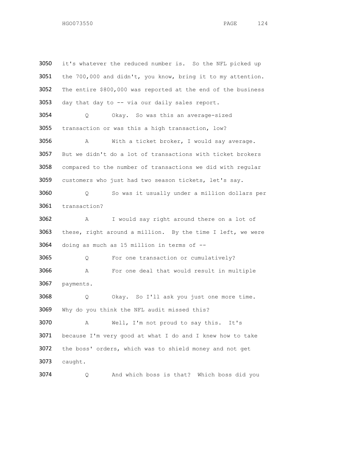3050 it's whatever the reduced number is. So the NFL picked up the 700,000 and didn't, you know, bring it to my attention. The entire \$800,000 was reported at the end of the business day that day to -- via our daily sales report. Q Okay. So was this an average-sized transaction or was this a high transaction, low? A With a ticket broker, I would say average. But we didn't do a lot of transactions with ticket brokers compared to the number of transactions we did with regular customers who just had two season tickets, let's say. Q So was it usually under a million dollars per transaction? A I would say right around there on a lot of these, right around a million. By the time I left, we were doing as much as 15 million in terms of -- Q For one transaction or cumulatively? A For one deal that would result in multiple payments. Q Okay. So I'll ask you just one more time. Why do you think the NFL audit missed this? A Well, I'm not proud to say this. It's because I'm very good at what I do and I knew how to take the boss' orders, which was to shield money and not get caught.

Q And which boss is that? Which boss did you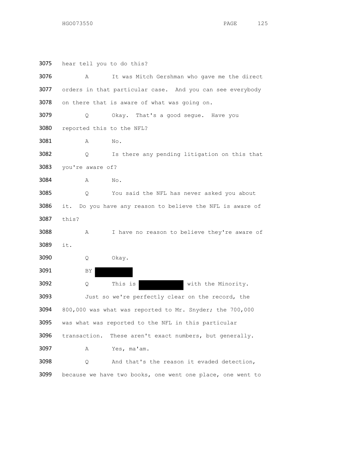| 3075 | hear tell you to do this?                                 |                                                            |  |
|------|-----------------------------------------------------------|------------------------------------------------------------|--|
| 3076 | Α                                                         | It was Mitch Gershman who gave me the direct               |  |
| 3077 |                                                           | orders in that particular case. And you can see everybody  |  |
| 3078 |                                                           | on there that is aware of what was going on.               |  |
| 3079 | Q.                                                        | Okay. That's a good segue. Have you                        |  |
| 3080 | reported this to the NFL?                                 |                                                            |  |
| 3081 | Α                                                         | No.                                                        |  |
| 3082 | Q.                                                        | Is there any pending litigation on this that               |  |
| 3083 | you're aware of?                                          |                                                            |  |
| 3084 | Α                                                         | No.                                                        |  |
| 3085 | Q.                                                        | You said the NFL has never asked you about                 |  |
| 3086 | it. Do you have any reason to believe the NFL is aware of |                                                            |  |
| 3087 | this?                                                     |                                                            |  |
| 3088 | Α                                                         | I have no reason to believe they're aware of               |  |
| 3089 | it.                                                       |                                                            |  |
| 3090 | Q                                                         | Okay.                                                      |  |
| 3091 | BY                                                        |                                                            |  |
| 3092 | Q                                                         | This is<br>with the Minority.                              |  |
| 3093 |                                                           | Just so we're perfectly clear on the record, the           |  |
| 3094 |                                                           | 800,000 was what was reported to Mr. Snyder; the 700,000   |  |
| 3095 |                                                           | was what was reported to the NFL in this particular        |  |
| 3096 | transaction.                                              | These aren't exact numbers, but generally.                 |  |
| 3097 | Α                                                         | Yes, ma'am.                                                |  |
| 3098 | Q.                                                        | And that's the reason it evaded detection,                 |  |
| 3099 |                                                           | because we have two books, one went one place, one went to |  |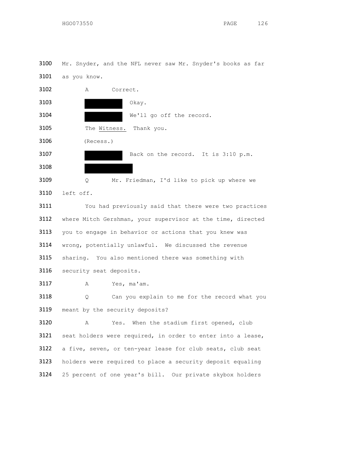Mr. Snyder, and the NFL never saw Mr. Snyder's books as far as you know.



 a five, seven, or ten-year lease for club seats, club seat holders were required to place a security deposit equaling 25 percent of one year's bill. Our private skybox holders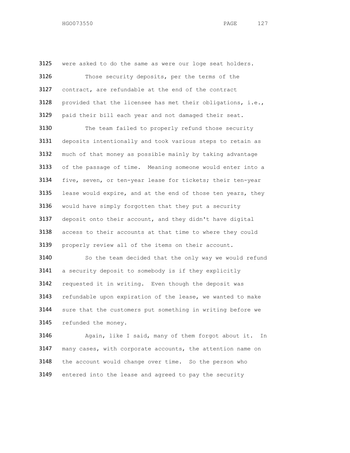3125 were asked to do the same as were our loge seat holders. Those security deposits, per the terms of the contract, are refundable at the end of the contract provided that the licensee has met their obligations, i.e., paid their bill each year and not damaged their seat. The team failed to properly refund those security 3131 deposits intentionally and took various steps to retain as much of that money as possible mainly by taking advantage 3133 of the passage of time. Meaning someone would enter into a five, seven, or ten-year lease for tickets; their ten-year lease would expire, and at the end of those ten years, they would have simply forgotten that they put a security deposit onto their account, and they didn't have digital access to their accounts at that time to where they could properly review all of the items on their account. So the team decided that the only way we would refund a security deposit to somebody is if they explicitly requested it in writing. Even though the deposit was refundable upon expiration of the lease, we wanted to make sure that the customers put something in writing before we 3145 refunded the money. 3146 Again, like I said, many of them forgot about it. In

 many cases, with corporate accounts, the attention name on the account would change over time. So the person who entered into the lease and agreed to pay the security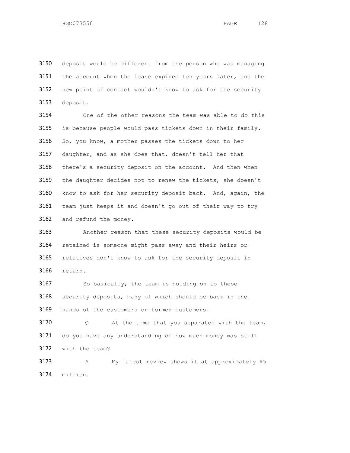deposit would be different from the person who was managing 3151 the account when the lease expired ten years later, and the new point of contact wouldn't know to ask for the security deposit.

 One of the other reasons the team was able to do this is because people would pass tickets down in their family. So, you know, a mother passes the tickets down to her daughter, and as she does that, doesn't tell her that 3158 there's a security deposit on the account. And then when the daughter decides not to renew the tickets, she doesn't know to ask for her security deposit back. And, again, the team just keeps it and doesn't go out of their way to try 3162 and refund the money.

 Another reason that these security deposits would be retained is someone might pass away and their heirs or relatives don't know to ask for the security deposit in return.

3167 So basically, the team is holding on to these security deposits, many of which should be back in the hands of the customers or former customers.

 Q At the time that you separated with the team, do you have any understanding of how much money was still with the team?

 A My latest review shows it at approximately \$5 million.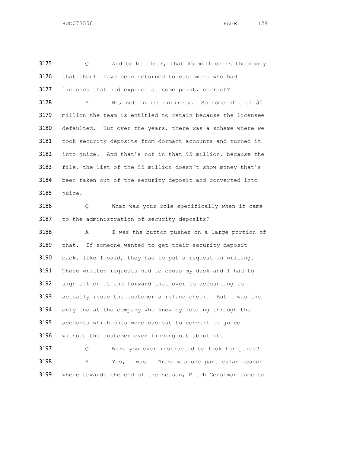Q And to be clear, that \$5 million is the money that should have been returned to customers who had licenses that had expired at some point, correct? 3178 A No, not in its entirety. So some of that \$5 million the team is entitled to retain because the licensee defaulted. But over the years, there was a scheme where we took security deposits from dormant accounts and turned it into juice. And that's not in that \$5 million, because the file, the list of the \$5 million doesn't show money that's been taken out of the security deposit and converted into juice. Q What was your role specifically when it came to the administration of security deposits? A I was the button pusher on a large portion of that. If someone wanted to get their security deposit back, like I said, they had to put a request in writing. 3191 Those written requests had to cross my desk and I had to sign off on it and forward that over to accounting to actually issue the customer a refund check. But I was the only one at the company who knew by looking through the accounts which ones were easiest to convert to juice without the customer ever finding out about it. Q Were you ever instructed to look for juice? A Yes, I was. There was one particular season where towards the end of the season, Mitch Gershman came to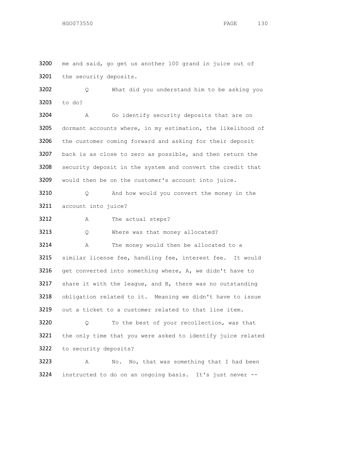3200 me and said, go get us another 100 grand in juice out of the security deposits.

 Q What did you understand him to be asking you to do?

 A Go identify security deposits that are on dormant accounts where, in my estimation, the likelihood of the customer coming forward and asking for their deposit 3207 back is as close to zero as possible, and then return the security deposit in the system and convert the credit that would then be on the customer's account into juice.

3210 O And how would you convert the money in the account into juice?

A The actual steps?

3213 Q Where was that money allocated?

3214 A The money would then be allocated to a similar license fee, handling fee, interest fee. It would 3216 get converted into something where, A, we didn't have to share it with the league, and B, there was no outstanding obligation related to it. Meaning we didn't have to issue out a ticket to a customer related to that line item.

 Q To the best of your recollection, was that the only time that you were asked to identify juice related to security deposits?

 A No. No, that was something that I had been instructed to do on an ongoing basis. It's just never --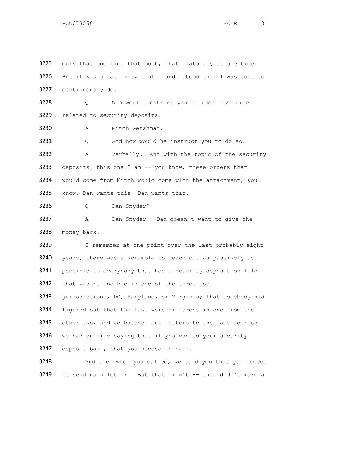3225 only that one time that much, that blatantly at one time. But it was an activity that I understood that I was just to continuously do. Q Who would instruct you to identify juice related to security deposits? A Mitch Gershman. Q And how would he instruct you to do so? A Verbally. And with the topic of the security 3233 deposits, this one I am -- you know, these orders that would come from Mitch would come with the attachment, you know, Dan wants this, Dan wants that. Q Dan Snyder? A Dan Snyder. Dan doesn't want to give the money back. 3239 I remember at one point over the last probably eight years, there was a scramble to reach out as passively as possible to everybody that had a security deposit on file that was refundable in one of the three local 3243 jurisdictions, DC, Maryland, or Virginia; that somebody had figured out that the laws were different in one from the 3245 other two, and we batched out letters to the last address we had on file saying that if you wanted your security 3247 deposit back, that you needed to call. And then when you called, we told you that you needed

to send us a letter. But that didn't -- that didn't make a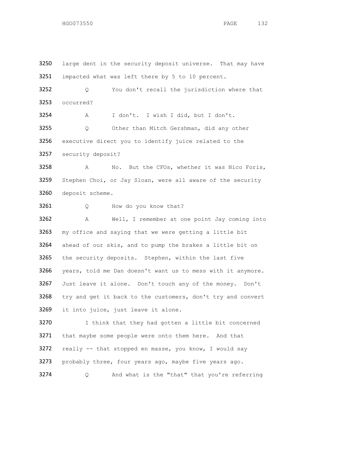3250 large dent in the security deposit universe. That may have impacted what was left there by 5 to 10 percent. Q You don't recall the jurisdiction where that occurred? A I don't. I wish I did, but I don't. Q Other than Mitch Gershman, did any other executive direct you to identify juice related to the security deposit? A No. But the CFOs, whether it was Nico Foris, Stephen Choi, or Jay Sloan, were all aware of the security deposit scheme. 3261 Q How do you know that? A Well, I remember at one point Jay coming into my office and saying that we were getting a little bit ahead of our skis, and to pump the brakes a little bit on 3265 the security deposits. Stephen, within the last five years, told me Dan doesn't want us to mess with it anymore. Just leave it alone. Don't touch any of the money. Don't 3268 try and get it back to the customers, don't try and convert it into juice, just leave it alone. 3270 I think that they had gotten a little bit concerned 3271 that maybe some people were onto them here. And that really -- that stopped en masse, you know, I would say probably three, four years ago, maybe five years ago. Q And what is the "that" that you're referring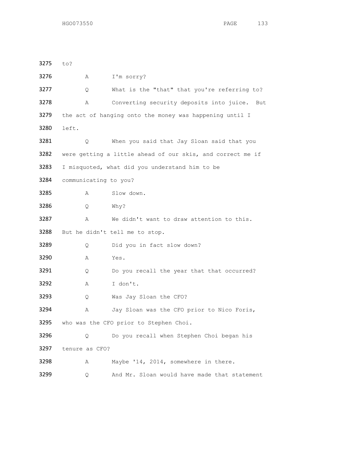| 3275 | to?                   |  |                                                            |
|------|-----------------------|--|------------------------------------------------------------|
| 3276 | Α                     |  | I'm sorry?                                                 |
| 3277 | Q.                    |  | What is the "that" that you're referring to?               |
| 3278 | Α                     |  | Converting security deposits into juice.<br>But            |
| 3279 |                       |  | the act of hanging onto the money was happening until I    |
| 3280 | left.                 |  |                                                            |
| 3281 | Q.                    |  | When you said that Jay Sloan said that you                 |
| 3282 |                       |  | were getting a little ahead of our skis, and correct me if |
| 3283 |                       |  | I misquoted, what did you understand him to be             |
| 3284 | communicating to you? |  |                                                            |
| 3285 | A                     |  | Slow down.                                                 |
| 3286 | Q.                    |  | Why?                                                       |
| 3287 | Α                     |  | We didn't want to draw attention to this.                  |
| 3288 |                       |  | But he didn't tell me to stop.                             |
| 3289 | Q.                    |  | Did you in fact slow down?                                 |
| 3290 | Α                     |  | Yes.                                                       |
| 3291 | Q                     |  | Do you recall the year that that occurred?                 |
| 3292 | Α                     |  | I don't.                                                   |
| 3293 | Q                     |  | Was Jay Sloan the CFO?                                     |
| 3294 | Α                     |  | Jay Sloan was the CFO prior to Nico Foris,                 |
| 3295 |                       |  | who was the CFO prior to Stephen Choi.                     |
| 3296 | Q                     |  | Do you recall when Stephen Choi began his                  |
| 3297 | tenure as CFO?        |  |                                                            |
| 3298 | Α                     |  | Maybe '14, 2014, somewhere in there.                       |
| 3299 | Q                     |  | And Mr. Sloan would have made that statement               |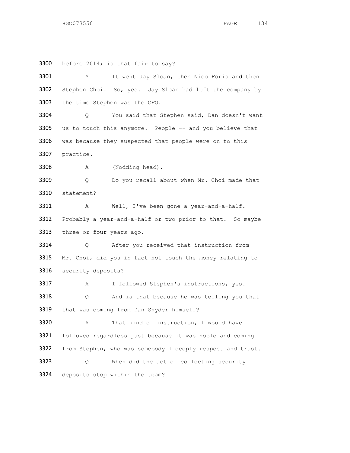3300 before 2014; is that fair to say? A It went Jay Sloan, then Nico Foris and then Stephen Choi. So, yes. Jay Sloan had left the company by the time Stephen was the CFO. Q You said that Stephen said, Dan doesn't want 3305 us to touch this anymore. People -- and you believe that was because they suspected that people were on to this practice. 3308 A (Nodding head). Q Do you recall about when Mr. Choi made that statement? A Well, I've been gone a year-and-a-half. Probably a year-and-a-half or two prior to that. So maybe 3313 three or four years ago. Q After you received that instruction from 3315 Mr. Choi, did you in fact not touch the money relating to security deposits? A I followed Stephen's instructions, yes. Q And is that because he was telling you that that was coming from Dan Snyder himself? A That kind of instruction, I would have followed regardless just because it was noble and coming from Stephen, who was somebody I deeply respect and trust. Q When did the act of collecting security deposits stop within the team?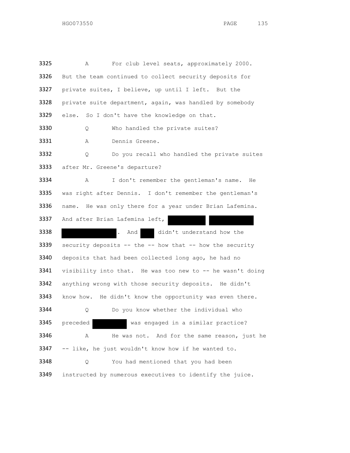A For club level seats, approximately 2000. But the team continued to collect security deposits for private suites, I believe, up until I left. But the private suite department, again, was handled by somebody 3329 else. So I don't have the knowledge on that. 3330 Q Who handled the private suites? A Dennis Greene. Q Do you recall who handled the private suites after Mr. Greene's departure? A I don't remember the gentleman's name. He was right after Dennis. I don't remember the gentleman's name. He was only there for a year under Brian Lafemina. And after Brian Lafemina left, 3338 . And didn't understand how the security deposits -- the -- how that -- how the security 3340 deposits that had been collected long ago, he had no 3341 visibility into that. He was too new to -- he wasn't doing anything wrong with those security deposits. He didn't know how. He didn't know the opportunity was even there. Q Do you know whether the individual who preceded was engaged in a similar practice? A He was not. And for the same reason, just he -- like, he just wouldn't know how if he wanted to. Q You had mentioned that you had been instructed by numerous executives to identify the juice.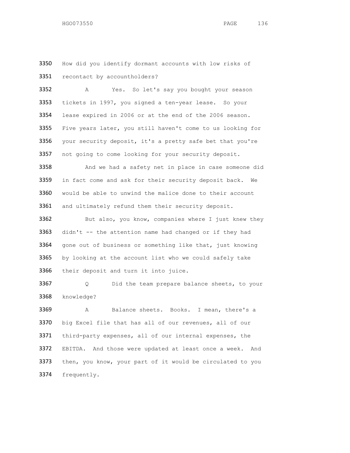How did you identify dormant accounts with low risks of recontact by accountholders?

 A Yes. So let's say you bought your season tickets in 1997, you signed a ten-year lease. So your lease expired in 2006 or at the end of the 2006 season. Five years later, you still haven't come to us looking for 3356 your security deposit, it's a pretty safe bet that you're not going to come looking for your security deposit.

 And we had a safety net in place in case someone did 3359 in fact come and ask for their security deposit back. We would be able to unwind the malice done to their account 3361 and ultimately refund them their security deposit.

3362 But also, you know, companies where I just knew they 3363 didn't -- the attention name had changed or if they had 3364 gone out of business or something like that, just knowing by looking at the account list who we could safely take 3366 their deposit and turn it into juice.

 Q Did the team prepare balance sheets, to your knowledge?

 A Balance sheets. Books. I mean, there's a big Excel file that has all of our revenues, all of our third-party expenses, all of our internal expenses, the EBITDA. And those were updated at least once a week. And 3373 then, you know, your part of it would be circulated to you frequently.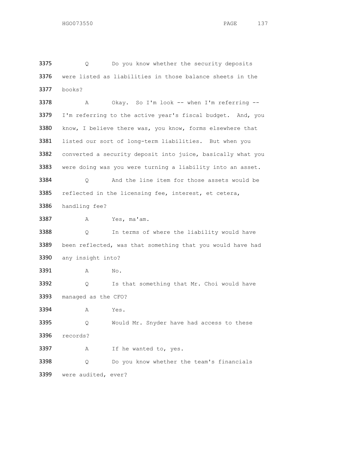3375 Q Do you know whether the security deposits were listed as liabilities in those balance sheets in the books?

 A Okay. So I'm look -- when I'm referring -- 3379 I'm referring to the active year's fiscal budget. And, you 3380 know, I believe there was, you know, forms elsewhere that listed our sort of long-term liabilities. But when you 3382 converted a security deposit into juice, basically what you 3383 were doing was you were turning a liability into an asset. Q And the line item for those assets would be reflected in the licensing fee, interest, et cetera,

handling fee?

A Yes, ma'am.

 Q In terms of where the liability would have 3389 been reflected, was that something that you would have had any insight into?

3391 A No.

3392 Q Is that something that Mr. Choi would have managed as the CFO?

A Yes.

 Q Would Mr. Snyder have had access to these records?

 A If he wanted to, yes. Q Do you know whether the team's financials were audited, ever?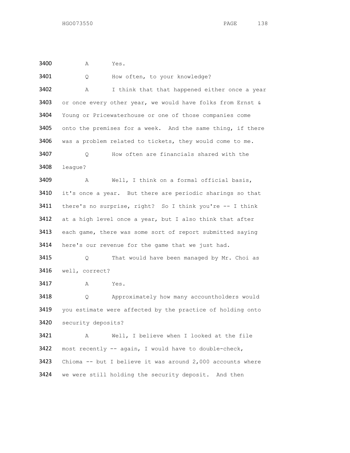A Yes.

3401 Q How often, to your knowledge? A I think that that happened either once a year 3403 or once every other year, we would have folks from Ernst  $\alpha$  Young or Pricewaterhouse or one of those companies come 3405 onto the premises for a week. And the same thing, if there was a problem related to tickets, they would come to me. Q How often are financials shared with the league? A Well, I think on a formal official basis, 3410 it's once a year. But there are periodic sharings so that there's no surprise, right? So I think you're -- I think at a high level once a year, but I also think that after 3413 each game, there was some sort of report submitted saying 3414 here's our revenue for the game that we just had. Q That would have been managed by Mr. Choi as well, correct? A Yes. Q Approximately how many accountholders would you estimate were affected by the practice of holding onto security deposits? A Well, I believe when I looked at the file most recently -- again, I would have to double-check, Chioma -- but I believe it was around 2,000 accounts where we were still holding the security deposit. And then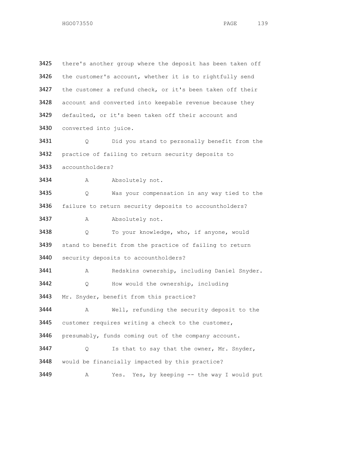| 3425 | there's another group where the deposit has been taken off |
|------|------------------------------------------------------------|
| 3426 | the customer's account, whether it is to rightfully send   |
| 3427 | the customer a refund check, or it's been taken off their  |
| 3428 | account and converted into keepable revenue because they   |
| 3429 | defaulted, or it's been taken off their account and        |
| 3430 | converted into juice.                                      |
| 3431 | Did you stand to personally benefit from the<br>Q.         |
| 3432 | practice of failing to return security deposits to         |
| 3433 | accountholders?                                            |
| 3434 | Α<br>Absolutely not.                                       |
| 3435 | Was your compensation in any way tied to the<br>Q.         |
| 3436 | failure to return security deposits to accountholders?     |
| 3437 | Absolutely not.<br>Α                                       |
| 3438 | To your knowledge, who, if anyone, would<br>Q              |
| 3439 | stand to benefit from the practice of failing to return    |
| 3440 | security deposits to accountholders?                       |
| 3441 | Redskins ownership, including Daniel Snyder.<br>Α          |
| 3442 | How would the ownership, including<br>Q.                   |
| 3443 | Mr. Snyder, benefit from this practice?                    |
| 3444 | Well, refunding the security deposit to the<br>Α           |
| 3445 | customer requires writing a check to the customer,         |
| 3446 | presumably, funds coming out of the company account.       |
| 3447 | Is that to say that the owner, Mr. Snyder,<br>Q.           |
| 3448 | would be financially impacted by this practice?            |
| 3449 | Yes, by keeping -- the way I would put<br>Α<br>Yes.        |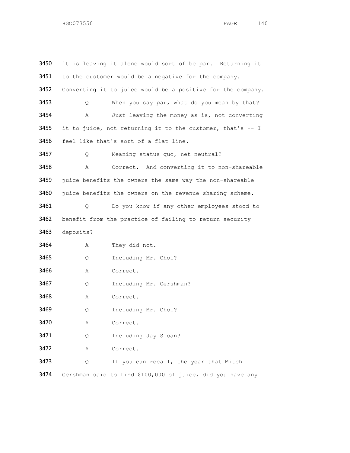| 3450 |                                                          | it is leaving it alone would sort of be par. Returning it   |  |
|------|----------------------------------------------------------|-------------------------------------------------------------|--|
| 3451 | to the customer would be a negative for the company.     |                                                             |  |
| 3452 |                                                          | Converting it to juice would be a positive for the company. |  |
| 3453 | Q.                                                       | When you say par, what do you mean by that?                 |  |
| 3454 | Α                                                        | Just leaving the money as is, not converting                |  |
| 3455 |                                                          | it to juice, not returning it to the customer, that's -- I  |  |
| 3456 | feel like that's sort of a flat line.                    |                                                             |  |
| 3457 | Q.                                                       | Meaning status quo, net neutral?                            |  |
| 3458 | Α                                                        | Correct. And converting it to non-shareable                 |  |
| 3459 | juice benefits the owners the same way the non-shareable |                                                             |  |
| 3460 |                                                          | juice benefits the owners on the revenue sharing scheme.    |  |
| 3461 | 0                                                        | Do you know if any other employees stood to                 |  |
| 3462 | benefit from the practice of failing to return security  |                                                             |  |
| 3463 | deposits?                                                |                                                             |  |
| 3464 | Α                                                        | They did not.                                               |  |
| 3465 | Q                                                        | Including Mr. Choi?                                         |  |
| 3466 | Α                                                        | Correct.                                                    |  |
| 3467 | Q                                                        | Including Mr. Gershman?                                     |  |
| 3468 | Α                                                        | Correct.                                                    |  |
| 3469 | Q.                                                       | Including Mr. Choi?                                         |  |
| 3470 | Α                                                        | Correct.                                                    |  |
| 3471 | Q                                                        | Including Jay Sloan?                                        |  |
| 3472 | Α                                                        | Correct.                                                    |  |
| 3473 | Q.                                                       | If you can recall, the year that Mitch                      |  |
| 3474 |                                                          | Gershman said to find \$100,000 of juice, did you have any  |  |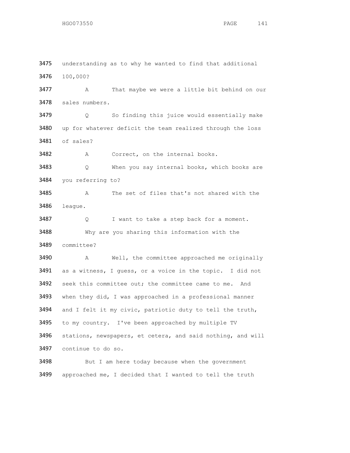3475 understanding as to why he wanted to find that additional 100,000? A That maybe we were a little bit behind on our sales numbers. Q So finding this juice would essentially make up for whatever deficit the team realized through the loss of sales? 3482 A Correct, on the internal books. Q When you say internal books, which books are you referring to? A The set of files that's not shared with the league. 3487 Q I want to take a step back for a moment. Why are you sharing this information with the committee? A Well, the committee approached me originally as a witness, I guess, or a voice in the topic. I did not seek this committee out; the committee came to me. And 3493 when they did, I was approached in a professional manner and I felt it my civic, patriotic duty to tell the truth, to my country. I've been approached by multiple TV stations, newspapers, et cetera, and said nothing, and will continue to do so. 3498 But I am here today because when the government approached me, I decided that I wanted to tell the truth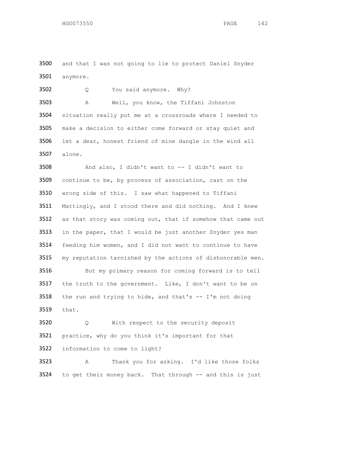and that I was not going to lie to protect Daniel Snyder anymore.

 Q You said anymore. Why? A Well, you know, the Tiffani Johnston

 situation really put me at a crossroads where I needed to make a decision to either come forward or stay quiet and let a dear, honest friend of mine dangle in the wind all alone.

 And also, I didn't want to -- I didn't want to continue to be, by process of association, cast on the wrong side of this. I saw what happened to Tiffani Mattingly, and I stood there and did nothing. And I knew as that story was coming out, that if somehow that came out 3513 in the paper, that I would be just another Snyder yes man feeding him women, and I did not want to continue to have my reputation tarnished by the actions of dishonorable men. 3516 But my primary reason for coming forward is to tell the truth to the government. Like, I don't want to be on the run and trying to hide, and that's -- I'm not doing that.

 Q With respect to the security deposit practice, why do you think it's important for that information to come to light?

 A Thank you for asking. I'd like those folks 3524 to get their money back. That through -- and this is just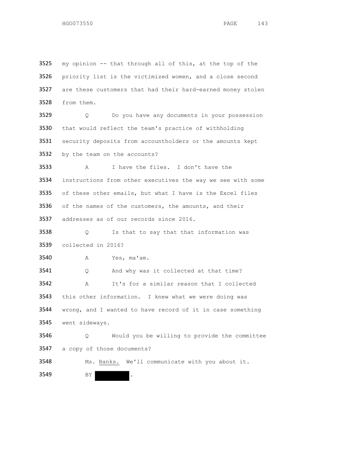my opinion -- that through all of this, at the top of the 3526 priority list is the victimized women, and a close second are these customers that had their hard-earned money stolen from them. Q Do you have any documents in your possession that would reflect the team's practice of withholding 3531 security deposits from accountholders or the amounts kept by the team on the accounts? A I have the files. I don't have the instructions from other executives the way we see with some of these other emails, but what I have is the Excel files of the names of the customers, the amounts, and their addresses as of our records since 2016. Q Is that to say that that information was collected in 2016? A Yes, ma'am. Q And why was it collected at that time? A It's for a similar reason that I collected this other information. I knew what we were doing was wrong, and I wanted to have record of it in case something went sideways. Q Would you be willing to provide the committee a copy of those documents? Ms. Banks. We'll communicate with you about it. 3549 BY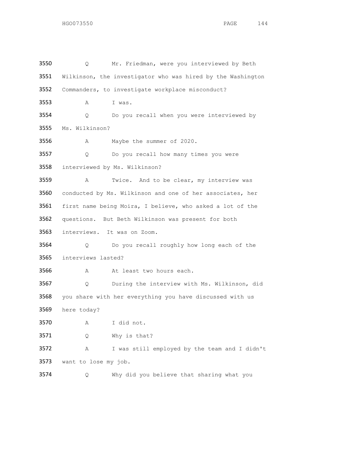Q Mr. Friedman, were you interviewed by Beth Wilkinson, the investigator who was hired by the Washington Commanders, to investigate workplace misconduct? A I was. Q Do you recall when you were interviewed by Ms. Wilkinson? A Maybe the summer of 2020. Q Do you recall how many times you were interviewed by Ms. Wilkinson? A Twice. And to be clear, my interview was conducted by Ms. Wilkinson and one of her associates, her first name being Moira, I believe, who asked a lot of the questions. But Beth Wilkinson was present for both interviews. It was on Zoom. Q Do you recall roughly how long each of the interviews lasted? 3566 A At least two hours each. Q During the interview with Ms. Wilkinson, did you share with her everything you have discussed with us here today? A I did not. Q Why is that? A I was still employed by the team and I didn't want to lose my job. Q Why did you believe that sharing what you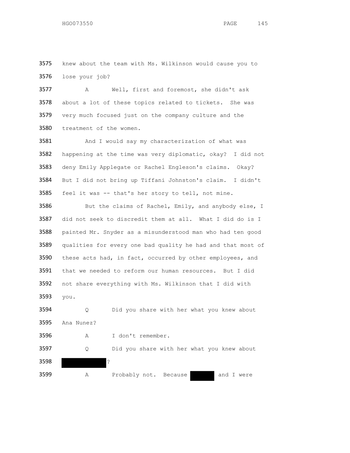3575 knew about the team with Ms. Wilkinson would cause you to lose your job?

 A Well, first and foremost, she didn't ask about a lot of these topics related to tickets. She was very much focused just on the company culture and the treatment of the women.

3581 And I would say my characterization of what was happening at the time was very diplomatic, okay? I did not deny Emily Applegate or Rachel Engleson's claims. Okay? But I did not bring up Tiffani Johnston's claim. I didn't feel it was -- that's her story to tell, not mine.

3586 But the claims of Rachel, Emily, and anybody else, I did not seek to discredit them at all. What I did do is I painted Mr. Snyder as a misunderstood man who had ten good qualities for every one bad quality he had and that most of 3590 these acts had, in fact, occurred by other employees, and that we needed to reform our human resources. But I did not share everything with Ms. Wilkinson that I did with you.

 Q Did you share with her what you knew about Ana Nunez? A I don't remember. Q Did you share with her what you knew about ? 3599 A Probably not. Because and I were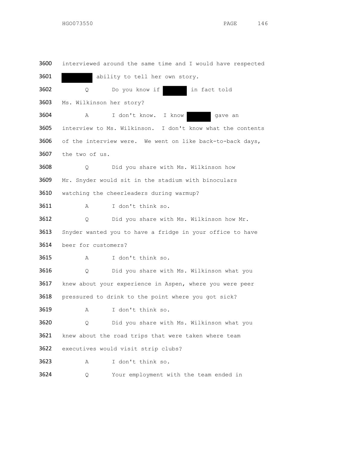interviewed around the same time and I would have respected 3601 ability to tell her own story. 3602 Q Do you know if in fact told Ms. Wilkinson her story? A I don't know. I know gave an interview to Ms. Wilkinson. I don't know what the contents of the interview were. We went on like back-to-back days, the two of us. Q Did you share with Ms. Wilkinson how Mr. Snyder would sit in the stadium with binoculars watching the cheerleaders during warmup? A I don't think so. Q Did you share with Ms. Wilkinson how Mr. Snyder wanted you to have a fridge in your office to have beer for customers? A I don't think so. Q Did you share with Ms. Wilkinson what you knew about your experience in Aspen, where you were peer pressured to drink to the point where you got sick? A I don't think so. Q Did you share with Ms. Wilkinson what you 3621 knew about the road trips that were taken where team executives would visit strip clubs? A I don't think so. Q Your employment with the team ended in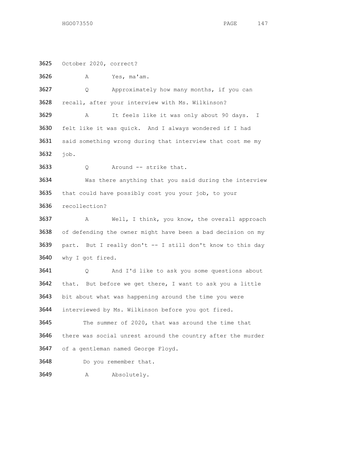October 2020, correct?

 A Yes, ma'am. Q Approximately how many months, if you can recall, after your interview with Ms. Wilkinson? A It feels like it was only about 90 days. I felt like it was quick. And I always wondered if I had 3631 said something wrong during that interview that cost me my job. 3633 Q Around -- strike that. Was there anything that you said during the interview that could have possibly cost you your job, to your recollection? A Well, I think, you know, the overall approach of defending the owner might have been a bad decision on my part. But I really don't -- I still don't know to this day why I got fired. Q And I'd like to ask you some questions about that. But before we get there, I want to ask you a little 3643 bit about what was happening around the time you were interviewed by Ms. Wilkinson before you got fired. The summer of 2020, that was around the time that there was social unrest around the country after the murder of a gentleman named George Floyd. Do you remember that. 3649 A Absolutely.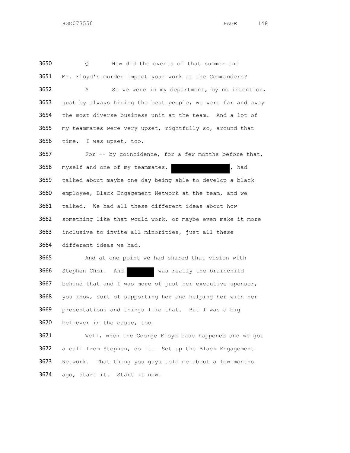Q How did the events of that summer and Mr. Floyd's murder impact your work at the Commanders? A So we were in my department, by no intention, 3653 just by always hiring the best people, we were far and away the most diverse business unit at the team. And a lot of my teammates were very upset, rightfully so, around that time. I was upset, too.

3657 For -- by coincidence, for a few months before that, 3658 myself and one of my teammates, and the myself and one of my teammates, talked about maybe one day being able to develop a black employee, Black Engagement Network at the team, and we talked. We had all these different ideas about how something like that would work, or maybe even make it more inclusive to invite all minorities, just all these different ideas we had.

 And at one point we had shared that vision with Stephen Choi. And was really the brainchild behind that and I was more of just her executive sponsor, you know, sort of supporting her and helping her with her presentations and things like that. But I was a big believer in the cause, too.

 Well, when the George Floyd case happened and we got a call from Stephen, do it. Set up the Black Engagement Network. That thing you guys told me about a few months ago, start it. Start it now.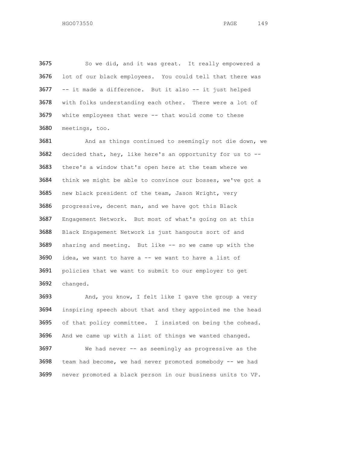So we did, and it was great. It really empowered a lot of our black employees. You could tell that there was -- it made a difference. But it also -- it just helped with folks understanding each other. There were a lot of white employees that were -- that would come to these meetings, too.

 And as things continued to seemingly not die down, we decided that, hey, like here's an opportunity for us to -- there's a window that's open here at the team where we think we might be able to convince our bosses, we've got a new black president of the team, Jason Wright, very progressive, decent man, and we have got this Black Engagement Network. But most of what's going on at this Black Engagement Network is just hangouts sort of and sharing and meeting. But like -- so we came up with the idea, we want to have a  $-$  we want to have a list of policies that we want to submit to our employer to get changed.

 And, you know, I felt like I gave the group a very inspiring speech about that and they appointed me the head of that policy committee. I insisted on being the cohead. And we came up with a list of things we wanted changed. We had never -- as seemingly as progressive as the team had become, we had never promoted somebody -- we had never promoted a black person in our business units to VP.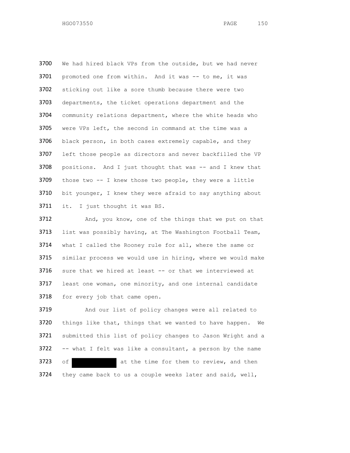We had hired black VPs from the outside, but we had never 3701 promoted one from within. And it was -- to me, it was sticking out like a sore thumb because there were two departments, the ticket operations department and the community relations department, where the white heads who were VPs left, the second in command at the time was a 3706 black person, in both cases extremely capable, and they 3707 left those people as directors and never backfilled the VP 3708 positions. And I just thought that was -- and I knew that those two -- I knew those two people, they were a little bit younger, I knew they were afraid to say anything about it. I just thought it was BS.

 And, you know, one of the things that we put on that list was possibly having, at The Washington Football Team, what I called the Rooney rule for all, where the same or similar process we would use in hiring, where we would make sure that we hired at least -- or that we interviewed at least one woman, one minority, and one internal candidate 3718 for every job that came open.

 And our list of policy changes were all related to things like that, things that we wanted to have happen. We submitted this list of policy changes to Jason Wright and a -- what I felt was like a consultant, a person by the name 3723 of at the time for them to review, and then they came back to us a couple weeks later and said, well,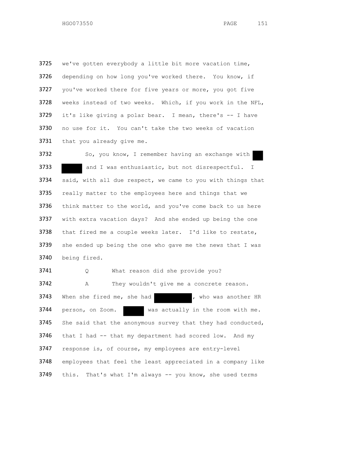3725 we've gotten everybody a little bit more vacation time, 3726 depending on how long you've worked there. You know, if 3727 you've worked there for five years or more, you got five 3728 weeks instead of two weeks. Which, if you work in the NFL, 3729 it's like giving a polar bear. I mean, there's  $-$  I have 3730 no use for it. You can't take the two weeks of vacation 3731 that you already give me.

3732 So, you know, I remember having an exchange with 3733 and I was enthusiastic, but not disrespectful. I 3734 said, with all due respect, we came to you with things that 3735 really matter to the employees here and things that we 3736 think matter to the world, and you've come back to us here 3737 with extra vacation days? And she ended up being the one 3738 that fired me a couple weeks later. I'd like to restate, 3739 she ended up being the one who gave me the news that I was 3740 being fired.

3741 Q What reason did she provide you? 3742 A They wouldn't give me a concrete reason. 3743 When she fired me, she had , who was another HR 3744 person, on Zoom. was actually in the room with me. 3745 She said that the anonymous survey that they had conducted, 3746 that I had -- that my department had scored low. And my 3747 response is, of course, my employees are entry-level 3748 employees that feel the least appreciated in a company like 3749 this. That's what I'm always -- you know, she used terms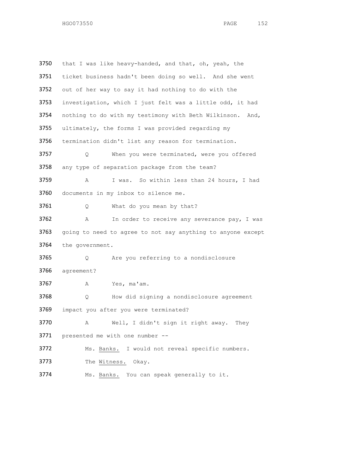| 3750 | that I was like heavy-handed, and that, oh, yeah, the        |  |
|------|--------------------------------------------------------------|--|
| 3751 | ticket business hadn't been doing so well. And she went      |  |
| 3752 | out of her way to say it had nothing to do with the          |  |
| 3753 | investigation, which I just felt was a little odd, it had    |  |
| 3754 | nothing to do with my testimony with Beth Wilkinson.<br>And, |  |
| 3755 | ultimately, the forms I was provided regarding my            |  |
| 3756 | termination didn't list any reason for termination.          |  |
| 3757 | When you were terminated, were you offered<br>Q.             |  |
| 3758 | any type of separation package from the team?                |  |
| 3759 | I was. So within less than 24 hours, I had<br>Α              |  |
| 3760 | documents in my inbox to silence me.                         |  |
| 3761 | What do you mean by that?<br>Q                               |  |
| 3762 | In order to receive any severance pay, I was<br>Α            |  |
| 3763 | going to need to agree to not say anything to anyone except  |  |
| 3764 | the government.                                              |  |
| 3765 | Are you referring to a nondisclosure<br>Q.                   |  |
| 3766 | agreement?                                                   |  |
| 3767 | Yes, ma'am.<br>Α                                             |  |
| 3768 | How did signing a nondisclosure agreement<br>Q               |  |
| 3769 | impact you after you were terminated?                        |  |
| 3770 | Well, I didn't sign it right away. They<br>Α                 |  |
| 3771 | presented me with one number --                              |  |
| 3772 | Ms. Banks. I would not reveal specific numbers.              |  |
| 3773 | The Witness. Okay.                                           |  |
| 3774 | Ms. Banks. You can speak generally to it.                    |  |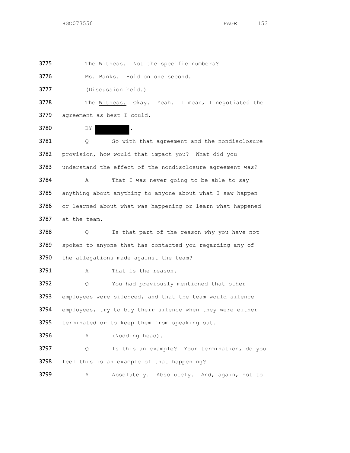3775 The Witness. Not the specific numbers?

3776 Ms. Banks. Hold on one second.

3777 (Discussion held.)

3778 The Witness. Okay. Yeah. I mean, I negotiated the 3779 agreement as best I could.

3780 BY

3781 Q So with that agreement and the nondisclosure 3782 provision, how would that impact you? What did you 3783 understand the effect of the nondisclosure agreement was? 3784 A That I was never going to be able to say 3785 anything about anything to anyone about what I saw happen 3786 or learned about what was happening or learn what happened 3787 at the team.

3788 Q Is that part of the reason why you have not 3789 spoken to anyone that has contacted you regarding any of 3790 the allegations made against the team?

3791 A That is the reason.

3792 Q You had previously mentioned that other 3793 employees were silenced, and that the team would silence 3794 employees, try to buy their silence when they were either 3795 terminated or to keep them from speaking out.

3796 A (Nodding head).

3797 Q Is this an example? Your termination, do you 3798 feel this is an example of that happening?

3799 A Absolutely. Absolutely. And, again, not to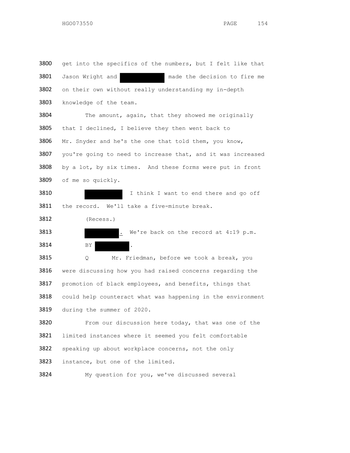| 3800                                 | get into the specifics of the numbers, but I felt like that |
|--------------------------------------|-------------------------------------------------------------|
| 3801                                 | Jason Wright and<br>made the decision to fire me            |
| 3802                                 | on their own without really understanding my in-depth       |
| 3803                                 | knowledge of the team.                                      |
| 3804                                 | The amount, again, that they showed me originally           |
| 3805                                 | that I declined, I believe they then went back to           |
| 3806                                 | Mr. Snyder and he's the one that told them, you know,       |
| 3807                                 | you're going to need to increase that, and it was increased |
| 3808                                 | by a lot, by six times. And these forms were put in front   |
| 3809                                 | of me so quickly.                                           |
| 3810                                 | I think I want to end there and go off                      |
| 3811                                 | the record. We'll take a five-minute break.                 |
| 3812                                 | (Recess.)                                                   |
| 3813                                 | We're back on the record at 4:19 p.m.                       |
|                                      |                                                             |
|                                      | BY<br>$\ddot{\phantom{a}}$                                  |
|                                      | Mr. Friedman, before we took a break, you<br>Q              |
|                                      | were discussing how you had raised concerns regarding the   |
|                                      | promotion of black employees, and benefits, things that     |
| 3814<br>3815<br>3816<br>3817<br>3818 | could help counteract what was happening in the environment |
|                                      | during the summer of 2020.                                  |
| 3819<br>3820                         | From our discussion here today, that was one of the         |
| 3821                                 | limited instances where it seemed you felt comfortable      |
| 3822                                 | speaking up about workplace concerns, not the only          |

My question for you, we've discussed several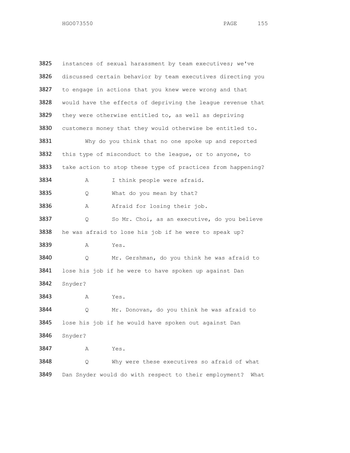3825 instances of sexual harassment by team executives; we've discussed certain behavior by team executives directing you 3827 to engage in actions that you knew were wrong and that would have the effects of depriving the league revenue that they were otherwise entitled to, as well as depriving customers money that they would otherwise be entitled to. Why do you think that no one spoke up and reported 3832 this type of misconduct to the league, or to anyone, to 3833 take action to stop these type of practices from happening? A I think people were afraid. Q What do you mean by that? 3836 A Afraid for losing their job. Q So Mr. Choi, as an executive, do you believe he was afraid to lose his job if he were to speak up? A Yes. Q Mr. Gershman, do you think he was afraid to lose his job if he were to have spoken up against Dan Snyder? A Yes. Q Mr. Donovan, do you think he was afraid to lose his job if he would have spoken out against Dan Snyder? A Yes. Q Why were these executives so afraid of what Dan Snyder would do with respect to their employment? What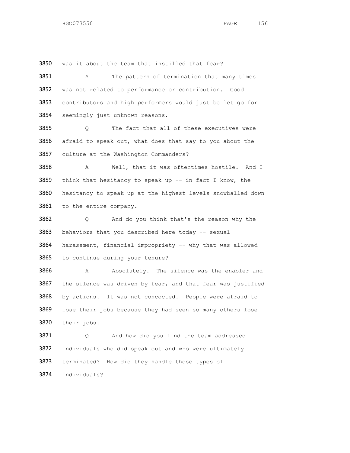was it about the team that instilled that fear?

 A The pattern of termination that many times was not related to performance or contribution. Good contributors and high performers would just be let go for 3854 seemingly just unknown reasons.

 Q The fact that all of these executives were 3856 afraid to speak out, what does that say to you about the culture at the Washington Commanders?

3858 A Well, that it was oftentimes hostile. And I 3859 think that hesitancy to speak up -- in fact I know, the hesitancy to speak up at the highest levels snowballed down to the entire company.

 Q And do you think that's the reason why the 3863 behaviors that you described here today -- sexual harassment, financial impropriety -- why that was allowed to continue during your tenure?

3866 A Absolutely. The silence was the enabler and the silence was driven by fear, and that fear was justified by actions. It was not concocted. People were afraid to 3869 lose their jobs because they had seen so many others lose their jobs.

 Q And how did you find the team addressed individuals who did speak out and who were ultimately terminated? How did they handle those types of individuals?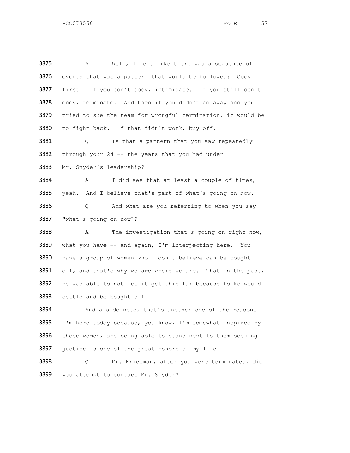A Well, I felt like there was a sequence of events that was a pattern that would be followed: Obey first. If you don't obey, intimidate. If you still don't obey, terminate. And then if you didn't go away and you tried to sue the team for wrongful termination, it would be to fight back. If that didn't work, buy off. 3881 Q Is that a pattern that you saw repeatedly through your 24 -- the years that you had under Mr. Snyder's leadership? A I did see that at least a couple of times, yeah. And I believe that's part of what's going on now. Q And what are you referring to when you say "what's going on now"? A The investigation that's going on right now, what you have -- and again, I'm interjecting here. You have a group of women who I don't believe can be bought 3891 off, and that's why we are where we are. That in the past, he was able to not let it get this far because folks would 3893 settle and be bought off. And a side note, that's another one of the reasons I'm here today because, you know, I'm somewhat inspired by those women, and being able to stand next to them seeking 3897 justice is one of the great honors of my life. Q Mr. Friedman, after you were terminated, did you attempt to contact Mr. Snyder?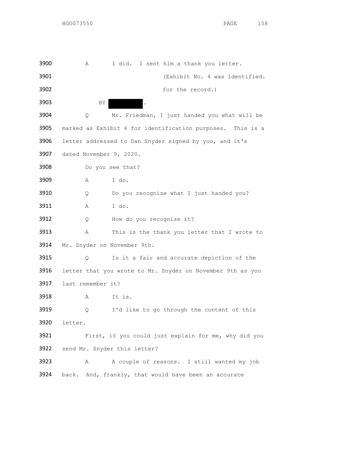| 3900 | Α                 | I did. I sent him a thank you letter.                      |
|------|-------------------|------------------------------------------------------------|
| 3901 |                   | (Exhibit No. 4 was identified.                             |
| 3902 |                   | for the record.)                                           |
| 3903 |                   | BY.<br>۱.                                                  |
| 3904 | Q                 | Mr. Friedman, I just handed you what will be               |
| 3905 |                   | marked as Exhibit 4 for identification purposes. This is a |
| 3906 |                   | letter addressed to Dan Snyder signed by you, and it's     |
| 3907 |                   | dated November 9, 2020.                                    |
| 3908 |                   | Do you see that?                                           |
| 3909 | Α                 | I do.                                                      |
| 3910 | Q.                | Do you recognize what I just handed you?                   |
| 3911 | Α                 | I do.                                                      |
| 3912 | Q.                | How do you recognize it?                                   |
| 3913 | Α                 | This is the thank you letter that I wrote to               |
| 3914 |                   | Mr. Snyder on November 9th.                                |
| 3915 | Q                 | Is it a fair and accurate depiction of the                 |
| 3916 |                   | letter that you wrote to Mr. Snyder on November 9th as you |
| 3917 | last remember it? |                                                            |
| 3918 | Α                 | It is.                                                     |
| 3919 | Q                 | I'd like to go through the content of this                 |
| 3920 | letter.           |                                                            |
| 3921 |                   | First, if you could just explain for me, why did you       |
| 3922 |                   | send Mr. Snyder this letter?                               |
| 3923 | Α                 | A couple of reasons. I still wanted my job                 |
| 3924 |                   | back. And, frankly, that would have been an accurate       |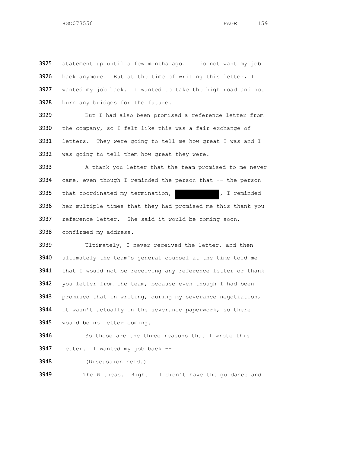statement up until a few months ago. I do not want my job back anymore. But at the time of writing this letter, I wanted my job back. I wanted to take the high road and not burn any bridges for the future. 3929 But I had also been promised a reference letter from the company, so I felt like this was a fair exchange of 3931 letters. They were going to tell me how great I was and I was going to tell them how great they were. 3933 A thank you letter that the team promised to me never came, even though I reminded the person that -- the person that coordinated my termination,  $\overline{y}$ , I reminded her multiple times that they had promised me this thank you 3937 reference letter. She said it would be coming soon, confirmed my address. Ultimately, I never received the letter, and then ultimately the team's general counsel at the time told me 3941 that I would not be receiving any reference letter or thank 3942 you letter from the team, because even though I had been 3943 promised that in writing, during my severance negotiation, 3944 it wasn't actually in the severance paperwork, so there would be no letter coming. 3946 So those are the three reasons that I wrote this letter. I wanted my job back -- (Discussion held.)

3949 The Witness. Right. I didn't have the guidance and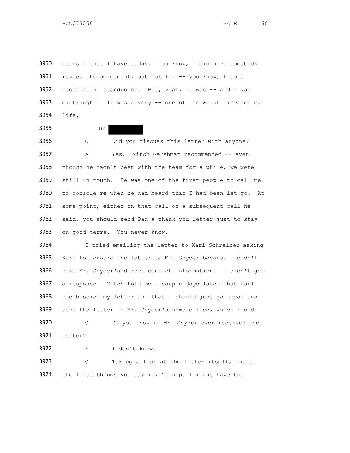3950 counsel that I have today. You know, I did have somebody 3951 review the agreement, but not for -- you know, from a 3952 negotiating standpoint. But, yeah, it was -- and I was distraught. It was a very -- one of the worst times of my life.

3955 BY BY

 Q Did you discuss this letter with anyone? A Yes. Mitch Gershman recommended -- even 3958 though he hadn't been with the team for a while, we were still in touch. He was one of the first people to call me to console me when he had heard that I had been let go. At some point, either on that call or a subsequent call he said, you should send Dan a thank you letter just to stay 3963 on good terms. You never know.

 I tried emailing the letter to Karl Schreiber asking Karl to forward the letter to Mr. Snyder because I didn't have Mr. Snyder's direct contact information. I didn't get a response. Mitch told me a couple days later that Karl 3968 had blocked my letter and that I should just go ahead and send the letter to Mr. Snyder's home office, which I did. Q Do you know if Mr. Snyder ever received the

letter?

A I don't know.

 Q Taking a look at the letter itself, one of the first things you say is, "I hope I might have the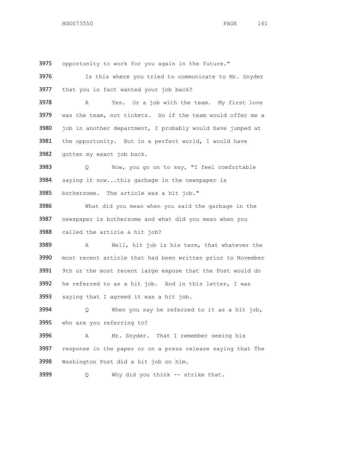opportunity to work for you again in the future."

 Is this where you tried to communicate to Mr. Snyder 3977 that you in fact wanted your job back? A Yes. Or a job with the team. My first love 3979 was the team, not tickets. So if the team would offer me a job in another department, I probably would have jumped at the opportunity. But in a perfect world, I would have gotten my exact job back. Q Now, you go on to say, "I feel comfortable saying it now...this garbage in the newspaper is bothersome. The article was a hit job." What did you mean when you said the garbage in the newspaper is bothersome and what did you mean when you called the article a hit job? A Well, hit job is his term, that whatever the most recent article that had been written prior to November 3991 9th or the most recent large expose that the Post would do he referred to as a hit job. And in this letter, I was saying that I agreed it was a hit job. Q When you say he referred to it as a hit job, who are you referring to? A Mr. Snyder. That I remember seeing his response in the paper or on a press release saying that The Washington Post did a hit job on him.

Q Why did you think -- strike that.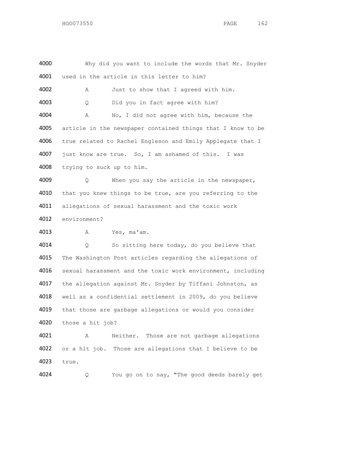4000 Why did you want to include the words that Mr. Snyder used in the article in this letter to him? A Just to show that I agreed with him. Q Did you in fact agree with him? A No, I did not agree with him, because the article in the newspaper contained things that I know to be true related to Rachel Engleson and Emily Applegate that I just know are true. So, I am ashamed of this. I was trying to suck up to him. Q When you say the article in the newspaper, 4010 that you knew things to be true, are you referring to the allegations of sexual harassment and the toxic work environment? A Yes, ma'am. Q So sitting here today, do you believe that The Washington Post articles regarding the allegations of sexual harassment and the toxic work environment, including the allegation against Mr. Snyder by Tiffani Johnston, as well as a confidential settlement in 2009, do you believe 4019 that those are garbage allegations or would you consider those a hit job? A Neither. Those are not garbage allegations or a hit job. Those are allegations that I believe to be

true.

Q You go on to say, "The good deeds barely get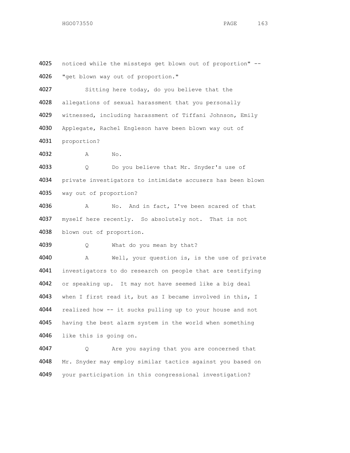"get blown way out of proportion." Sitting here today, do you believe that the allegations of sexual harassment that you personally witnessed, including harassment of Tiffani Johnson, Emily Applegate, Rachel Engleson have been blown way out of proportion? A No. Q Do you believe that Mr. Snyder's use of private investigators to intimidate accusers has been blown way out of proportion? A No. And in fact, I've been scared of that 4037 myself here recently. So absolutely not. That is not blown out of proportion. 4039 Q What do you mean by that? A Well, your question is, is the use of private investigators to do research on people that are testifying or speaking up. It may not have seemed like a big deal 4043 when I first read it, but as I became involved in this, I realized how -- it sucks pulling up to your house and not 4045 having the best alarm system in the world when something like this is going on. Q Are you saying that you are concerned that Mr. Snyder may employ similar tactics against you based on your participation in this congressional investigation?

noticed while the missteps get blown out of proportion" --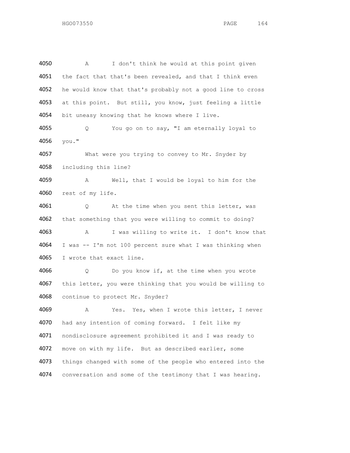A I don't think he would at this point given 4051 the fact that that's been revealed, and that I think even he would know that that's probably not a good line to cross at this point. But still, you know, just feeling a little 4054 bit uneasy knowing that he knows where I live.

 Q You go on to say, "I am eternally loyal to you."

 What were you trying to convey to Mr. Snyder by including this line?

 A Well, that I would be loyal to him for the rest of my life.

4061 Q At the time when you sent this letter, was that something that you were willing to commit to doing? A I was willing to write it. I don't know that I was -- I'm not 100 percent sure what I was thinking when I wrote that exact line.

 Q Do you know if, at the time when you wrote this letter, you were thinking that you would be willing to continue to protect Mr. Snyder?

4069 A Yes. Yes, when I wrote this letter, I never had any intention of coming forward. I felt like my nondisclosure agreement prohibited it and I was ready to move on with my life. But as described earlier, some things changed with some of the people who entered into the conversation and some of the testimony that I was hearing.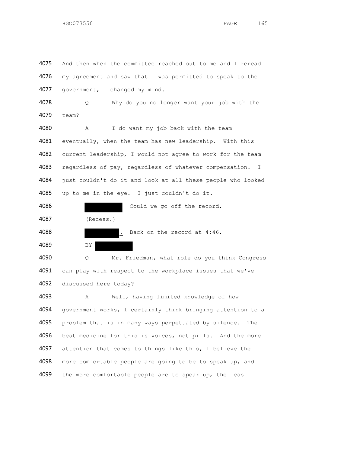my agreement and saw that I was permitted to speak to the government, I changed my mind. Q Why do you no longer want your job with the team? A I do want my job back with the team 4081 eventually, when the team has new leadership. With this current leadership, I would not agree to work for the team 4083 regardless of pay, regardless of whatever compensation. I just couldn't do it and look at all these people who looked up to me in the eye. I just couldn't do it.

And then when the committee reached out to me and I reread

 Could we go off the record. (Recess.)

4088 . Back on the record at 4:46. BY

 Q Mr. Friedman, what role do you think Congress 4091 can play with respect to the workplace issues that we've discussed here today?

 A Well, having limited knowledge of how government works, I certainly think bringing attention to a problem that is in many ways perpetuated by silence. The best medicine for this is voices, not pills. And the more attention that comes to things like this, I believe the 4098 more comfortable people are going to be to speak up, and 4099 the more comfortable people are to speak up, the less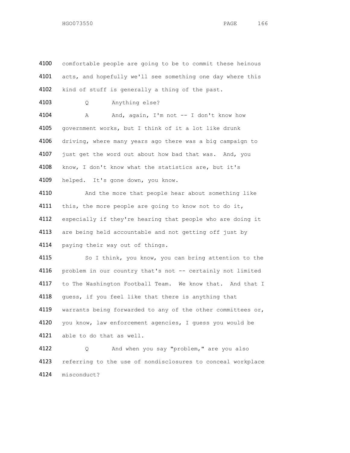4100 comfortable people are going to be to commit these heinous 4101 acts, and hopefully we'll see something one day where this 4102 kind of stuff is generally a thing of the past. 4103 Q Anything else? 4104 A And, again, I'm not -- I don't know how 4105 government works, but I think of it a lot like drunk 4106 driving, where many years ago there was a big campaign to 4107 just get the word out about how bad that was. And, you 4108 know, I don't know what the statistics are, but it's 4109 helped. It's gone down, you know. 4110 And the more that people hear about something like 4111 this, the more people are going to know not to do it, 4112 especially if they're hearing that people who are doing it 4113 are being held accountable and not getting off just by 4114 paying their way out of things. 4115 So I think, you know, you can bring attention to the 4116 problem in our country that's not -- certainly not limited 4117 to The Washington Football Team. We know that. And that I 4118 guess, if you feel like that there is anything that 4119 warrants being forwarded to any of the other committees or, 4120 you know, law enforcement agencies, I guess you would be 4121 able to do that as well. 4122 Q And when you say "problem," are you also 4123 referring to the use of nondisclosures to conceal workplace 4124 misconduct?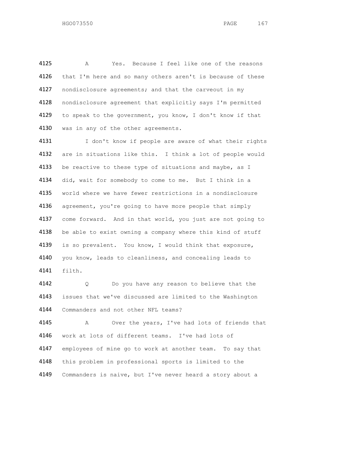A Yes. Because I feel like one of the reasons 4126 that I'm here and so many others aren't is because of these 4127 nondisclosure agreements; and that the carveout in my nondisclosure agreement that explicitly says I'm permitted 4129 to speak to the government, you know, I don't know if that 4130 was in any of the other agreements.

4131 I don't know if people are aware of what their rights are in situations like this. I think a lot of people would 4133 be reactive to these type of situations and maybe, as I 4134 did, wait for somebody to come to me. But I think in a world where we have fewer restrictions in a nondisclosure 4136 agreement, you're going to have more people that simply come forward. And in that world, you just are not going to 4138 be able to exist owning a company where this kind of stuff is so prevalent. You know, I would think that exposure, you know, leads to cleanliness, and concealing leads to filth.

 Q Do you have any reason to believe that the issues that we've discussed are limited to the Washington Commanders and not other NFL teams?

 A Over the years, I've had lots of friends that work at lots of different teams. I've had lots of employees of mine go to work at another team. To say that this problem in professional sports is limited to the Commanders is naive, but I've never heard a story about a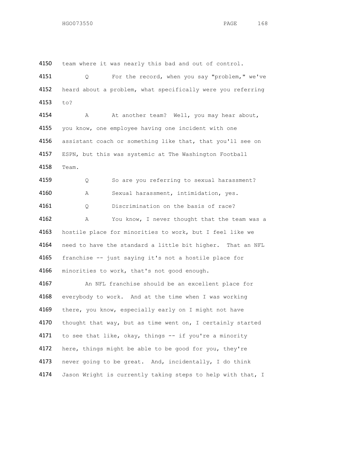4150 team where it was nearly this bad and out of control. 4151 Q For the record, when you say "problem," we've 4152 heard about a problem, what specifically were you referring 4153 to? 4154 A At another team? Well, you may hear about, 4155 you know, one employee having one incident with one 4156 assistant coach or something like that, that you'll see on 4157 ESPN, but this was systemic at The Washington Football 4158 Team. 4159 Q So are you referring to sexual harassment? 4160 A Sexual harassment, intimidation, yes. 4161 Q Discrimination on the basis of race? 4162 A You know, I never thought that the team was a 4163 hostile place for minorities to work, but I feel like we 4164 need to have the standard a little bit higher. That an NFL 4165 franchise -- just saying it's not a hostile place for 4166 minorities to work, that's not good enough. 4167 An NFL franchise should be an excellent place for 4168 everybody to work. And at the time when I was working 4169 there, you know, especially early on I might not have 4170 thought that way, but as time went on, I certainly started 4171 to see that like, okay, things -- if you're a minority 4172 here, things might be able to be good for you, they're 4173 never going to be great. And, incidentally, I do think 4174 Jason Wright is currently taking steps to help with that, I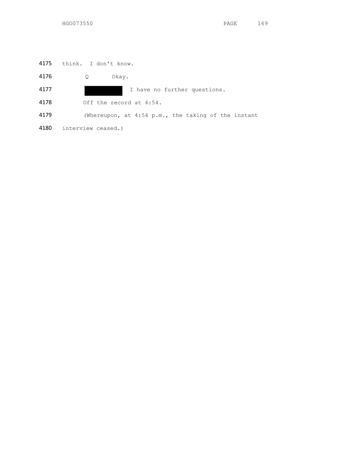think. I don't know.

Q Okay.

I have no further questions.

Off the record at 4:54.

(Whereupon, at 4:54 p.m., the taking of the instant

interview ceased.)